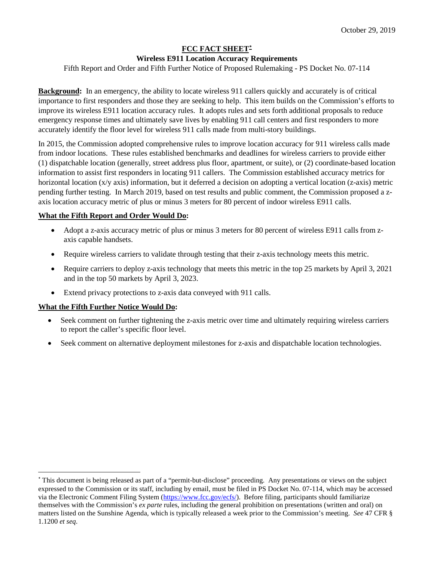# **FCC FACT SHEET[\\*](#page-0-0) Wireless E911 Location Accuracy Requirements**

Fifth Report and Order and Fifth Further Notice of Proposed Rulemaking - PS Docket No. 07-114

**Background:** In an emergency, the ability to locate wireless 911 callers quickly and accurately is of critical importance to first responders and those they are seeking to help. This item builds on the Commission's efforts to improve its wireless E911 location accuracy rules. It adopts rules and sets forth additional proposals to reduce emergency response times and ultimately save lives by enabling 911 call centers and first responders to more accurately identify the floor level for wireless 911 calls made from multi-story buildings.

In 2015, the Commission adopted comprehensive rules to improve location accuracy for 911 wireless calls made from indoor locations. These rules established benchmarks and deadlines for wireless carriers to provide either (1) dispatchable location (generally, street address plus floor, apartment, or suite), or (2) coordinate-based location information to assist first responders in locating 911 callers. The Commission established accuracy metrics for horizontal location (x/y axis) information, but it deferred a decision on adopting a vertical location (z-axis) metric pending further testing. In March 2019, based on test results and public comment, the Commission proposed a zaxis location accuracy metric of plus or minus 3 meters for 80 percent of indoor wireless E911 calls.

## **What the Fifth Report and Order Would Do:**

- Adopt a z-axis accuracy metric of plus or minus 3 meters for 80 percent of wireless E911 calls from zaxis capable handsets.
- Require wireless carriers to validate through testing that their z-axis technology meets this metric.
- Require carriers to deploy z-axis technology that meets this metric in the top 25 markets by April 3, 2021 and in the top 50 markets by April 3, 2023.
- Extend privacy protections to z-axis data conveyed with 911 calls.

# **What the Fifth Further Notice Would Do:**

- Seek comment on further tightening the z-axis metric over time and ultimately requiring wireless carriers to report the caller's specific floor level.
- Seek comment on alternative deployment milestones for z-axis and dispatchable location technologies.

<span id="page-0-0"></span> <sup>\*</sup> This document is being released as part of a "permit-but-disclose" proceeding. Any presentations or views on the subject expressed to the Commission or its staff, including by email, must be filed in PS Docket No. 07-114, which may be accessed via the Electronic Comment Filing System [\(https://www.fcc.gov/ecfs/\)](https://www.fcc.gov/ecfs/). Before filing, participants should familiarize themselves with the Commission's *ex parte* rules, including the general prohibition on presentations (written and oral) on matters listed on the Sunshine Agenda, which is typically released a week prior to the Commission's meeting. *See* 47 CFR § 1.1200 *et seq*.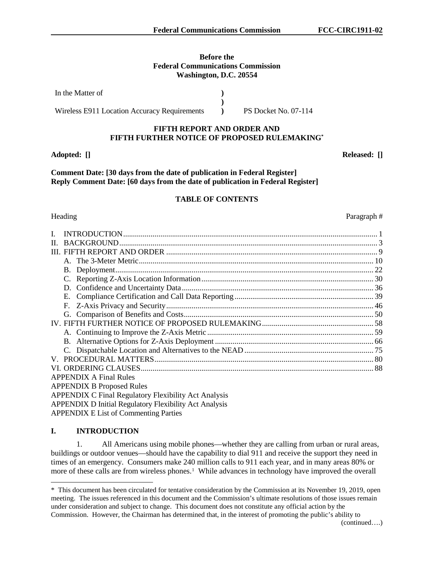## **Before the Federal Communications Commission Washington, D.C. 20554**

**) )**

**)** PS Docket No. 07-114

Wireless E911 Location Accuracy Requirements

#### **FIFTH REPORT AND ORDER AND FIFTH FURTHER NOTICE OF PROPOSED RULEMAKING\***

#### **Adopted: [] Released: []**

In the Matter of

**Comment Date: [30 days from the date of publication in Federal Register] Reply Comment Date: [60 days from the date of publication in Federal Register]**

## **TABLE OF CONTENTS**

| $\mathbf{I}$ |                                                        |  |
|--------------|--------------------------------------------------------|--|
|              |                                                        |  |
|              |                                                        |  |
|              |                                                        |  |
|              |                                                        |  |
|              |                                                        |  |
|              |                                                        |  |
|              | Е.                                                     |  |
|              |                                                        |  |
|              |                                                        |  |
|              |                                                        |  |
|              |                                                        |  |
|              |                                                        |  |
|              |                                                        |  |
|              |                                                        |  |
|              |                                                        |  |
|              | <b>APPENDIX A Final Rules</b>                          |  |
|              | <b>APPENDIX B Proposed Rules</b>                       |  |
|              | APPENDIX C Final Regulatory Flexibility Act Analysis   |  |
|              | APPENDIX D Initial Regulatory Flexibility Act Analysis |  |
|              | <b>APPENDIX E List of Commenting Parties</b>           |  |

#### **I. INTRODUCTION**

 $\overline{a}$ 

1. All Americans using mobile phones—whether they are calling from urban or rural areas, buildings or outdoor venues—should have the capability to dial 911 and receive the support they need in times of an emergency. Consumers make 240 million calls to 911 each year, and in many areas 80% or more of these calls are from wireless phones. [1](#page-1-0) While advances in technology have improved the overall

Heading Paragraph  $#$ 

<span id="page-1-0"></span><sup>\*</sup> This document has been circulated for tentative consideration by the Commission at its November 19, 2019, open meeting. The issues referenced in this document and the Commission's ultimate resolutions of those issues remain under consideration and subject to change. This document does not constitute any official action by the Commission. However, the Chairman has determined that, in the interest of promoting the public's ability to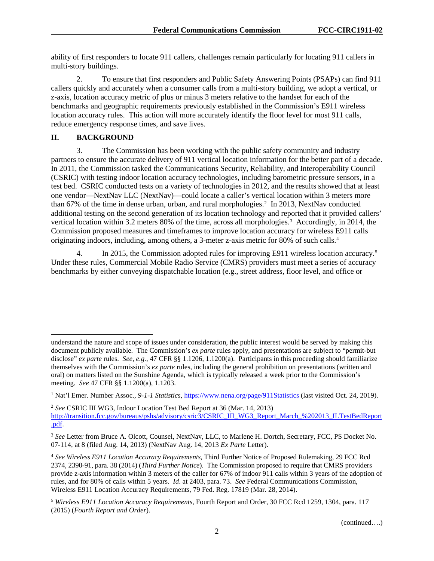ability of first responders to locate 911 callers, challenges remain particularly for locating 911 callers in multi-story buildings.

2. To ensure that first responders and Public Safety Answering Points (PSAPs) can find 911 callers quickly and accurately when a consumer calls from a multi-story building, we adopt a vertical, or z-axis, location accuracy metric of plus or minus 3 meters relative to the handset for each of the benchmarks and geographic requirements previously established in the Commission's E911 wireless location accuracy rules. This action will more accurately identify the floor level for most 911 calls, reduce emergency response times, and save lives.

## **II. BACKGROUND**

 $\overline{a}$ 

3. The Commission has been working with the public safety community and industry partners to ensure the accurate delivery of 911 vertical location information for the better part of a decade. In 2011, the Commission tasked the Communications Security, Reliability, and Interoperability Council (CSRIC) with testing indoor location accuracy technologies, including barometric pressure sensors, in a test bed. CSRIC conducted tests on a variety of technologies in 2012, and the results showed that at least one vendor—NextNav LLC (NextNav)—could locate a caller's vertical location within 3 meters more than 67% of the time in dense urban, urban, and rural morphologies.<sup>[2](#page-2-0)</sup> In 2013, NextNav conducted additional testing on the second generation of its location technology and reported that it provided callers' vertical location within [3](#page-2-1).2 meters 80% of the time, across all morphologies.<sup>3</sup> Accordingly, in 2014, the Commission proposed measures and timeframes to improve location accuracy for wireless E911 calls originating indoors, including, among others, a 3-meter z-axis metric for 80% of such calls.[4](#page-2-2)

4. In 201[5](#page-2-3), the Commission adopted rules for improving E911 wireless location accuracy.<sup>5</sup> Under these rules, Commercial Mobile Radio Service (CMRS) providers must meet a series of accuracy benchmarks by either conveying dispatchable location (e.g., street address, floor level, and office or

understand the nature and scope of issues under consideration, the public interest would be served by making this document publicly available. The Commission's *ex parte* rules apply, and presentations are subject to "permit-but disclose" *ex parte* rules. *See, e.g.,* 47 CFR §§ 1.1206, 1.1200(a). Participants in this proceeding should familiarize themselves with the Commission's *ex parte* rules, including the general prohibition on presentations (written and oral) on matters listed on the Sunshine Agenda, which is typically released a week prior to the Commission's meeting. *See* 47 CFR §§ 1.1200(a), 1.1203.

<sup>1</sup> Nat'l Emer. Number Assoc., *9-1-1 Statistics*,<https://www.nena.org/page/911Statistics> (last visited Oct. 24, 2019).

<span id="page-2-0"></span><sup>2</sup> *See* CSRIC III WG3, Indoor Location Test Bed Report at 36 (Mar. 14, 2013) [http://transition.fcc.gov/bureaus/pshs/advisory/csric3/CSRIC\\_III\\_WG3\\_Report\\_March\\_%202013\\_ILTestBedReport](http://transition.fcc.gov/bureaus/pshs/advisory/csric3/CSRIC_III_WG3_Report_March_%202013_ILTestBedReport.pdf) [.pdf.](http://transition.fcc.gov/bureaus/pshs/advisory/csric3/CSRIC_III_WG3_Report_March_%202013_ILTestBedReport.pdf)

<span id="page-2-1"></span><sup>&</sup>lt;sup>3</sup> See Letter from Bruce A. Olcott, Counsel, NextNav, LLC, to Marlene H. Dortch, Secretary, FCC, PS Docket No. 07-114, at 8 (filed Aug. 14, 2013) (NextNav Aug. 14, 2013 *Ex Parte* Letter).

<span id="page-2-2"></span><sup>4</sup> *See Wireless E911 Location Accuracy Requirements*, Third Further Notice of Proposed Rulemaking, 29 FCC Rcd 2374, 2390-91, para. 38 (2014) (*Third Further Notice*). The Commission proposed to require that CMRS providers provide z-axis information within 3 meters of the caller for 67% of indoor 911 calls within 3 years of the adoption of rules, and for 80% of calls within 5 years. *Id*. at 2403, para. 73. *See* Federal Communications Commission, Wireless E911 Location Accuracy Requirements, 79 Fed. Reg. 17819 (Mar. 28, 2014).

<span id="page-2-3"></span><sup>5</sup> *Wireless E911 Location Accuracy Requirements*, Fourth Report and Order, 30 FCC Rcd 1259, 1304, para. 117 (2015) (*Fourth Report and Order*).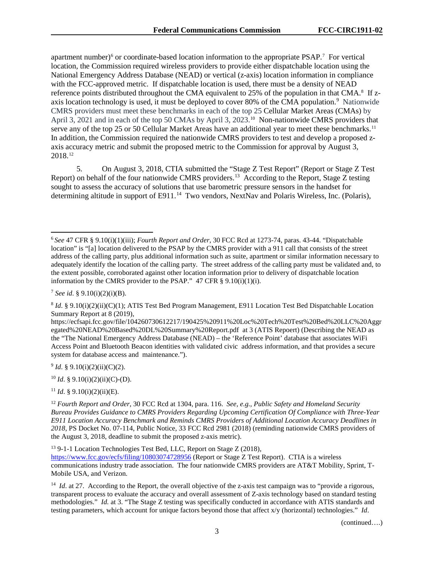apartment number) $6$  or coordinate-based location information to the appropriate PSAP.<sup>[7](#page-3-1)</sup> For vertical location, the Commission required wireless providers to provide either dispatchable location using the National Emergency Address Database (NEAD) or vertical (z-axis) location information in compliance with the FCC-approved metric. If dispatchable location is used, there must be a density of NEAD reference points distributed throughout the CMA equivalent to 25% of the population in that CMA.<sup>[8](#page-3-2)</sup> If z-axis location technology is used, it must be deployed to cover 80% of the CMA population.<sup>[9](#page-3-3)</sup> Nationwide CMRS providers must meet these benchmarks in each of the top 25 Cellular Market Areas (CMAs) by April 3, 2021 and in each of the top 50 CMAs by April 3, 2023.<sup>10</sup> Non-nationwide CMRS providers that serve any of the top 25 or 50 Cellular Market Areas have an additional year to meet these benchmarks.<sup>11</sup> In addition, the Commission required the nationwide CMRS providers to test and develop a proposed zaxis accuracy metric and submit the proposed metric to the Commission for approval by August 3, 2018.[12](#page-3-6) 

5. On August 3, 2018, CTIA submitted the "Stage Z Test Report" (Report or Stage Z Test Report) on behalf of the four nationwide CMRS providers.[13](#page-3-7) According to the Report, Stage Z testing sought to assess the accuracy of solutions that use barometric pressure sensors in the handset for determining altitude in support of E911.<sup>[14](#page-3-8)</sup> Two vendors, NextNav and Polaris Wireless, Inc. (Polaris),

<span id="page-3-3"></span> $9$  *Id.* § 9.10(i)(2)(ii)(C)(2).

<span id="page-3-4"></span> $10$  *Id.* § 9.10(i)(2)(ii)(C)-(D).

<span id="page-3-5"></span> $11$  *Id.* § 9.10(i)(2)(ii)(E).

<span id="page-3-7"></span><sup>13</sup> 9-1-1 Location Technologies Test Bed, LLC, Report on Stage Z (2018),

<https://www.fcc.gov/ecfs/filing/10803074728956> (Report or Stage Z Test Report). CTIA is a wireless communications industry trade association. The four nationwide CMRS providers are AT&T Mobility, Sprint, T-Mobile USA, and Verizon.

<span id="page-3-8"></span><sup>14</sup> *Id.* at 27. According to the Report, the overall objective of the z-axis test campaign was to "provide a rigorous, transparent process to evaluate the accuracy and overall assessment of Z-axis technology based on standard testing methodologies." *Id.* at 3. "The Stage Z testing was specifically conducted in accordance with ATIS standards and testing parameters, which account for unique factors beyond those that affect x/y (horizontal) technologies." *Id*.

(continued….)

<span id="page-3-0"></span> <sup>6</sup> *See* 47 CFR § 9.10(i)(1)(iii); *Fourth Report and Order*, 30 FCC Rcd at 1273-74, paras. 43-44. "Dispatchable location" is "[a] location delivered to the PSAP by the CMRS provider with a 911 call that consists of the street address of the calling party, plus additional information such as suite, apartment or similar information necessary to adequately identify the location of the calling party. The street address of the calling party must be validated and, to the extent possible, corroborated against other location information prior to delivery of dispatchable location information by the CMRS provider to the PSAP."  $47$  CFR §  $9.10(i)(1)(i)$ .

<span id="page-3-1"></span><sup>&</sup>lt;sup>7</sup> *See id.* § 9.10(i)(2)(i)(B).

<span id="page-3-2"></span><sup>8</sup> *Id*. § 9.10(i)(2)(ii)(C)(1); ATIS Test Bed Program Management, E911 Location Test Bed Dispatchable Location Summary Report at 8 (2019),

https://ecfsapi.fcc.gov/file/104260730612217/190425%20911%20Loc%20Tech%20Test%20Bed%20LLC%20Aggr egated%20NEAD%20Based%20DL%20Summary%20Report.pdf at 3 (ATIS Repoert) (Describing the NEAD as the "The National Emergency Address Database (NEAD) – the 'Reference Point' database that associates WiFi Access Point and Bluetooth Beacon identities with validated civic address information, and that provides a secure system for database access and maintenance.").

<span id="page-3-6"></span><sup>12</sup> *Fourth Report and Order*, 30 FCC Rcd at 1304, para. 116. *See, e.g., Public Safety and Homeland Security Bureau Provides Guidance to CMRS Providers Regarding Upcoming Certification Of Compliance with Three-Year E911 Location Accuracy Benchmark and Reminds CMRS Providers of Additional Location Accuracy Deadlines in 2018*, PS Docket No. 07-114, Public Notice, 33 FCC Rcd 2981 (2018) (reminding nationwide CMRS providers of the August 3, 2018, deadline to submit the proposed z-axis metric).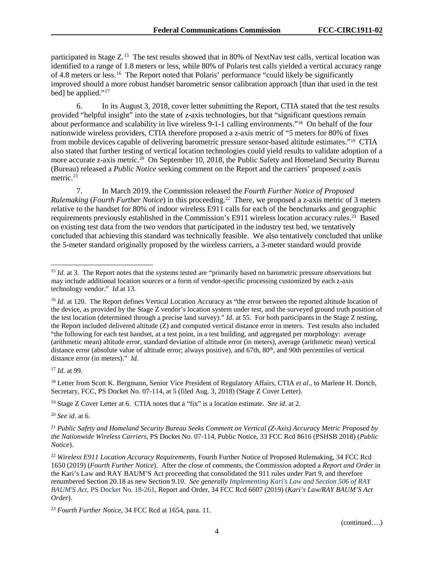participated in Stage Z.<sup>[15](#page-4-0)</sup> The test results showed that in 80% of NextNav test calls, vertical location was identified to a range of 1.8 meters or less, while 80% of Polaris test calls yielded a vertical accuracy range of 4.8 meters or less.[16](#page-4-1) The Report noted that Polaris' performance "could likely be significantly improved should a more robust handset barometric sensor calibration approach [than that used in the test bed] be applied."<sup>17</sup>

6. In its August 3, 2018, cover letter submitting the Report, CTIA stated that the test results provided "helpful insight" into the state of z-axis technologies, but that "significant questions remain about performance and scalability in live wireless 9-1-1 calling environments."[18](#page-4-3) On behalf of the four nationwide wireless providers, CTIA therefore proposed a z-axis metric of "5 meters for 80% of fixes from mobile devices capable of delivering barometric pressure sensor-based altitude estimates."[19](#page-4-4) CTIA also stated that further testing of vertical location technologies could yield results to validate adoption of a more accurate z-axis metric.<sup>20</sup> On September 10, 2018, the Public Safety and Homeland Security Bureau (Bureau) released a *Public Notice* seeking comment on the Report and the carriers' proposed z-axis metric.<sup>[21](#page-4-6)</sup>

7. In March 2019, the Commission released the *Fourth Further Notice of Proposed Rulemaking* (*Fourth Further Notice*) in this proceeding.<sup>22</sup> There, we proposed a z-axis metric of 3 meters relative to the handset for 80% of indoor wireless E911 calls for each of the benchmarks and geographic requirements previously established in the Commission's E911 wireless location accuracy rules.[23](#page-4-8) Based on existing test data from the two vendors that participated in the industry test bed, we tentatively concluded that achieving this standard was technically feasible. We also tentatively concluded that unlike the 5-meter standard originally proposed by the wireless carriers, a 3-meter standard would provide

<span id="page-4-2"></span><sup>17</sup> *Id.* at 99.

<span id="page-4-3"></span><sup>18</sup> Letter from Scott K. Bergmann, Senior Vice President of Regulatory Affairs, CTIA *et al*., to Marlene H. Dortch, Secretary, FCC, PS Docket No. 07-114, at 5 (filed Aug. 3, 2018) (Stage Z Cover Letter).

<span id="page-4-4"></span><sup>19</sup> Stage Z Cover Letter at 6. CTIA notes that a "fix" is a location estimate. *See id*. at 2.

<span id="page-4-5"></span><sup>20</sup> *See id*. at 6.

<span id="page-4-0"></span><sup>&</sup>lt;sup>15</sup> *Id.* at 3. The Report notes that the systems tested are "primarily based on barometric pressure observations but may include additional location sources or a form of vendor-specific processing customized by each z-axis technology vendor." *Id.*at 13.

<span id="page-4-1"></span><sup>&</sup>lt;sup>16</sup> *Id.* at 120. The Report defines Vertical Location Accuracy as "the error between the reported altitude location of the device, as provided by the Stage Z vendor's location system under test, and the surveyed ground truth position of the test location (determined through a precise land survey)." *Id*. at 55. For both participants in the Stage Z testing, the Report included delivered altitude (Z) and computed vertical distance error in meters. Test results also included "the following for each test handset, at a test point, in a test building, and aggregated per morphology: average (arithmetic mean) altitude error, standard deviation of altitude error (in meters), average (arithmetic mean) vertical distance error (absolute value of altitude error; always positive), and 67th, 80<sup>th</sup>, and 90th percentiles of vertical distance error (in meters)." *Id*.

<span id="page-4-6"></span><sup>21</sup> *Public Safety and Homeland Security Bureau Seeks Comment on Vertical (Z-Axis) Accuracy Metric Proposed by the Nationwide Wireless Carriers*, PS Docket No. 07-114, Public Notice, 33 FCC Rcd 8616 (PSHSB 2018) (*Public Notice*).

<span id="page-4-7"></span><sup>22</sup> *Wireless E911 Location Accuracy Requirements*, Fourth Further Notice of Proposed Rulemaking, 34 FCC Rcd 1650 (2019) (*Fourth Further Notice*). After the close of comments, the Commission adopted a *Report and Order* in the Kari's Law and RAY BAUM'S Act proceeding that consolidated the 911 rules under Part 9, and therefore renumbered Section 20.18 as new Section 9.10. *See generally Implementing Kari's Law and Section 506 of RAY BAUM'S Act,* PS Docket No. 18-261, Report and Order, 34 FCC Rcd 6607 (2019) (*Kari's Law/RAY BAUM'S Act Order*).

<span id="page-4-8"></span><sup>23</sup> *Fourth Further Notice*, 34 FCC Rcd at 1654, para. 11.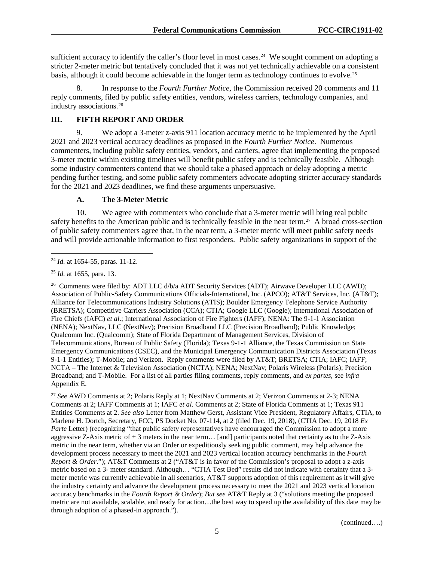sufficient accuracy to identify the caller's floor level in most cases.<sup>[24](#page-5-0)</sup> We sought comment on adopting a stricter 2-meter metric but tentatively concluded that it was not yet technically achievable on a consistent basis, although it could become achievable in the longer term as technology continues to evolve.<sup>[25](#page-5-1)</sup>

8. In response to the *Fourth Further Notice*, the Commission received 20 comments and 11 reply comments, filed by public safety entities, vendors, wireless carriers, technology companies, and industry associations.[26](#page-5-2) 

## **III. FIFTH REPORT AND ORDER**

9. We adopt a 3-meter z-axis 911 location accuracy metric to be implemented by the April 2021 and 2023 vertical accuracy deadlines as proposed in the *Fourth Further Notice*. Numerous commenters, including public safety entities, vendors, and carriers, agree that implementing the proposed 3-meter metric within existing timelines will benefit public safety and is technically feasible. Although some industry commenters contend that we should take a phased approach or delay adopting a metric pending further testing, and some public safety commenters advocate adopting stricter accuracy standards for the 2021 and 2023 deadlines, we find these arguments unpersuasive.

## **A. The 3-Meter Metric**

10. We agree with commenters who conclude that a 3-meter metric will bring real public safety benefits to the American public and is technically feasible in the near term.<sup>[27](#page-5-3)</sup> A broad cross-section of public safety commenters agree that, in the near term, a 3-meter metric will meet public safety needs and will provide actionable information to first responders. Public safety organizations in support of the

<span id="page-5-2"></span><sup>26</sup> Comments were filed by: ADT LLC  $d/b/a$  ADT Security Services (ADT); Airwave Developer LLC (AWD); Association of Public-Safety Communications Officials-International, Inc. (APCO); AT&T Services, Inc. (AT&T); Alliance for Telecommunications Industry Solutions (ATIS); Boulder Emergency Telephone Service Authority (BRETSA); Competitive Carriers Association (CCA); CTIA; Google LLC (Google); International Association of Fire Chiefs (IAFC) *et al*.; International Association of Fire Fighters (IAFF); NENA: The 9-1-1 Association (NENA); NextNav, LLC (NextNav); Precision Broadband LLC (Precision Broadband); Public Knowledge; Qualcomm Inc. (Qualcomm); State of Florida Department of Management Services, Division of Telecommunications, Bureau of Public Safety (Florida); Texas 9-1-1 Alliance, the Texas Commission on State Emergency Communications (CSEC), and the Municipal Emergency Communication Districts Association (Texas 9-1-1 Entities); T-Mobile; and Verizon. Reply comments were filed by AT&T; BRETSA; CTIA; IAFC; IAFF; NCTA – The Internet & Television Association (NCTA); NENA; NextNav; Polaris Wireless (Polaris); Precision Broadband; and T-Mobile. For a list of all parties filing comments, reply comments, and *ex partes*, see *infra* Appendix E.

<span id="page-5-3"></span><sup>27</sup> *See* AWD Comments at 2; Polaris Reply at 1; NextNav Comments at 2; Verizon Comments at 2-3; NENA Comments at 2; IAFF Comments at 1; IAFC *et al*. Comments at 2; State of Florida Comments at 1; Texas 911 Entities Comments at 2. *See also* Letter from Matthew Gerst, Assistant Vice President, Regulatory Affairs, CTIA, to Marlene H. Dortch, Secretary, FCC, PS Docket No. 07-114, at 2 (filed Dec. 19, 2018), (CTIA Dec. 19, 2018 *Ex Parte Letter*) (recognizing "that public safety representatives have encouraged the Commission to adopt a more aggressive Z-Axis metric of  $\pm 3$  meters in the near term... [and] participants noted that certainty as to the Z-Axis metric in the near term, whether via an Order or expeditiously seeking public comment, may help advance the development process necessary to meet the 2021 and 2023 vertical location accuracy benchmarks in the *Fourth Report & Order*."); AT&T Comments at 2 ("AT&T is in favor of the Commission's proposal to adopt a z-axis metric based on a 3- meter standard. Although… "CTIA Test Bed" results did not indicate with certainty that a 3 meter metric was currently achievable in all scenarios, AT&T supports adoption of this requirement as it will give the industry certainty and advance the development process necessary to meet the 2021 and 2023 vertical location accuracy benchmarks in the *Fourth Report & Order*); *But see* AT&T Reply at 3 ("solutions meeting the proposed metric are not available, scalable, and ready for action…the best way to speed up the availability of this date may be through adoption of a phased-in approach.").

(continued….)

<span id="page-5-0"></span> <sup>24</sup> *Id.* at 1654-55, paras. 11-12.

<span id="page-5-1"></span><sup>25</sup> *Id.* at 1655, para. 13.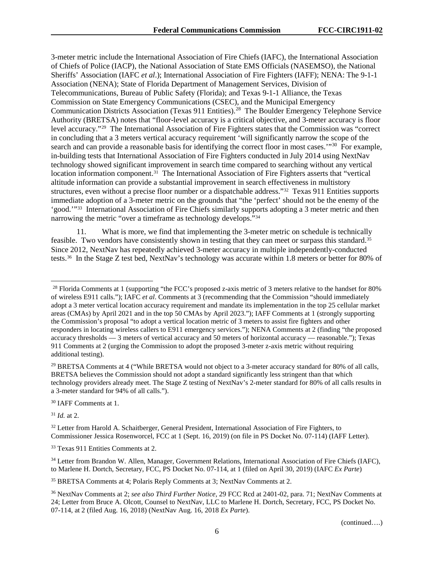3-meter metric include the International Association of Fire Chiefs (IAFC), the International Association of Chiefs of Police (IACP), the National Association of State EMS Officials (NASEMSO), the National Sheriffs' Association (IAFC *et al*.); International Association of Fire Fighters (IAFF); NENA: The 9-1-1 Association (NENA); State of Florida Department of Management Services, Division of Telecommunications, Bureau of Public Safety (Florida); and Texas 9-1-1 Alliance, the Texas Commission on State Emergency Communications (CSEC), and the Municipal Emergency Communication Districts Association (Texas 911 Entities). [28](#page-6-0) The Boulder Emergency Telephone Service Authority (BRETSA) notes that "floor-level accuracy is a critical objective, and 3-meter accuracy is floor level accuracy."[29](#page-6-1) The International Association of Fire Fighters states that the Commission was "correct in concluding that a 3 meters vertical accuracy requirement 'will significantly narrow the scope of the search and can provide a reasonable basis for identifying the correct floor in most cases."<sup>30</sup> For example, in-building tests that International Association of Fire Fighters conducted in July 2014 using NextNav technology showed significant improvement in search time compared to searching without any vertical location information component.<sup>[31](#page-6-3)</sup> The International Association of Fire Fighters asserts that "vertical altitude information can provide a substantial improvement in search effectiveness in multistory structures, even without a precise floor number or a dispatchable address."[32](#page-6-4) Texas 911 Entities supports immediate adoption of a 3-meter metric on the grounds that "the 'perfect' should not be the enemy of the 'good.'["33](#page-6-5) International Association of Fire Chiefs similarly supports adopting a 3 meter metric and then narrowing the metric "over a timeframe as technology develops."[34](#page-6-6)

11. What is more, we find that implementing the 3-meter metric on schedule is technically feasible. Two vendors have consistently shown in testing that they can meet or surpass this standard.[35](#page-6-7) Since 2012, NextNav has repeatedly achieved 3-meter accuracy in multiple independently-conducted tests.[36](#page-6-8) In the Stage Z test bed, NextNav's technology was accurate within 1.8 meters or better for 80% of

<span id="page-6-2"></span><sup>30</sup> IAFF Comments at 1.

<span id="page-6-3"></span><sup>31</sup> *Id.* at 2.

<span id="page-6-4"></span><sup>32</sup> Letter from Harold A. Schaitberger, General President, International Association of Fire Fighters, to Commissioner Jessica Rosenworcel, FCC at 1 (Sept. 16, 2019) (on file in PS Docket No. 07-114) (IAFF Letter).

<span id="page-6-5"></span><sup>33</sup> Texas 911 Entities Comments at 2.

<span id="page-6-0"></span><sup>&</sup>lt;sup>28</sup> Florida Comments at 1 (supporting "the FCC's proposed z-axis metric of 3 meters relative to the handset for 80% of wireless E911 calls."); IAFC *et al*. Comments at 3 (recommending that the Commission "should immediately adopt a 3 meter vertical location accuracy requirement and mandate its implementation in the top 25 cellular market areas (CMAs) by April 2021 and in the top 50 CMAs by April 2023."); IAFF Comments at 1 (strongly supporting the Commission's proposal "to adopt a vertical location metric of 3 meters to assist fire fighters and other responders in locating wireless callers to E911 emergency services."); NENA Comments at 2 (finding "the proposed accuracy thresholds — 3 meters of vertical accuracy and 50 meters of horizontal accuracy — reasonable."); Texas 911 Comments at 2 (urging the Commission to adopt the proposed 3-meter z-axis metric without requiring additional testing).

<span id="page-6-1"></span><sup>&</sup>lt;sup>29</sup> BRETSA Comments at 4 ("While BRETSA would not object to a 3-meter accuracy standard for 80% of all calls, BRETSA believes the Commission should not adopt a standard significantly less stringent than that which technology providers already meet. The Stage Z testing of NextNav's 2-meter standard for 80% of all calls results in a 3-meter standard for 94% of all calls.").

<span id="page-6-6"></span><sup>&</sup>lt;sup>34</sup> Letter from Brandon W. Allen, Manager, Government Relations, International Association of Fire Chiefs (IAFC), to Marlene H. Dortch, Secretary, FCC, PS Docket No. 07-114, at 1 (filed on April 30, 2019) (IAFC *Ex Parte*)

<span id="page-6-7"></span><sup>35</sup> BRETSA Comments at 4; Polaris Reply Comments at 3; NextNav Comments at 2.

<span id="page-6-8"></span><sup>36</sup> NextNav Comments at 2; *see also Third Further Notice*, 29 FCC Rcd at 2401-02, para. 71; NextNav Comments at 24; Letter from Bruce A. Olcott, Counsel to NextNav, LLC to Marlene H. Dortch, Secretary, FCC, PS Docket No. 07-114, at 2 (filed Aug. 16, 2018) (NextNav Aug. 16, 2018 *Ex Parte*).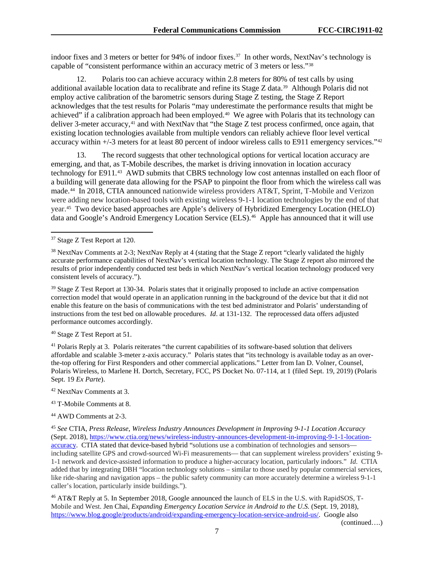indoor fixes and 3 meters or better for 94% of indoor fixes.<sup>[37](#page-7-0)</sup> In other words, NextNav's technology is capable of "consistent performance within an accuracy metric of 3 meters or less."[38](#page-7-1)

12. Polaris too can achieve accuracy within 2.8 meters for 80% of test calls by using additional available location data to recalibrate and refine its Stage Z data[.39](#page-7-2) Although Polaris did not employ active calibration of the barometric sensors during Stage Z testing, the Stage Z Report acknowledges that the test results for Polaris "may underestimate the performance results that might be achieved" if a calibration approach had been employed.<sup>40</sup> We agree with Polaris that its technology can deliver 3-meter accuracy,<sup>[41](#page-7-4)</sup> and with NextNav that "the Stage Z test process confirmed, once again, that existing location technologies available from multiple vendors can reliably achieve floor level vertical accuracy within +/-3 meters for at least 80 percent of indoor wireless calls to E911 emergency services."[42](#page-7-5)

13. The record suggests that other technological options for vertical location accuracy are emerging, and that, as T-Mobile describes, the market is driving innovation in location accuracy technology for E911.<sup>[43](#page-7-6)</sup> AWD submits that CBRS technology low cost antennas installed on each floor of a building will generate data allowing for the PSAP to pinpoint the floor from which the wireless call was made.[44](#page-7-7) In 2018, CTIA announced nationwide wireless providers AT&T, Sprint, T-Mobile and Verizon were adding new location-based tools with existing wireless 9-1-1 location technologies by the end of that year.[45](#page-7-8) Two device based approaches are Apple's delivery of Hybridized Emergency Location (HELO) data and Google's Android Emergency Location Service (ELS).<sup>[46](#page-7-9)</sup> Apple has announced that it will use

<span id="page-7-2"></span><sup>39</sup> Stage Z Test Report at 130-34. Polaris states that it originally proposed to include an active compensation correction model that would operate in an application running in the background of the device but that it did not enable this feature on the basis of communications with the test bed administrator and Polaris' understanding of instructions from the test bed on allowable procedures. *Id*. at 131-132. The reprocessed data offers adjusted performance outcomes accordingly.

<span id="page-7-3"></span><sup>40</sup> Stage Z Test Report at 51.

<span id="page-7-4"></span><sup>41</sup> Polaris Reply at 3. Polaris reiterates "the current capabilities of its software-based solution that delivers affordable and scalable 3-meter z-axis accuracy." Polaris states that "its technology is available today as an overthe-top offering for First Responders and other commercial applications." Letter from Ian D. Volner, Counsel, Polaris Wireless, to Marlene H. Dortch, Secretary, FCC, PS Docket No. 07-114, at 1 (filed Sept. 19, 2019) (Polaris Sept. 19 *Ex Parte*).

<span id="page-7-5"></span><sup>42</sup> NextNav Comments at 3.

- <span id="page-7-6"></span><sup>43</sup> T-Mobile Comments at 8.
- <span id="page-7-7"></span><sup>44</sup> AWD Comments at 2-3.

<span id="page-7-8"></span><sup>45</sup> *See* CTIA, *Press Release*, *Wireless Industry Announces Development in Improving 9-1-1 Location Accuracy* (Sept. 2018), [https://www.ctia.org/news/wireless-industry-announces-development-in-improving-9-1-1-location](https://www.ctia.org/news/wireless-industry-announces-development-in-improving-9-1-1-location-accuracy)[accuracy.](https://www.ctia.org/news/wireless-industry-announces-development-in-improving-9-1-1-location-accuracy) CTIA stated that device-based hybrid "solutions use a combination of technologies and sensors including satellite GPS and crowd-sourced Wi-Fi measurements— that can supplement wireless providers' existing 9- 1-1 network and device-assisted information to produce a higher-accuracy location, particularly indoors." *Id*. CTIA added that by integrating DBH "location technology solutions – similar to those used by popular commercial services, like ride-sharing and navigation apps – the public safety community can more accurately determine a wireless 9-1-1 caller's location, particularly inside buildings.").

<span id="page-7-9"></span><sup>46</sup> AT&T Reply at 5. In September 2018, Google announced the launch of ELS in the U.S. with RapidSOS, T-Mobile and West. Jen Chai, *Expanding Emergency Location Service in Android to the U.S.* (Sept. 19, 2018), [https://www.blog.google/products/android/expanding-emergency-location-service-android-us/.](https://www.blog.google/products/android/expanding-emergency-location-service-android-us/) Google also

(continued….)

<span id="page-7-0"></span> <sup>37</sup> Stage Z Test Report at 120.

<span id="page-7-1"></span><sup>38</sup> NextNav Comments at 2-3; NextNav Reply at 4 (stating that the Stage Z report "clearly validated the highly accurate performance capabilities of NextNav's vertical location technology. The Stage Z report also mirrored the results of prior independently conducted test beds in which NextNav's vertical location technology produced very consistent levels of accuracy.").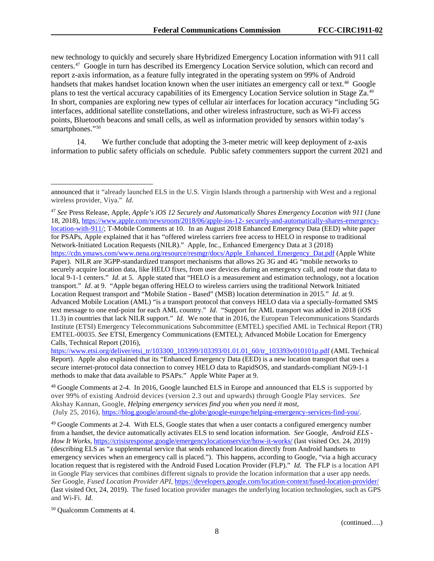new technology to quickly and securely share Hybridized Emergency Location information with 911 call centers.[47](#page-8-0) Google in turn has described its Emergency Location Service solution, which can record and report z-axis information, as a feature fully integrated in the operating system on 99% of Android handsets that makes handset location known when the user initiates an emergency call or text.<sup>[48](#page-8-1)</sup> Google plans to test the vertical accuracy capabilities of its Emergency Location Service solution in Stage Za.[49](#page-8-2) In short, companies are exploring new types of cellular air interfaces for location accuracy "including 5G interfaces, additional satellite constellations, and other wireless infrastructure, such as Wi-Fi access points, Bluetooth beacons and small cells, as well as information provided by sensors within today's smartphones."<sup>[50](#page-8-3)</sup>

14. We further conclude that adopting the 3-meter metric will keep deployment of z-axis information to public safety officials on schedule. Public safety commenters support the current 2021 and

<span id="page-8-0"></span><sup>47</sup> *See* Press Release, Apple, *Apple's iOS 12 Securely and Automatically Shares Emergency Location with 911* (June 18, 2018), [https://www.apple.com/newsroom/2018/06/apple-ios-12-](https://www.apple.com/newsroom/2018/06/apple-ios-12-%20securely-and-automatically-shares-emergency-location-with-911/) securely-and-automatically-shares-emergency[location-with-911/;](https://www.apple.com/newsroom/2018/06/apple-ios-12-%20securely-and-automatically-shares-emergency-location-with-911/) T-Mobile Comments at 10. In an August 2018 Enhanced Emergency Data (EED) white paper for PSAPs, Apple explained that it has "offered wireless carriers free access to HELO in response to traditional Network-Initiated Location Requests (NILR)." Apple, Inc., Enhanced Emergency Data at 3 (2018) [https://cdn.ymaws.com/www.nena.org/resource/resmgr/docs/Apple\\_Enhanced\\_Emergency\\_Dat.pdf](https://cdn.ymaws.com/www.nena.org/resource/resmgr/docs/Apple_Enhanced_Emergency_Dat.pdf) (Apple White Paper). NILR are 3GPP-standardized transport mechanisms that allows 2G 3G and 4G "mobile networks to securely acquire location data, like HELO fixes, from user devices during an emergency call, and route that data to local 9-1-1 centers." *Id.* at 5. Apple stated that "HELO is a measurement and estimation technology, not a location transport." *Id*. at 9. "Apple began offering HELO to wireless carriers using the traditional Network Initiated Location Request transport and "Mobile Station - Based" (MSB) location determination in 2015." *Id*. at 9. Advanced Mobile Location (AML) "is a transport protocol that conveys HELO data via a specially-formatted SMS text message to one end-point for each AML country." *Id*. "Support for AML transport was added in 2018 (iOS 11.3) in countries that lack NILR support." *Id*. We note that in 2016, the European Telecommunications Standards Institute (ETSI) Emergency Telecommunications Subcommittee (EMTEL) specified AML in Technical Report (TR) EMTEL-00035. *See* ETSI, Emergency Communications (EMTEL); Advanced Mobile Location for Emergency Calls, Technical Report (2016),

[https://www.etsi.org/deliver/etsi\\_tr/103300\\_103399/103393/01.01.01\\_60/tr\\_103393v010101p.pdf](https://www.etsi.org/deliver/etsi_tr/103300_103399/103393/01.01.01_60/tr_103393v010101p.pdf) (AML Technical Report). Apple also explained that its "Enhanced Emergency Data (EED) is a new location transport that uses a secure internet-protocol data connection to convey HELO data to RapidSOS, and standards-compliant NG9-1-1 methods to make that data available to PSAPs." Apple White Paper at 9.

<span id="page-8-1"></span><sup>48</sup> Google Comments at 2-4. In 2016, Google launched ELS in Europe and announced that ELS is supported by over 99% of existing Android devices (version 2.3 out and upwards) through Google Play services. *See* Akshay Kannan, Google, *Helping emergency services find you when you need it most*, (July 25, 2016), [https://blog.google/around-the-globe/google-europe/helping-emergency-services-find-you/.](https://blog.google/around-the-globe/google-europe/helping-emergency-services-find-you/)

<span id="page-8-2"></span><sup>49</sup> Google Comments at 2-4. With ELS, Google states that when a user contacts a configured emergency number from a handset, the device automatically activates ELS to send location information. *See* Google, *Android ELS - How It Works*,<https://crisisresponse.google/emergencylocationservice/how-it-works/> (last visited Oct. 24, 2019) (describing ELS as "a supplemental service that sends enhanced location directly from Android handsets to emergency services when an emergency call is placed."). This happens, according to Google, "via a high accuracy location request that is registered with the Android Fused Location Provider (FLP)." *Id*. The FLP is a location API in Google Play services that combines different signals to provide the location information that a user app needs. *See* Google, *Fused Location Provider API*,<https://developers.google.com/location-context/fused-location-provider/> (last visited Oct, 24, 2019). The fused location provider manages the underlying location technologies, such as GPS and Wi-Fi. *Id*.

<span id="page-8-3"></span><sup>50</sup> Qualcomm Comments at 4.

 $\overline{a}$ 

announced that it "already launched ELS in the U.S. Virgin Islands through a partnership with West and a regional wireless provider, Viya." *Id*.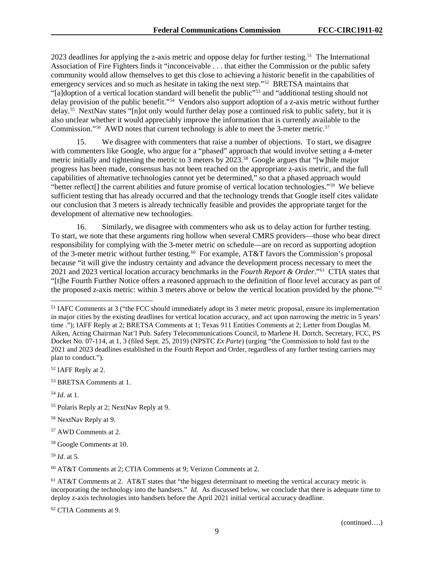2023 deadlines for applying the z-axis metric and oppose delay for further testing.<sup>[51](#page-9-0)</sup> The International Association of Fire Fighters finds it "inconceivable . . . that either the Commission or the public safety community would allow themselves to get this close to achieving a historic benefit in the capabilities of emergency services and so much as hesitate in taking the next step."<sup>52</sup> BRETSA maintains that "[a]doption of a vertical location standard will benefit the public"[53](#page-9-2) and "additional testing should not delay provision of the public benefit."[54](#page-9-3) Vendors also support adoption of a z-axis metric without further delay.[55](#page-9-4) NextNav states "[n]ot only would further delay pose a continued risk to public safety, but it is also unclear whether it would appreciably improve the information that is currently available to the Commission."<sup>[56](#page-9-5)</sup> AWD notes that current technology is able to meet the 3-meter metric.<sup>[57](#page-9-6)</sup>

15. We disagree with commenters that raise a number of objections. To start, we disagree with commenters like Google, who argue for a "phased" approach that would involve setting a 4-meter metric initially and tightening the metric to 3 meters by 2023.<sup>[58](#page-9-7)</sup> Google argues that "[w]hile major progress has been made, consensus has not been reached on the appropriate z-axis metric, and the full capabilities of alternative technologies cannot yet be determined," so that a phased approach would "better reflect[] the current abilities and future promise of vertical location technologies."[59](#page-9-8) We believe sufficient testing that has already occurred and that the technology trends that Google itself cites validate our conclusion that 3 meters is already technically feasible and provides the appropriate target for the development of alternative new technologies.

16. Similarly, we disagree with commenters who ask us to delay action for further testing. To start, we note that these arguments ring hollow when several CMRS providers—those who bear direct responsibility for complying with the 3-meter metric on schedule—are on record as supporting adoption of the 3-meter metric without further testing.<sup>[60](#page-9-9)</sup> For example, AT&T favors the Commission's proposal because "it will give the industry certainty and advance the development process necessary to meet the 2021 and 2023 vertical location accuracy benchmarks in the *Fourth Report & Order*."[61](#page-9-10) CTIA states that "[t]he Fourth Further Notice offers a reasoned approach to the definition of floor level accuracy as part of the proposed z-axis metric: within 3 meters above or below the vertical location provided by the phone."[62](#page-9-11)

<span id="page-9-1"></span><sup>52</sup> IAFF Reply at 2.

<span id="page-9-2"></span><sup>53</sup> BRETSA Comments at 1.

<span id="page-9-3"></span><sup>54</sup> *Id*. at 1.

<span id="page-9-0"></span> <sup>51</sup> IAFC Comments at 3 ("the FCC should immediately adopt its 3 meter metric proposal, ensure its implementation in major cities by the existing deadlines for vertical location accuracy, and act upon narrowing the metric in 5 years' time ."); IAFF Reply at 2; BRETSA Comments at 1; Texas 911 Entities Comments at 2; Letter from Douglas M. Aiken, Acting Chairman Nat'l Pub. Safety Telecommunications Council, to Marlene H. Dortch, Secretary, FCC, PS Docket No. 07-114, at 1, 3 (filed Sept. 25, 2019) (NPSTC *Ex Parte*) (urging "the Commission to hold fast to the 2021 and 2023 deadlines established in the Fourth Report and Order, regardless of any further testing carriers may plan to conduct.").

<span id="page-9-4"></span><sup>55</sup> Polaris Reply at 2; NextNav Reply at 9.

<span id="page-9-5"></span><sup>56</sup> NextNav Reply at 9.

<span id="page-9-6"></span><sup>57</sup> AWD Comments at 2.

<span id="page-9-7"></span><sup>58</sup> Google Comments at 10.

<span id="page-9-8"></span><sup>59</sup> *Id*. at 5.

<span id="page-9-9"></span><sup>60</sup> AT&T Comments at 2; CTIA Comments at 9; Verizon Comments at 2.

<span id="page-9-10"></span> $<sup>61</sup> AT&T$  Comments at 2. AT&T states that "the biggest determinant to meeting the vertical accuracy metric is</sup> incorporating the technology into the handsets." *Id.* As discussed below, we conclude that there is adequate time to deploy z-axis technologies into handsets before the April 2021 initial vertical accuracy deadline.

<span id="page-9-11"></span><sup>62</sup> CTIA Comments at 9.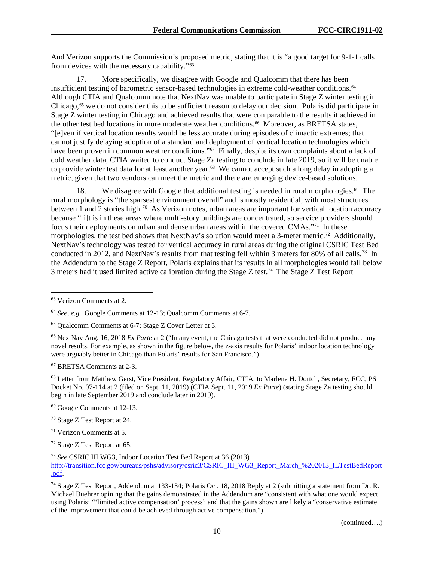And Verizon supports the Commission's proposed metric, stating that it is "a good target for 9-1-1 calls from devices with the necessary capability."[63](#page-10-0)

17. More specifically, we disagree with Google and Qualcomm that there has been insufficient testing of barometric sensor-based technologies in extreme cold-weather conditions. [64](#page-10-1) Although CTIA and Qualcomm note that NextNav was unable to participate in Stage Z winter testing in Chicago,<sup>[65](#page-10-2)</sup> we do not consider this to be sufficient reason to delay our decision. Polaris did participate in Stage Z winter testing in Chicago and achieved results that were comparable to the results it achieved in the other test bed locations in more moderate weather conditions. [66](#page-10-3) Moreover, as BRETSA states, "[e]ven if vertical location results would be less accurate during episodes of climactic extremes; that cannot justify delaying adoption of a standard and deployment of vertical location technologies which have been proven in common weather conditions."<sup>67</sup> Finally, despite its own complaints about a lack of cold weather data, CTIA waited to conduct Stage Za testing to conclude in late 2019, so it will be unable to provide winter test data for at least another year.<sup>[68](#page-10-5)</sup> We cannot accept such a long delay in adopting a metric, given that two vendors can meet the metric and there are emerging device-based solutions.

18. We disagree with Google that additional testing is needed in rural morphologies. [69](#page-10-6) The rural morphology is "the sparsest environment overall" and is mostly residential, with most structures between 1 and 2 stories high.<sup>70</sup> As Verizon notes, urban areas are important for vertical location accuracy because "[i]t is in these areas where multi-story buildings are concentrated, so service providers should focus their deployments on urban and dense urban areas within the covered CMAs."<sup>[71](#page-10-8)</sup> In these morphologies, the test bed shows that NextNav's solution would meet a 3-meter metric.<sup>72</sup> Additionally, NextNav's technology was tested for vertical accuracy in rural areas during the original CSRIC Test Bed conducted in 2012, and NextNav's results from that testing fell within 3 meters for 80% of all calls.<sup>73</sup> In the Addendum to the Stage Z Report, Polaris explains that its results in all morphologies would fall below 3 meters had it used limited active calibration during the Stage Z test.[74](#page-10-11) The Stage Z Test Report

<span id="page-10-4"></span><sup>67</sup> BRETSA Comments at 2-3.

<span id="page-10-5"></span><sup>68</sup> Letter from Matthew Gerst, Vice President, Regulatory Affair, CTIA, to Marlene H. Dortch, Secretary, FCC, PS Docket No. 07-114 at 2 (filed on Sept. 11, 2019) (CTIA Sept. 11, 2019 *Ex Parte*) (stating Stage Za testing should begin in late September 2019 and conclude later in 2019).

<span id="page-10-6"></span><sup>69</sup> Google Comments at 12-13.

<span id="page-10-7"></span><sup>70</sup> Stage Z Test Report at 24.

<span id="page-10-8"></span><sup>71</sup> Verizon Comments at 5.

<span id="page-10-10"></span><sup>73</sup> *See* CSRIC III WG3, Indoor Location Test Bed Report at 36 (2013) [http://transition.fcc.gov/bureaus/pshs/advisory/csric3/CSRIC\\_III\\_WG3\\_Report\\_March\\_%202013\\_ILTestBedReport](http://transition.fcc.gov/bureaus/pshs/advisory/csric3/CSRIC_III_WG3_Report_March_%202013_ILTestBedReport) .pdf.

<span id="page-10-11"></span><sup>74</sup> Stage Z Test Report, Addendum at 133-134; Polaris Oct. 18, 2018 Reply at 2 (submitting a statement from Dr. R. Michael Buehrer opining that the gains demonstrated in the Addendum are "consistent with what one would expect using Polaris' "'limited active compensation' process" and that the gains shown are likely a "conservative estimate of the improvement that could be achieved through active compensation.")

<span id="page-10-0"></span> <sup>63</sup> Verizon Comments at 2.

<span id="page-10-1"></span><sup>64</sup> *See, e.g.*, Google Comments at 12-13; Qualcomm Comments at 6-7.

<span id="page-10-2"></span><sup>65</sup> Qualcomm Comments at 6-7; Stage Z Cover Letter at 3.

<span id="page-10-3"></span><sup>66</sup> NextNav Aug. 16, 2018 *Ex Parte* at 2 ("In any event, the Chicago tests that were conducted did not produce any novel results. For example, as shown in the figure below, the z-axis results for Polaris' indoor location technology were arguably better in Chicago than Polaris' results for San Francisco.").

<span id="page-10-9"></span><sup>72</sup> Stage Z Test Report at 65.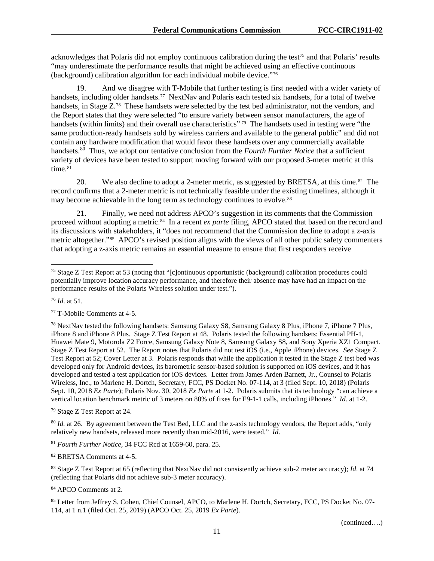acknowledges that Polaris did not employ continuous calibration during the test[75](#page-11-0) and that Polaris' results "may underestimate the performance results that might be achieved using an effective continuous (background) calibration algorithm for each individual mobile device."[76](#page-11-1)

19. And we disagree with T-Mobile that further testing is first needed with a wider variety of handsets, including older handsets.<sup>77</sup> NextNav and Polaris each tested six handsets, for a total of twelve handsets, in Stage Z.<sup>[78](#page-11-3)</sup> These handsets were selected by the test bed administrator, not the vendors, and the Report states that they were selected "to ensure variety between sensor manufacturers, the age of handsets (within limits) and their overall use characteristics"<sup>[79](#page-11-4)</sup> The handsets used in testing were "the same production-ready handsets sold by wireless carriers and available to the general public" and did not contain any hardware modification that would favor these handsets over any commercially available handsets. [80](#page-11-5) Thus, we adopt our tentative conclusion from the *Fourth Further Notice* that a sufficient variety of devices have been tested to support moving forward with our proposed 3-meter metric at this  $time<sup>81</sup>$  $time<sup>81</sup>$  $time<sup>81</sup>$ 

20. We also decline to adopt a 2-meter metric, as suggested by BRETSA, at this time.<sup>82</sup> The record confirms that a 2-meter metric is not technically feasible under the existing timelines, although it may become achievable in the long term as technology continues to evolve.<sup>[83](#page-11-8)</sup>

21. Finally, we need not address APCO's suggestion in its comments that the Commission proceed without adopting a metric.[84](#page-11-9) In a recent *ex parte* filing, APCO stated that based on the record and its discussions with stakeholders, it "does not recommend that the Commission decline to adopt a z-axis metric altogether."[85](#page-11-10) APCO's revised position aligns with the views of all other public safety commenters that adopting a z-axis metric remains an essential measure to ensure that first responders receive

<span id="page-11-1"></span><sup>76</sup> *Id*. at 51.

<span id="page-11-2"></span><sup>77</sup> T-Mobile Comments at 4-5.

<span id="page-11-3"></span><sup>78</sup> NextNav tested the following handsets: Samsung Galaxy S8, Samsung Galaxy 8 Plus, iPhone 7, iPhone 7 Plus, iPhone 8 and iPhone 8 Plus. Stage Z Test Report at 48. Polaris tested the following handsets: Essential PH-1, Huawei Mate 9, Motorola Z2 Force, Samsung Galaxy Note 8, Samsung Galaxy S8, and Sony Xperia XZ1 Compact. Stage Z Test Report at 52. The Report notes that Polaris did not test iOS (i.e., Apple iPhone) devices. *See* Stage Z Test Report at 52; Cover Letter at 3. Polaris responds that while the application it tested in the Stage Z test bed was developed only for Android devices, its barometric sensor-based solution is supported on iOS devices, and it has developed and tested a test application for iOS devices. Letter from James Arden Barnett, Jr., Counsel to Polaris Wireless, Inc., to Marlene H. Dortch, Secretary, FCC, PS Docket No. 07-114, at 3 (filed Sept. 10, 2018) (Polaris Sept. 10, 2018 *Ex Parte*); Polaris Nov. 30, 2018 *Ex Parte* at 1-2. Polaris submits that its technology "can achieve a vertical location benchmark metric of 3 meters on 80% of fixes for E9-1-1 calls, including iPhones." *Id*. at 1-2.

<span id="page-11-4"></span><sup>79</sup> Stage Z Test Report at 24.

<span id="page-11-5"></span><sup>80</sup> *Id.* at 26. By agreement between the Test Bed, LLC and the z-axis technology vendors, the Report adds, "only relatively new handsets, released more recently than mid-2016, were tested." *Id*.

<span id="page-11-6"></span><sup>81</sup> *Fourth Further Notice,* 34 FCC Rcd at 1659-60, para. 25.

<span id="page-11-7"></span><sup>82</sup> BRETSA Comments at 4-5.

<span id="page-11-8"></span><sup>83</sup> Stage Z Test Report at 65 (reflecting that NextNav did not consistently achieve sub-2 meter accuracy); *Id*. at 74 (reflecting that Polaris did not achieve sub-3 meter accuracy).

<span id="page-11-9"></span><sup>84</sup> APCO Comments at 2.

<span id="page-11-10"></span>85 Letter from Jeffrey S. Cohen, Chief Counsel, APCO, to Marlene H. Dortch, Secretary, FCC, PS Docket No. 07-114, at 1 n.1 (filed Oct. 25, 2019) (APCO Oct. 25, 2019 *Ex Parte*).

(continued….)

<span id="page-11-0"></span> <sup>75</sup> Stage Z Test Report at 53 (noting that "[c]ontinuous opportunistic (background) calibration procedures could potentially improve location accuracy performance, and therefore their absence may have had an impact on the performance results of the Polaris Wireless solution under test.").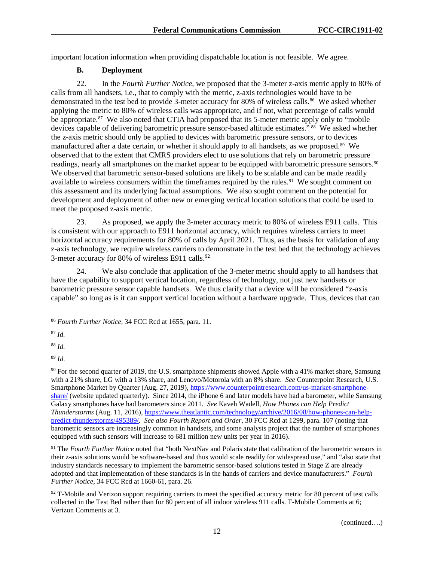important location information when providing dispatchable location is not feasible. We agree.

## **B. Deployment**

22. In the *Fourth Further Notice*, we proposed that the 3-meter z-axis metric apply to 80% of calls from all handsets, i.e., that to comply with the metric, z-axis technologies would have to be demonstrated in the test bed to provide 3-meter accuracy for 80% of wireless calls.<sup>86</sup> We asked whether applying the metric to 80% of wireless calls was appropriate, and if not, what percentage of calls would be appropriate.<sup>87</sup> We also noted that CTIA had proposed that its 5-meter metric apply only to "mobile" devices capable of delivering barometric pressure sensor-based altitude estimates." [88](#page-12-2) We asked whether the z-axis metric should only be applied to devices with barometric pressure sensors, or to devices manufactured after a date certain, or whether it should apply to all handsets, as we proposed.[89](#page-12-3) We observed that to the extent that CMRS providers elect to use solutions that rely on barometric pressure readings, nearly all smartphones on the market appear to be equipped with barometric pressure sensors.<sup>[90](#page-12-4)</sup> We observed that barometric sensor-based solutions are likely to be scalable and can be made readily available to wireless consumers within the timeframes required by the rules.<sup>[91](#page-12-5)</sup> We sought comment on this assessment and its underlying factual assumptions. We also sought comment on the potential for development and deployment of other new or emerging vertical location solutions that could be used to meet the proposed z-axis metric.

23. As proposed, we apply the 3-meter accuracy metric to 80% of wireless E911 calls. This is consistent with our approach to E911 horizontal accuracy, which requires wireless carriers to meet horizontal accuracy requirements for 80% of calls by April 2021. Thus, as the basis for validation of any z-axis technology, we require wireless carriers to demonstrate in the test bed that the technology achieves 3-meter accuracy for 80% of wireless E911 calls.<sup>[92](#page-12-6)</sup>

24. We also conclude that application of the 3-meter metric should apply to all handsets that have the capability to support vertical location, regardless of technology, not just new handsets or barometric pressure sensor capable handsets. We thus clarify that a device will be considered "z-axis capable" so long as is it can support vertical location without a hardware upgrade. Thus, devices that can

<span id="page-12-1"></span><sup>87</sup> *Id.*

<span id="page-12-2"></span><sup>88</sup> *Id.*

<span id="page-12-3"></span><sup>89</sup> *Id*.

<span id="page-12-5"></span><sup>91</sup> The *Fourth Further Notice* noted that "both NextNav and Polaris state that calibration of the barometric sensors in their z-axis solutions would be software-based and thus would scale readily for widespread use," and "also state that industry standards necessary to implement the barometric sensor-based solutions tested in Stage Z are already adopted and that implementation of these standards is in the hands of carriers and device manufacturers." *Fourth Further Notice*, 34 FCC Rcd at 1660-61, para. 26.

<span id="page-12-6"></span> $92$  T-Mobile and Verizon support requiring carriers to meet the specified accuracy metric for 80 percent of test calls collected in the Test Bed rather than for 80 percent of all indoor wireless 911 calls. T-Mobile Comments at 6; Verizon Comments at 3.

<span id="page-12-0"></span> <sup>86</sup> *Fourth Further Notice,* 34 FCC Rcd at 1655, para. 11.

<span id="page-12-4"></span><sup>&</sup>lt;sup>90</sup> For the second quarter of 2019, the U.S. smartphone shipments showed Apple with a 41% market share, Samsung with a 21% share, LG with a 13% share, and Lenovo/Motorola with an 8% share. *See* Counterpoint Research, U.S. Smartphone Market by Quarter (Aug. 27, 2019)[, https://www.counterpointresearch.com/us-market-smartphone](https://www.counterpointresearch.com/us-market-smartphone-share/)[share/](https://www.counterpointresearch.com/us-market-smartphone-share/) (website updated quarterly). Since 2014, the iPhone 6 and later models have had a barometer, while Samsung Galaxy smartphones have had barometers since 2011. *See* Kaveh Wadell, *How Phones can Help Predict Thunderstorms* (Aug. 11, 2016), [https://www.theatlantic.com/technology/archive/2016/08/how-phones-can-help](https://www.theatlantic.com/technology/archive/2016/08/how-phones-can-help-predict-thunderstorms/495389/)[predict-thunderstorms/495389/.](https://www.theatlantic.com/technology/archive/2016/08/how-phones-can-help-predict-thunderstorms/495389/) *See also Fourth Report and Order*, 30 FCC Rcd at 1299, para. 107 (noting that barometric sensors are increasingly common in handsets, and some analysts project that the number of smartphones equipped with such sensors will increase to 681 million new units per year in 2016).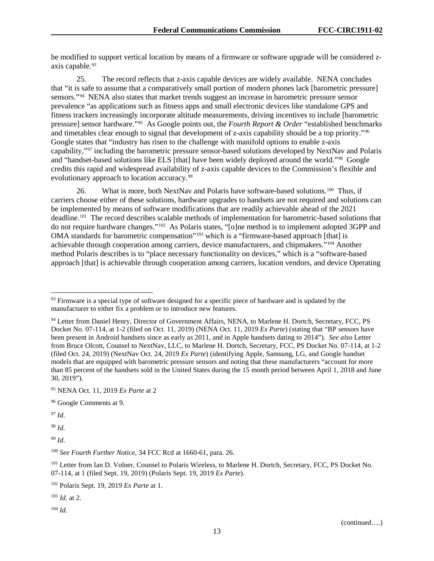be modified to support vertical location by means of a firmware or software upgrade will be considered zaxis capable.<sup>93</sup>

25. The record reflects that z-axis capable devices are widely available. NENA concludes that "it is safe to assume that a comparatively small portion of modern phones lack [barometric pressure] sensors."<sup>[94](#page-13-1)</sup> NENA also states that market trends suggest an increase in barometric pressure sensor prevalence "as applications such as fitness apps and small electronic devices like standalone GPS and fitness trackers increasingly incorporate altitude measurements, driving incentives to include [barometric pressure] sensor hardware."[95](#page-13-2) As Google points out, the *Fourth Report & Order* "established benchmarks and timetables clear enough to signal that development of z-axis capability should be a top priority."[96](#page-13-3) Google states that "industry has risen to the challenge with manifold options to enable z-axis capability,["97](#page-13-4) including the barometric pressure sensor-based solutions developed by NextNav and Polaris and "handset-based solutions like ELS [that] have been widely deployed around the world."[98](#page-13-5) Google credits this rapid and widespread availability of z-axis capable devices to the Commission's flexible and evolutionary approach to location accuracy.<sup>[99](#page-13-6)</sup>

26. What is more, both NextNav and Polaris have software-based solutions.<sup>[100](#page-13-7)</sup> Thus, if carriers choose either of these solutions, hardware upgrades to handsets are not required and solutions can be implemented by means of software modifications that are readily achievable ahead of the 2021 deadline.[101](#page-13-8) The record describes scalable methods of implementation for barometric-based solutions that do not require hardware changes."[102](#page-13-9) As Polaris states, "[o]ne method is to implement adopted 3GPP and OMA standards for barometric compensation"<sup>[103](#page-13-10)</sup> which is a "firmware-based approach [that] is achievable through cooperation among carriers, device manufacturers, and chipmakers."[104](#page-13-11) Another method Polaris describes is to "place necessary functionality on devices," which is a "software-based approach [that] is achievable through cooperation among carriers, location vendors, and device Operating

<span id="page-13-4"></span><sup>97</sup> *Id*.

<span id="page-13-5"></span><sup>98</sup> *Id.*

<span id="page-13-6"></span><sup>99</sup> *Id*.

<span id="page-13-10"></span><sup>103</sup> *Id*. at 2.

<span id="page-13-11"></span><sup>104</sup> *Id*.

<span id="page-13-0"></span><sup>&</sup>lt;sup>93</sup> Firmware is a special type of software designed for a specific piece of hardware and is updated by the manufacturer to either fix a problem or to introduce new features.

<span id="page-13-1"></span><sup>94</sup> Letter from Daniel Henry, Director of Government Affairs, NENA, to Marlene H. Dortch, Secretary, FCC, PS Docket No. 07-114, at 1-2 (filed on Oct. 11, 2019) (NENA Oct. 11, 2019 *Ex Parte*) (stating that "BP sensors have been present in Android handsets since as early as 2011, and in Apple handsets dating to 2014"). *See also* Letter from Bruce Olcott, Counsel to NextNav, LLC, to Marlene H. Dortch, Secretary, FCC, PS Docket No. 07-114, at 1-2 (filed Oct. 24, 2019) (NextNav Oct. 24, 2019 *Ex Parte*) (identifying Apple, Samsung, LG, and Google handset models that are equipped with barometric pressure sensors and noting that these manufacturers "account for more than 85 percent of the handsets sold in the United States during the 15 month period between April 1, 2018 and June 30, 2019").

<span id="page-13-2"></span><sup>95</sup> NENA Oct. 11, 2019 *Ex Parte* at 2

<span id="page-13-3"></span><sup>96</sup> Google Comments at 9.

<span id="page-13-7"></span><sup>100</sup> *See Fourth Further Notice*, 34 FCC Rcd at 1660-61, para. 26.

<span id="page-13-8"></span><sup>&</sup>lt;sup>101</sup> Letter from Ian D. Volner, Counsel to Polaris Wireless, to Marlene H. Dortch, Secretary, FCC, PS Docket No. 07-114, at 1 (filed Sept. 19, 2019) (Polaris Sept. 19, 2019 *Ex Parte*).

<span id="page-13-9"></span><sup>102</sup> Polaris Sept. 19, 2019 *Ex Parte* at 1.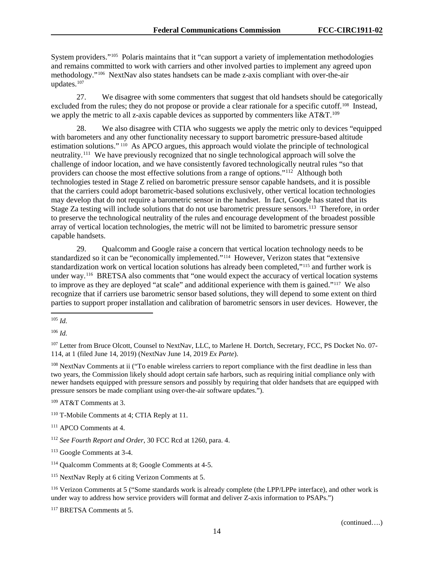System providers."<sup>[105](#page-14-0)</sup> Polaris maintains that it "can support a variety of implementation methodologies and remains committed to work with carriers and other involved parties to implement any agreed upon methodology."[106](#page-14-1) NextNav also states handsets can be made z-axis compliant with over-the-air updates.[107](#page-14-2)

27. We disagree with some commenters that suggest that old handsets should be categorically excluded from the rules; they do not propose or provide a clear rationale for a specific cutoff.<sup>[108](#page-14-3)</sup> Instead, we apply the metric to all z-axis capable devices as supported by commenters like  $AT&T.^{109}$  $AT&T.^{109}$  $AT&T.^{109}$ 

28. We also disagree with CTIA who suggests we apply the metric only to devices "equipped with barometers and any other functionality necessary to support barometric pressure-based altitude estimation solutions." [110](#page-14-5) As APCO argues, this approach would violate the principle of technological neutrality.[111](#page-14-6) We have previously recognized that no single technological approach will solve the challenge of indoor location, and we have consistently favored technologically neutral rules "so that providers can choose the most effective solutions from a range of options."[112](#page-14-7) Although both technologies tested in Stage Z relied on barometric pressure sensor capable handsets, and it is possible that the carriers could adopt barometric-based solutions exclusively, other vertical location technologies may develop that do not require a barometric sensor in the handset. In fact, Google has stated that its Stage Za testing will include solutions that do not use barometric pressure sensors.<sup>[113](#page-14-8)</sup> Therefore, in order to preserve the technological neutrality of the rules and encourage development of the broadest possible array of vertical location technologies, the metric will not be limited to barometric pressure sensor capable handsets.

29. Qualcomm and Google raise a concern that vertical location technology needs to be standardized so it can be "economically implemented."[114](#page-14-9) However, Verizon states that "extensive standardization work on vertical location solutions has already been completed,["115](#page-14-10) and further work is under way.<sup>[116](#page-14-11)</sup> BRETSA also comments that "one would expect the accuracy of vertical location systems to improve as they are deployed "at scale" and additional experience with them is gained."[117](#page-14-12) We also recognize that if carriers use barometric sensor based solutions, they will depend to some extent on third parties to support proper installation and calibration of barometric sensors in user devices. However, the

<span id="page-14-2"></span><sup>107</sup> Letter from Bruce Olcott, Counsel to NextNav, LLC, to Marlene H. Dortch, Secretary, FCC, PS Docket No. 07- 114, at 1 (filed June 14, 2019) (NextNav June 14, 2019 *Ex Parte*).

<span id="page-14-3"></span><sup>108</sup> NextNav Comments at ii ("To enable wireless carriers to report compliance with the first deadline in less than two years, the Commission likely should adopt certain safe harbors, such as requiring initial compliance only with newer handsets equipped with pressure sensors and possibly by requiring that older handsets that are equipped with pressure sensors be made compliant using over-the-air software updates.").

<span id="page-14-4"></span><sup>109</sup> AT&T Comments at 3.

<span id="page-14-5"></span><sup>110</sup> T-Mobile Comments at 4; CTIA Reply at 11.

<span id="page-14-6"></span><sup>111</sup> APCO Comments at 4.

<span id="page-14-8"></span><sup>113</sup> Google Comments at 3-4.

<span id="page-14-10"></span><sup>115</sup> NextNav Reply at 6 citing Verizon Comments at 5.

<span id="page-14-11"></span><sup>116</sup> Verizon Comments at 5 ("Some standards work is already complete (the LPP/LPPe interface), and other work is under way to address how service providers will format and deliver Z-axis information to PSAPs.")

<span id="page-14-12"></span><sup>117</sup> BRETSA Comments at 5.

<span id="page-14-0"></span> <sup>105</sup> *Id.*

<span id="page-14-1"></span><sup>106</sup> *Id.*

<span id="page-14-7"></span><sup>112</sup> *See Fourth Report and Order*, 30 FCC Rcd at 1260, para. 4.

<span id="page-14-9"></span><sup>114</sup> Qualcomm Comments at 8; Google Comments at 4-5.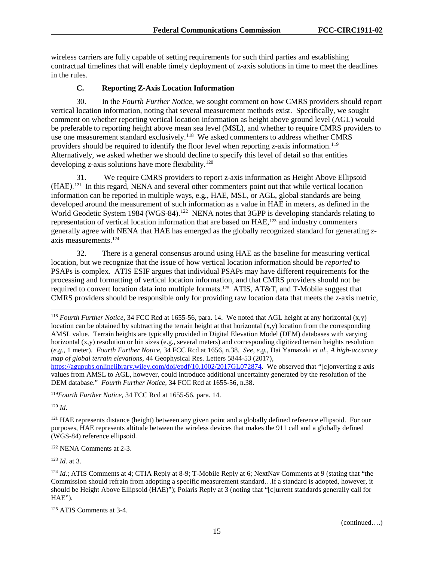wireless carriers are fully capable of setting requirements for such third parties and establishing contractual timelines that will enable timely deployment of z-axis solutions in time to meet the deadlines in the rules.

# **C. Reporting Z-Axis Location Information**

30. In the *Fourth Further Notice*, we sought comment on how CMRS providers should report vertical location information, noting that several measurement methods exist. Specifically, we sought comment on whether reporting vertical location information as height above ground level (AGL) would be preferable to reporting height above mean sea level (MSL), and whether to require CMRS providers to use one measurement standard exclusively.<sup>[118](#page-15-0)</sup> We asked commenters to address whether CMRS providers should be required to identify the floor level when reporting z-axis information.<sup>119</sup> Alternatively, we asked whether we should decline to specify this level of detail so that entities developing z-axis solutions have more flexibility.<sup>[120](#page-15-2)</sup>

31. We require CMRS providers to report z-axis information as Height Above Ellipsoid (HAE). [121](#page-15-3) In this regard, NENA and several other commenters point out that while vertical location information can be reported in multiple ways, e.g., HAE, MSL, or AGL, global standards are being developed around the measurement of such information as a value in HAE in meters, as defined in the World Geodetic System 1984 (WGS-84).<sup>[122](#page-15-4)</sup> NENA notes that 3GPP is developing standards relating to representation of vertical location information that are based on HAE,<sup>[123](#page-15-5)</sup> and industry commenters generally agree with NENA that HAE has emerged as the globally recognized standard for generating zaxis measurements.[124](#page-15-6)

32. There is a general consensus around using HAE as the baseline for measuring vertical location, but we recognize that the issue of how vertical location information should be *reported* to PSAPs is complex. ATIS ESIF argues that individual PSAPs may have different requirements for the processing and formatting of vertical location information, and that CMRS providers should not be required to convert location data into multiple formats.<sup>125</sup> ATIS, AT&T, and T-Mobile suggest that CMRS providers should be responsible only for providing raw location data that meets the z-axis metric,

<span id="page-15-1"></span><sup>119</sup>*Fourth Further Notice*, 34 FCC Rcd at 1655-56, para. 14.

<span id="page-15-2"></span><sup>120</sup> *Id*.

<span id="page-15-4"></span><sup>122</sup> NENA Comments at 2-3.

<span id="page-15-5"></span><sup>123</sup> *Id.* at 3.

<span id="page-15-0"></span> <sup>118</sup> *Fourth Further Notice,* 34 FCC Rcd at 1655-56, para. 14. We noted that AGL height at any horizontal (x,y) location can be obtained by subtracting the terrain height at that horizontal  $(x,y)$  location from the corresponding AMSL value. Terrain heights are typically provided in Digital Elevation Model (DEM) databases with varying horizontal (x,y) resolution or bin sizes (e.g., several meters) and corresponding digitized terrain heights resolution (*e.g*., 1 meter). *Fourth Further Notice,* 34 FCC Rcd at 1656, n.38. *See, e.g.*, Dai Yamazaki *et al*., *A high-accuracy map of global terrain elevations*, 44 Geophysical Res. Letters 5844-53 (2017),

[https://agupubs.onlinelibrary.wiley.com/doi/epdf/10.1002/2017GL072874.](https://agupubs.onlinelibrary.wiley.com/doi/epdf/10.1002/2017GL072874) We observed that "[c]onverting z axis values from AMSL to AGL, however, could introduce additional uncertainty generated by the resolution of the DEM database." *Fourth Further Notice,* 34 FCC Rcd at 1655-56, n.38.

<span id="page-15-3"></span><sup>&</sup>lt;sup>121</sup> HAE represents distance (height) between any given point and a globally defined reference ellipsoid. For our purposes, HAE represents altitude between the wireless devices that makes the 911 call and a globally defined (WGS-84) reference ellipsoid.

<span id="page-15-6"></span><sup>&</sup>lt;sup>124</sup> *Id.*; ATIS Comments at 4; CTIA Reply at 8-9; T-Mobile Reply at 6; NextNav Comments at 9 (stating that "the Commission should refrain from adopting a specific measurement standard…If a standard is adopted, however, it should be Height Above Ellipsoid (HAE)"); Polaris Reply at 3 (noting that "[c]urrent standards generally call for HAE").

<span id="page-15-7"></span><sup>125</sup> ATIS Comments at 3-4.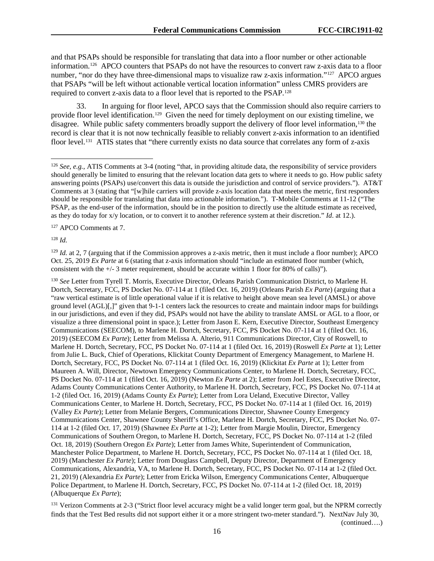and that PSAPs should be responsible for translating that data into a floor number or other actionable information.[126](#page-16-0) APCO counters that PSAPs do not have the resources to convert raw z-axis data to a floor number, "nor do they have three-dimensional maps to visualize raw z-axis information."<sup>127</sup> APCO argues that PSAPs "will be left without actionable vertical location information" unless CMRS providers are required to convert z-axis data to a floor level that is reported to the PSAP.[128](#page-16-2)

33. In arguing for floor level, APCO says that the Commission should also require carriers to provide floor level identification.<sup>[129](#page-16-3)</sup> Given the need for timely deployment on our existing timeline, we disagree. While public safety commenters broadly support the delivery of floor level information,<sup>[130](#page-16-4)</sup> the record is clear that it is not now technically feasible to reliably convert z-axis information to an identified floor level.<sup>[131](#page-16-5)</sup> ATIS states that "there currently exists no data source that correlates any form of z-axis

<span id="page-16-1"></span><sup>127</sup> APCO Comments at 7.

<span id="page-16-2"></span> $128$  *Id.* 

<span id="page-16-4"></span><sup>130</sup> *See* Letter from Tyrell T. Morris, Executive Director, Orleans Parish Communication District, to Marlene H. Dortch, Secretary, FCC, PS Docket No. 07-114 at 1 (filed Oct. 16, 2019) (Orleans Parish *Ex Parte*) (arguing that a "raw vertical estimate is of little operational value if it is relative to height above mean sea level (AMSL) or above ground level (AGL)[,]" given that 9-1-1 centers lack the resources to create and maintain indoor maps for buildings in our jurisdictions, and even if they did, PSAPs would not have the ability to translate AMSL or AGL to a floor, or visualize a three dimensional point in space.); Letter from Jason E. Kern, Executive Director, Southeast Emergency Communications (SEECOM), to Marlene H. Dortch, Secretary, FCC, PS Docket No. 07-114 at 1 (filed Oct. 16, 2019) (SEECOM *Ex Parte*); Letter from Melissa A. Alterio, 911 Communications Director, City of Roswell, to Marlene H. Dortch, Secretary, FCC, PS Docket No. 07-114 at 1 (filed Oct. 16, 2019) (Roswell *Ex Parte* at 1); Letter from Julie L. Buck, Chief of Operations, Klickitat County Department of Emergency Management, to Marlene H. Dortch, Secretary, FCC, PS Docket No. 07-114 at 1 (filed Oct. 16, 2019) (Klickitat *Ex Parte* at 1); Letter from Maureen A. Will, Director, Newtown Emergency Communications Center, to Marlene H. Dortch, Secretary, FCC, PS Docket No. 07-114 at 1 (filed Oct. 16, 2019) (Newton *Ex Parte* at 2); Letter from Joel Estes, Executive Director, Adams County Communications Center Authority, to Marlene H. Dortch, Secretary, FCC, PS Docket No. 07-114 at 1-2 (filed Oct. 16, 2019) (Adams County *Ex Parte*); Letter from Lora Ueland, Executive Director, Valley Communications Center, to Marlene H. Dortch, Secretary, FCC, PS Docket No. 07-114 at 1 (filed Oct. 16, 2019) (Valley *Ex Parte*); Letter from Melanie Bergers, Communications Director, Shawnee County Emergency Communications Center, Shawnee County Sheriff's Office, Marlene H. Dortch, Secretary, FCC, PS Docket No. 07- 114 at 1-2 (filed Oct. 17, 2019) (Shawnee *Ex Parte* at 1-2); Letter from Margie Moulin, Director, Emergency Communications of Southern Oregon, to Marlene H. Dortch, Secretary, FCC, PS Docket No. 07-114 at 1-2 (filed Oct. 18, 2019) (Southern Oregon *Ex Parte*); Letter from James White, Superintendent of Communication, Manchester Police Department, to Marlene H. Dortch, Secretary, FCC, PS Docket No. 07-114 at 1 (filed Oct. 18, 2019) (Manchester *Ex Parte*); Letter from Douglass Campbell, Deputy Director, Department of Emergency Communications, Alexandria, VA, to Marlene H. Dortch, Secretary, FCC, PS Docket No. 07-114 at 1-2 (filed Oct. 21, 2019) (Alexandria *Ex Parte*); Letter from Ericka Wilson, Emergency Communications Center, Albuquerque Police Department, to Marlene H. Dortch, Secretary, FCC, PS Docket No. 07-114 at 1-2 (filed Oct. 18, 2019) (Albuquerque *Ex Parte*);

<span id="page-16-5"></span><sup>131</sup> Verizon Comments at 2-3 ("Strict floor level accuracy might be a valid longer term goal, but the NPRM correctly finds that the Test Bed results did not support either it or a more stringent two-meter standard."). NextNav July 30, (continued….)

<span id="page-16-0"></span> <sup>126</sup> *See, e.g.*, ATIS Comments at 3-4 (noting "that, in providing altitude data, the responsibility of service providers should generally be limited to ensuring that the relevant location data gets to where it needs to go. How public safety answering points (PSAPs) use/convert this data is outside the jurisdiction and control of service providers."). AT&T Comments at 3 (stating that "[w]hile carriers will provide z-axis location data that meets the metric, first responders should be responsible for translating that data into actionable information."). T-Mobile Comments at 11-12 ("The PSAP, as the end-user of the information, should be in the position to directly use the altitude estimate as received, as they do today for x/y location, or to convert it to another reference system at their discretion." *Id*. at 12.).

<span id="page-16-3"></span> $129$  *Id.* at 2, 7 (arguing that if the Commission approves a z-axis metric, then it must include a floor number); APCO Oct. 25, 2019 *Ex Parte* at 6 (stating that z-axis information should "include an estimated floor number (which, consistent with the +/- 3 meter requirement, should be accurate within 1 floor for 80% of calls)").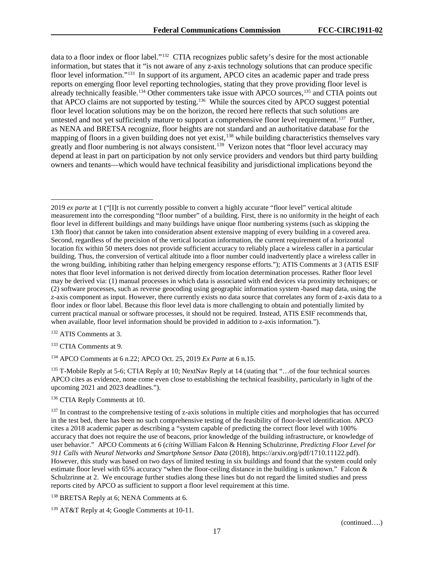data to a floor index or floor label."[132](#page-17-0) CTIA recognizes public safety's desire for the most actionable information, but states that it "is not aware of any z-axis technology solutions that can produce specific floor level information."<sup>[133](#page-17-1)</sup> In support of its argument, APCO cites an academic paper and trade press reports on emerging floor level reporting technologies, stating that they prove providing floor level is already technically feasible.<sup>[134](#page-17-2)</sup> Other commenters take issue with APCO sources,<sup>[135](#page-17-3)</sup> and CTIA points out that APCO claims are not supported by testing.[136](#page-17-4) While the sources cited by APCO suggest potential floor level location solutions may be on the horizon, the record here reflects that such solutions are untested and not yet sufficiently mature to support a comprehensive floor level requirement.[137](#page-17-5) Further, as NENA and BRETSA recognize, floor heights are not standard and an authoritative database for the mapping of floors in a given building does not yet exist, <sup>[138](#page-17-6)</sup> while building characteristics themselves vary greatly and floor numbering is not always consistent.<sup>[139](#page-17-7)</sup> Verizon notes that "floor level accuracy may depend at least in part on participation by not only service providers and vendors but third party building owners and tenants—which would have technical feasibility and jurisdictional implications beyond the

2019 *ex parte* at 1 ("[I]t is not currently possible to convert a highly accurate "floor level" vertical altitude measurement into the corresponding "floor number" of a building. First, there is no uniformity in the height of each floor level in different buildings and many buildings have unique floor numbering systems (such as skipping the 13th floor) that cannot be taken into consideration absent extensive mapping of every building in a covered area. Second, regardless of the precision of the vertical location information, the current requirement of a horizontal location fix within 50 meters does not provide sufficient accuracy to reliably place a wireless caller in a particular building. Thus, the conversion of vertical altitude into a floor number could inadvertently place a wireless caller in the wrong building, inhibiting rather than helping emergency response efforts."); ATIS Comments at 3 (ATIS ESIF notes that floor level information is not derived directly from location determination processes. Rather floor level may be derived via: (1) manual processes in which data is associated with end devices via proximity techniques; or (2) software processes, such as reverse geocoding using geographic information system -based map data, using the z-axis component as input. However, there currently exists no data source that correlates any form of z-axis data to a floor index or floor label. Because this floor level data is more challenging to obtain and potentially limited by current practical manual or software processes, it should not be required. Instead, ATIS ESIF recommends that, when available, floor level information should be provided in addition to z-axis information.").

<span id="page-17-0"></span><sup>132</sup> ATIS Comments at 3.

 $\overline{a}$ 

<span id="page-17-1"></span><sup>133</sup> CTIA Comments at 9.

<span id="page-17-2"></span><sup>134</sup> APCO Comments at 6 n.22; APCO Oct. 25, 2019 *Ex Parte* at 6 n.15.

<span id="page-17-3"></span><sup>135</sup> T-Mobile Reply at 5-6; CTIA Reply at 10; NextNav Reply at 14 (stating that "...of the four technical sources APCO cites as evidence, none come even close to establishing the technical feasibility, particularly in light of the upcoming 2021 and 2023 deadlines.").

<span id="page-17-4"></span><sup>136</sup> CTIA Reply Comments at 10.

<span id="page-17-5"></span><sup>137</sup> In contrast to the comprehensive testing of z-axis solutions in multiple cities and morphologies that has occurred in the test bed, there has been no such comprehensive testing of the feasibility of floor-level identification. APCO cites a 2018 academic paper as describing a "system capable of predicting the correct floor level with 100% accuracy that does not require the use of beacons, prior knowledge of the building infrastructure, or knowledge of user behavior." APCO Comments at 6 (*citing* William Falcon & Henning Schulzrinne, *Predicting Floor Level for 911 Calls with Neural Networks and Smartphone Sensor Data* (2018), https://arxiv.org/pdf/1710.11122.pdf). However, this study was based on two days of limited testing in six buildings and found that the system could only estimate floor level with 65% accuracy "when the floor-ceiling distance in the building is unknown." Falcon & Schulzrinne at 2. We encourage further studies along these lines but do not regard the limited studies and press reports cited by APCO as sufficient to support a floor level requirement at this time.

<span id="page-17-6"></span><sup>138</sup> BRETSA Reply at 6; NENA Comments at 6.

<span id="page-17-7"></span><sup>139</sup> AT&T Reply at 4; Google Comments at 10-11.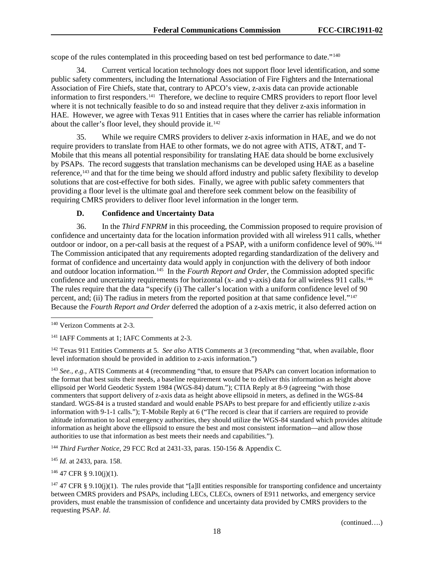scope of the rules contemplated in this proceeding based on test bed performance to date."<sup>[140](#page-18-0)</sup>

34. Current vertical location technology does not support floor level identification, and some public safety commenters, including the International Association of Fire Fighters and the International Association of Fire Chiefs, state that, contrary to APCO's view, z-axis data can provide actionable information to first responders.<sup>141</sup> Therefore, we decline to require CMRS providers to report floor level where it is not technically feasible to do so and instead require that they deliver z-axis information in HAE. However, we agree with Texas 911 Entities that in cases where the carrier has reliable information about the caller's floor level, they should provide it. [142](#page-18-2) 

35. While we require CMRS providers to deliver z-axis information in HAE, and we do not require providers to translate from HAE to other formats, we do not agree with ATIS, AT&T, and T-Mobile that this means all potential responsibility for translating HAE data should be borne exclusively by PSAPs. The record suggests that translation mechanisms can be developed using HAE as a baseline reference,<sup>[143](#page-18-3)</sup> and that for the time being we should afford industry and public safety flexibility to develop solutions that are cost-effective for both sides. Finally, we agree with public safety commenters that providing a floor level is the ultimate goal and therefore seek comment below on the feasibility of requiring CMRS providers to deliver floor level information in the longer term.

#### **D. Confidence and Uncertainty Data**

36. In the *Third FNPRM* in this proceeding, the Commission proposed to require provision of confidence and uncertainty data for the location information provided with all wireless 911 calls, whether outdoor or indoor, on a per-call basis at the request of a PSAP, with a uniform confidence level of 90%.[144](#page-18-4)  The Commission anticipated that any requirements adopted regarding standardization of the delivery and format of confidence and uncertainty data would apply in conjunction with the delivery of both indoor and outdoor location information.[145](#page-18-5) In the *Fourth Report and Order*, the Commission adopted specific confidence and uncertainty requirements for horizontal (x- and y-axis) data for all wireless 911 calls.<sup>146</sup> The rules require that the data "specify (i) The caller's location with a uniform confidence level of 90 percent, and; (ii) The radius in meters from the reported position at that same confidence level.["147](#page-18-7) Because the *Fourth Report and Order* deferred the adoption of a z-axis metric, it also deferred action on

<span id="page-18-2"></span><sup>142</sup> Texas 911 Entities Comments at 5. *See also* ATIS Comments at 3 (recommending "that, when available, floor level information should be provided in addition to z-axis information.")

<span id="page-18-3"></span><sup>143</sup> *See., e.g.*, ATIS Comments at 4 (recommending "that, to ensure that PSAPs can convert location information to the format that best suits their needs, a baseline requirement would be to deliver this information as height above ellipsoid per World Geodetic System 1984 (WGS-84) datum."); CTIA Reply at 8-9 (agreeing "with those commenters that support delivery of z-axis data as height above ellipsoid in meters, as defined in the WGS-84 standard. WGS-84 is a trusted standard and would enable PSAPs to best prepare for and efficiently utilize z-axis information with 9-1-1 calls."); T-Mobile Reply at 6 ("The record is clear that if carriers are required to provide altitude information to local emergency authorities, they should utilize the WGS-84 standard which provides altitude information as height above the ellipsoid to ensure the best and most consistent information—and allow those authorities to use that information as best meets their needs and capabilities.").

<span id="page-18-4"></span><sup>144</sup> *Third Further Notice*, 29 FCC Rcd at 2431-33, paras. 150-156 & Appendix C.

<span id="page-18-5"></span><sup>145</sup> *Id.* at 2433, para. 158.

<span id="page-18-6"></span> $146$  47 CFR § 9.10(j)(1).

<span id="page-18-7"></span><sup>147</sup> 47 CFR § 9.10(j)(1). The rules provide that "[a]ll entities responsible for transporting confidence and uncertainty between CMRS providers and PSAPs, including LECs, CLECs, owners of E911 networks, and emergency service providers, must enable the transmission of confidence and uncertainty data provided by CMRS providers to the requesting PSAP. *Id*.

<span id="page-18-0"></span> <sup>140</sup> Verizon Comments at 2-3.

<span id="page-18-1"></span><sup>141</sup> IAFF Comments at 1; IAFC Comments at 2-3.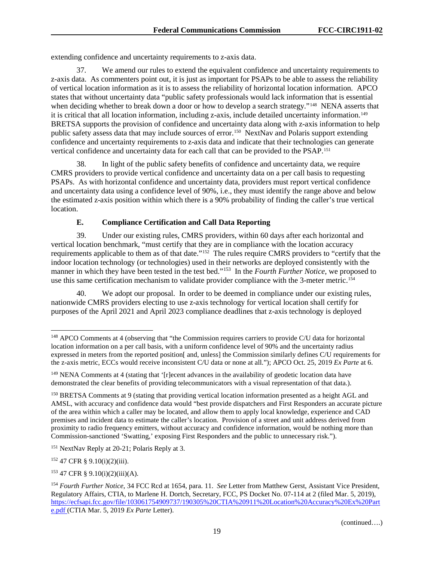extending confidence and uncertainty requirements to z-axis data.

37. We amend our rules to extend the equivalent confidence and uncertainty requirements to z-axis data. As commenters point out, it is just as important for PSAPs to be able to assess the reliability of vertical location information as it is to assess the reliability of horizontal location information. APCO states that without uncertainty data "public safety professionals would lack information that is essential when deciding whether to break down a door or how to develop a search strategy."<sup>[148](#page-19-0)</sup> NENA asserts that it is critical that all location information, including z-axis, include detailed uncertainty information.<sup>149</sup> BRETSA supports the provision of confidence and uncertainty data along with z-axis information to help public safety assess data that may include sources of error.[150](#page-19-2) NextNav and Polaris support extending confidence and uncertainty requirements to z-axis data and indicate that their technologies can generate vertical confidence and uncertainty data for each call that can be provided to the PSAP.[151](#page-19-3)

38. In light of the public safety benefits of confidence and uncertainty data, we require CMRS providers to provide vertical confidence and uncertainty data on a per call basis to requesting PSAPs. As with horizontal confidence and uncertainty data, providers must report vertical confidence and uncertainty data using a confidence level of 90%, i.e., they must identify the range above and below the estimated z-axis position within which there is a 90% probability of finding the caller's true vertical location.

# **E. Compliance Certification and Call Data Reporting**

39. Under our existing rules, CMRS providers, within 60 days after each horizontal and vertical location benchmark, "must certify that they are in compliance with the location accuracy requirements applicable to them as of that date."[152](#page-19-4) The rules require CMRS providers to "certify that the indoor location technology (or technologies) used in their networks are deployed consistently with the manner in which they have been tested in the test bed."[153](#page-19-5) In the *Fourth Further Notice*, we proposed to use this same certification mechanism to validate provider compliance with the 3-meter metric.<sup>154</sup>

40. We adopt our proposal. In order to be deemed in compliance under our existing rules, nationwide CMRS providers electing to use z-axis technology for vertical location shall certify for purposes of the April 2021 and April 2023 compliance deadlines that z-axis technology is deployed

<span id="page-19-4"></span> $152$  47 CFR § 9.10(i)(2)(iii).

<span id="page-19-5"></span><sup>153</sup> 47 CFR § 9.10(i)(2)(iii)(A).

<span id="page-19-0"></span> <sup>148</sup> APCO Comments at 4 (observing that "the Commission requires carriers to provide C/U data for horizontal location information on a per call basis, with a uniform confidence level of 90% and the uncertainty radius expressed in meters from the reported position[ and, unless] the Commission similarly defines C/U requirements for the z-axis metric, ECCs would receive inconsistent C/U data or none at all."); APCO Oct. 25, 2019 *Ex Parte* at 6.

<span id="page-19-1"></span><sup>&</sup>lt;sup>149</sup> NENA Comments at 4 (stating that '[r]ecent advances in the availability of geodetic location data have demonstrated the clear benefits of providing telecommunicators with a visual representation of that data.).

<span id="page-19-2"></span><sup>150</sup> BRETSA Comments at 9 (stating that providing vertical location information presented as a height AGL and AMSL, with accuracy and confidence data would "best provide dispatchers and First Responders an accurate picture of the area within which a caller may be located, and allow them to apply local knowledge, experience and CAD premises and incident data to estimate the caller's location. Provision of a street and unit address derived from proximity to radio frequency emitters, without accuracy and confidence information, would be nothing more than Commission-sanctioned 'Swatting,' exposing First Responders and the public to unnecessary risk.").

<span id="page-19-3"></span><sup>151</sup> NextNav Reply at 20-21; Polaris Reply at 3.

<span id="page-19-6"></span><sup>154</sup> *Fourth Further Notice*, 34 FCC Rcd at 1654, para. 11. *See* Letter from Matthew Gerst, Assistant Vice President, Regulatory Affairs, CTIA, to Marlene H. Dortch, Secretary, FCC, PS Docket No. 07-114 at 2 (filed Mar. 5, 2019), [https://ecfsapi.fcc.gov/file/103061754909737/190305%20CTIA%20911%20Location%20Accuracy%20Ex%20Part](https://ecfsapi.fcc.gov/file/103061754909737/190305%20CTIA%20911%20Location%20Accuracy%20Ex%20Parte.pdf) [e.pdf](https://ecfsapi.fcc.gov/file/103061754909737/190305%20CTIA%20911%20Location%20Accuracy%20Ex%20Parte.pdf) (CTIA Mar. 5, 2019 *Ex Parte* Letter).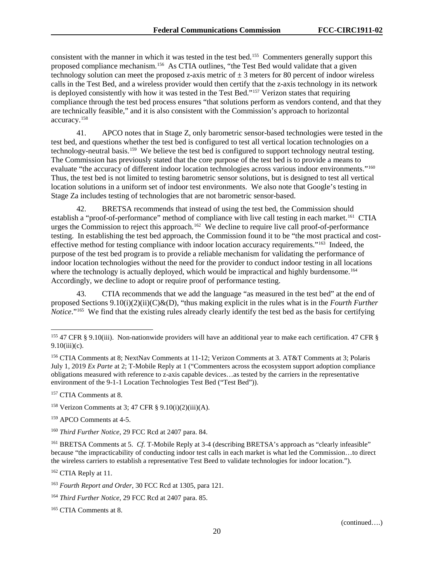consistent with the manner in which it was tested in the test bed.<sup>[155](#page-20-0)</sup> Commenters generally support this proposed compliance mechanism.[156](#page-20-1) As CTIA outlines, "the Test Bed would validate that a given technology solution can meet the proposed z-axis metric of  $\pm$  3 meters for 80 percent of indoor wireless calls in the Test Bed, and a wireless provider would then certify that the z-axis technology in its network is deployed consistently with how it was tested in the Test Bed."<sup>[157](#page-20-2)</sup> Verizon states that requiring compliance through the test bed process ensures "that solutions perform as vendors contend, and that they are technically feasible," and it is also consistent with the Commission's approach to horizontal accuracy.[158](#page-20-3)

41. APCO notes that in Stage Z, only barometric sensor-based technologies were tested in the test bed, and questions whether the test bed is configured to test all vertical location technologies on a technology-neutral basis.[159](#page-20-4) We believe the test bed is configured to support technology neutral testing. The Commission has previously stated that the core purpose of the test bed is to provide a means to evaluate "the accuracy of different indoor location technologies across various indoor environments."<sup>[160](#page-20-5)</sup> Thus, the test bed is not limited to testing barometric sensor solutions, but is designed to test all vertical location solutions in a uniform set of indoor test environments. We also note that Google's testing in Stage Za includes testing of technologies that are not barometric sensor-based.

42. BRETSA recommends that instead of using the test bed, the Commission should establish a "proof-of-performance" method of compliance with live call testing in each market.<sup>[161](#page-20-6)</sup> CTIA urges the Commission to reject this approach.<sup>162</sup> We decline to require live call proof-of-performance testing. In establishing the test bed approach, the Commission found it to be "the most practical and costeffective method for testing compliance with indoor location accuracy requirements."[163](#page-20-8) Indeed, the purpose of the test bed program is to provide a reliable mechanism for validating the performance of indoor location technologies without the need for the provider to conduct indoor testing in all locations where the technology is actually deployed, which would be impractical and highly burdensome.<sup>[164](#page-20-9)</sup> Accordingly, we decline to adopt or require proof of performance testing.

43. CTIA recommends that we add the language "as measured in the test bed" at the end of proposed Sections 9.10(i)(2)(ii)(C)&(D), "thus making explicit in the rules what is in the *Fourth Further Notice*."[165](#page-20-10) We find that the existing rules already clearly identify the test bed as the basis for certifying

<span id="page-20-2"></span><sup>157</sup> CTIA Comments at 8.

<span id="page-20-4"></span><sup>159</sup> APCO Comments at 4-5.

<span id="page-20-0"></span> <sup>155</sup> 47 CFR § 9.10(iii). Non-nationwide providers will have an additional year to make each certification. 47 CFR §  $9.10(iii)(c)$ .

<span id="page-20-1"></span><sup>156</sup> CTIA Comments at 8; NextNav Comments at 11-12; Verizon Comments at 3. AT&T Comments at 3; Polaris July 1, 2019 *Ex Parte* at 2; T-Mobile Reply at 1 ("Commenters across the ecosystem support adoption compliance obligations measured with reference to z-axis capable devices…as tested by the carriers in the representative environment of the 9-1-1 Location Technologies Test Bed ("Test Bed")).

<span id="page-20-3"></span><sup>&</sup>lt;sup>158</sup> Verizon Comments at 3; 47 CFR  $\S$  9.10(i)(2)(iii)(A).

<span id="page-20-5"></span><sup>160</sup> *Third Further Notice,* 29 FCC Rcd at 2407 para. 84.

<span id="page-20-6"></span><sup>&</sup>lt;sup>161</sup> BRETSA Comments at 5. *Cf*. T-Mobile Reply at 3-4 (describing BRETSA's approach as "clearly infeasible" because "the impracticability of conducting indoor test calls in each market is what led the Commission…to direct the wireless carriers to establish a representative Test Beed to validate technologies for indoor location.").

<span id="page-20-7"></span><sup>&</sup>lt;sup>162</sup> CTIA Reply at 11.

<span id="page-20-8"></span><sup>163</sup> *Fourth Report and Order*, 30 FCC Rcd at 1305, para 121.

<span id="page-20-9"></span><sup>164</sup> *Third Further Notice,* 29 FCC Rcd at 2407 para. 85.

<span id="page-20-10"></span><sup>165</sup> CTIA Comments at 8.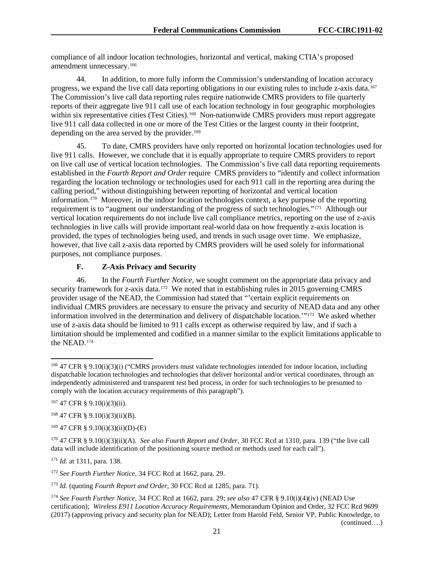compliance of all indoor location technologies, horizontal and vertical, making CTIA's proposed amendment unnecessary.[166](#page-21-0) 

44. In addition, to more fully inform the Commission's understanding of location accuracy progress, we expand the live call data reporting obligations in our existing rules to include z-axis data.[167](#page-21-1)  The Commission's live call data reporting rules require nationwide CMRS providers to file quarterly reports of their aggregate live 911 call use of each location technology in four geographic morphologies within six representative cities (Test Cities).<sup>168</sup> Non-nationwide CMRS providers must report aggregate live 911 call data collected in one or more of the Test Cities or the largest county in their footprint, depending on the area served by the provider.<sup>169</sup>

45. To date, CMRS providers have only reported on horizontal location technologies used for live 911 calls. However, we conclude that it is equally appropriate to require CMRS providers to report on live call use of vertical location technologies. The Commission's live call data reporting requirements established in the *Fourth Report and Order* require CMRS providers to "identify and collect information regarding the location technology or technologies used for each 911 call in the reporting area during the calling period," without distinguishing between reporting of horizontal and vertical location information.[170](#page-21-4) Moreover, in the indoor location technologies context, a key purpose of the reporting requirement is to "augment our understanding of the progress of such technologies."[171](#page-21-5) Although our vertical location requirements do not include live call compliance metrics, reporting on the use of z-axis technologies in live calls will provide important real-world data on how frequently z-axis location is provided, the types of technologies being used, and trends in such usage over time. We emphasize, however, that live call z-axis data reported by CMRS providers will be used solely for informational purposes, not compliance purposes.

#### **F. Z-Axis Privacy and Security**

46. In the *Fourth Further Notice*, we sought comment on the appropriate data privacy and security framework for z-axis data.<sup>172</sup> We noted that in establishing rules in 2015 governing CMRS provider usage of the NEAD, the Commission had stated that "'certain explicit requirements on individual CMRS providers are necessary to ensure the privacy and security of NEAD data and any other information involved in the determination and delivery of dispatchable location.'"[173](#page-21-7) We asked whether use of z-axis data should be limited to 911 calls except as otherwise required by law, and if such a limitation should be implemented and codified in a manner similar to the explicit limitations applicable to the NEAD.[174](#page-21-8) 

<span id="page-21-2"></span> $168$  47 CFR § 9.10(i)(3)(ii)(B).

<span id="page-21-3"></span><sup>169</sup> 47 CFR § 9.10(i)(3)(ii)(D)-(E)

<span id="page-21-5"></span><sup>171</sup> *Id.* at 1311, para. 138.

<span id="page-21-6"></span><sup>172</sup> *See Fourth Further Notice*, 34 FCC Rcd at 1662, para. 29.

<span id="page-21-0"></span> <sup>166</sup> 47 CFR § 9.10(i)(3)(i) ("CMRS providers must validate technologies intended for indoor location, including dispatchable location technologies and technologies that deliver horizontal and/or vertical coordinates, through an independently administered and transparent test bed process, in order for such technologies to be presumed to comply with the location accuracy requirements of this paragraph").

<span id="page-21-1"></span><sup>167</sup> 47 CFR § 9.10(i)(3)(ii).

<span id="page-21-4"></span><sup>170</sup> 47 CFR § 9.10(i)(3)(ii)(A). *See also Fourth Report and Order*, 30 FCC Rcd at 1310, para. 139 ("the live call data will include identification of the positioning source method or methods used for each call").

<span id="page-21-7"></span><sup>173</sup> *Id.* (quoting *Fourth Report and Order*, 30 FCC Rcd at 1285, para. 71).

<span id="page-21-8"></span><sup>174</sup> *See Fourth Further Notice*, 34 FCC Rcd at 1662, para. 29; *see also* 47 CFR § 9.10(i)(4)(iv) (NEAD Use certification); *Wireless E911 Location Accuracy Requirements*, Memorandum Opinion and Order, 32 FCC Rcd 9699 (2017) (approving privacy and security plan for NEAD); Letter from Harold Feld, Senior VP, Public Knowledge, to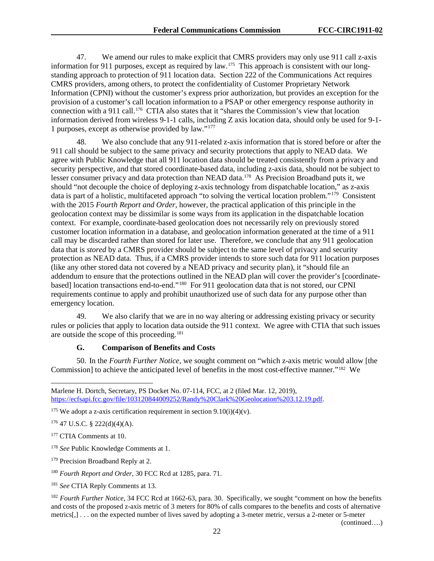<span id="page-22-8"></span>47. We amend our rules to make explicit that CMRS providers may only use 911 call z-axis information for 911 purposes, except as required by law.[175](#page-22-0) This approach is consistent with our longstanding approach to protection of 911 location data. Section 222 of the Communications Act requires CMRS providers, among others, to protect the confidentiality of Customer Proprietary Network Information (CPNI) without the customer's express prior authorization, but provides an exception for the provision of a customer's call location information to a PSAP or other emergency response authority in connection with a 911 call.[176](#page-22-1) CTIA also states that it "shares the Commission's view that location information derived from wireless 9-1-1 calls, including Z axis location data, should only be used for 9-1- 1 purposes, except as otherwise provided by law."[177](#page-22-2)

48. We also conclude that any 911-related z-axis information that is stored before or after the 911 call should be subject to the same privacy and security protections that apply to NEAD data. We agree with Public Knowledge that all 911 location data should be treated consistently from a privacy and security perspective, and that stored coordinate-based data, including z-axis data, should not be subject to lesser consumer privacy and data protection than NEAD data.[178](#page-22-3) As Precision Broadband puts it, we should "not decouple the choice of deploying z-axis technology from dispatchable location," as z-axis data is part of a holistic, multifaceted approach "to solving the vertical location problem."[179](#page-22-4) Consistent with the 2015 *Fourth Report and Order*, however, the practical application of this principle in the geolocation context may be dissimilar is some ways from its application in the dispatchable location context. For example, coordinate-based geolocation does not necessarily rely on previously stored customer location information in a database, and geolocation information generated at the time of a 911 call may be discarded rather than stored for later use. Therefore, we conclude that any 911 geolocation data that is *stored* by a CMRS provider should be subject to the same level of privacy and security protection as NEAD data. Thus, if a CMRS provider intends to store such data for 911 location purposes (like any other stored data not covered by a NEAD privacy and security plan), it "should file an addendum to ensure that the protections outlined in the NEAD plan will cover the provider's [coordinatebased] location transactions end-to-end."[180](#page-22-5) For 911 geolocation data that is not stored, our CPNI requirements continue to apply and prohibit unauthorized use of such data for any purpose other than emergency location.

49. We also clarify that we are in no way altering or addressing existing privacy or security rules or policies that apply to location data outside the 911 context. We agree with CTIA that such issues are outside the scope of this proceeding.[181](#page-22-6)

## **G. Comparison of Benefits and Costs**

50. In the *Fourth Further Notice*, we sought comment on "which z-axis metric would allow [the Commission] to achieve the anticipated level of benefits in the most cost-effective manner."[182](#page-22-7)We

 $\overline{a}$ Marlene H. Dortch, Secretary, PS Docket No. 07-114, FCC, at 2 (filed Mar. 12, 2019), https://ecfsapi.fcc.gov/file/103120844009252/Randy%20Clark%20Geolocation%203.12.19.pdf.

<span id="page-22-1"></span> $176$  47 U.S.C. § 222(d)(4)(A).

(continued….)

<span id="page-22-0"></span><sup>&</sup>lt;sup>175</sup> We adopt a z-axis certification requirement in section 9.10(i)(4)(v).

<span id="page-22-2"></span><sup>&</sup>lt;sup>177</sup> CTIA Comments at 10.

<span id="page-22-3"></span><sup>178</sup> *See* Public Knowledge Comments at 1.

<span id="page-22-4"></span><sup>&</sup>lt;sup>179</sup> Precision Broadband Reply at 2.

<span id="page-22-5"></span><sup>180</sup> *Fourth Report and Order*, 30 FCC Rcd at 1285, para. 71.

<span id="page-22-6"></span><sup>181</sup> *See* CTIA Reply Comments at 13.

<span id="page-22-7"></span><sup>&</sup>lt;sup>182</sup> *Fourth Further Notice*, 34 FCC Rcd at 1662-63, para. 30. Specifically, we sought "comment on how the benefits and costs of the proposed z-axis metric of 3 meters for 80% of calls compares to the benefits and costs of alternative metrics[,] . . . on the expected number of lives saved by adopting a 3-meter metric, versus a 2-meter or 5-meter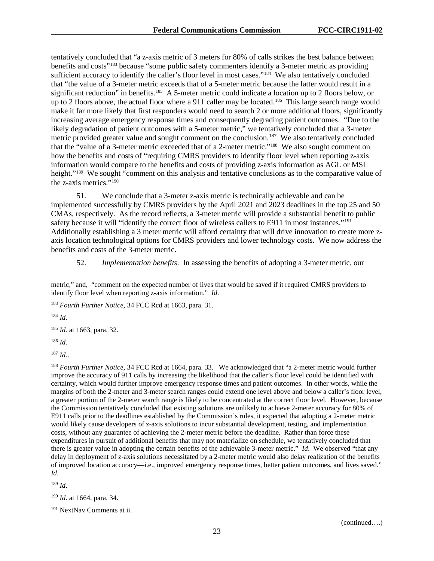tentatively concluded that "a z-axis metric of 3 meters for 80% of calls strikes the best balance between benefits and costs"<sup>[183](#page-23-0)</sup> because "some public safety commenters identify a 3-meter metric as providing sufficient accuracy to identify the caller's floor level in most cases."<sup>[184](#page-23-1)</sup> We also tentatively concluded that "the value of a 3-meter metric exceeds that of a 5-meter metric because the latter would result in a significant reduction" in benefits.<sup>[185](#page-23-2)</sup> A 5-meter metric could indicate a location up to 2 floors below, or up to 2 floors above, the actual floor where a 911 caller may be located.<sup>[186](#page-23-3)</sup> This large search range would make it far more likely that first responders would need to search 2 or more additional floors, significantly increasing average emergency response times and consequently degrading patient outcomes. "Due to the likely degradation of patient outcomes with a 5-meter metric," we tentatively concluded that a 3-meter metric provided greater value and sought comment on the conclusion.<sup>[187](#page-23-4)</sup> We also tentatively concluded that the "value of a 3-meter metric exceeded that of a 2-meter metric."[188](#page-23-5) We also sought comment on how the benefits and costs of "requiring CMRS providers to identify floor level when reporting z-axis information would compare to the benefits and costs of providing z-axis information as AGL or MSL height."<sup>[189](#page-23-6)</sup> We sought "comment on this analysis and tentative conclusions as to the comparative value of the z-axis metrics."[190](#page-23-7)

51. We conclude that a 3-meter z-axis metric is technically achievable and can be implemented successfully by CMRS providers by the April 2021 and 2023 deadlines in the top 25 and 50 CMAs, respectively. As the record reflects, a 3-meter metric will provide a substantial benefit to public safety because it will "identify the correct floor of wireless callers to E911 in most instances."<sup>191</sup> Additionally establishing a 3 meter metric will afford certainty that will drive innovation to create more zaxis location technological options for CMRS providers and lower technology costs. We now address the benefits and costs of the 3-meter metric.

52. *Implementation benefits*. In assessing the benefits of adopting a 3-meter metric, our

<span id="page-23-1"></span><sup>184</sup> *Id.*

 $\overline{a}$ 

<span id="page-23-2"></span><sup>185</sup> *Id.* at 1663, para. 32.

<span id="page-23-3"></span><sup>186</sup> *Id*.

<span id="page-23-4"></span><sup>187</sup> *Id.*.

<span id="page-23-5"></span><sup>188</sup> *Fourth Further Notice*, 34 FCC Rcd at 1664, para. 33. We acknowledged that "a 2-meter metric would further improve the accuracy of 911 calls by increasing the likelihood that the caller's floor level could be identified with certainty, which would further improve emergency response times and patient outcomes. In other words, while the margins of both the 2-meter and 3-meter search ranges could extend one level above and below a caller's floor level, a greater portion of the 2-meter search range is likely to be concentrated at the correct floor level. However, because the Commission tentatively concluded that existing solutions are unlikely to achieve 2-meter accuracy for 80% of E911 calls prior to the deadlines established by the Commission's rules, it expected that adopting a 2-meter metric would likely cause developers of z-axis solutions to incur substantial development, testing, and implementation costs, without any guarantee of achieving the 2-meter metric before the deadline. Rather than force these expenditures in pursuit of additional benefits that may not materialize on schedule, we tentatively concluded that there is greater value in adopting the certain benefits of the achievable 3-meter metric." *Id*. We observed "that any delay in deployment of z-axis solutions necessitated by a 2-meter metric would also delay realization of the benefits of improved location accuracy—i.e., improved emergency response times, better patient outcomes, and lives saved." *Id*.

<span id="page-23-6"></span><sup>189</sup> *Id*.

<span id="page-23-7"></span><sup>190</sup> *Id*. at 1664, para. 34.

<span id="page-23-8"></span><sup>191</sup> NextNav Comments at ii.

metric," and, "comment on the expected number of lives that would be saved if it required CMRS providers to identify floor level when reporting z-axis information." *Id*.

<span id="page-23-0"></span><sup>183</sup> *Fourth Further Notice*, 34 FCC Rcd at 1663, para. 31.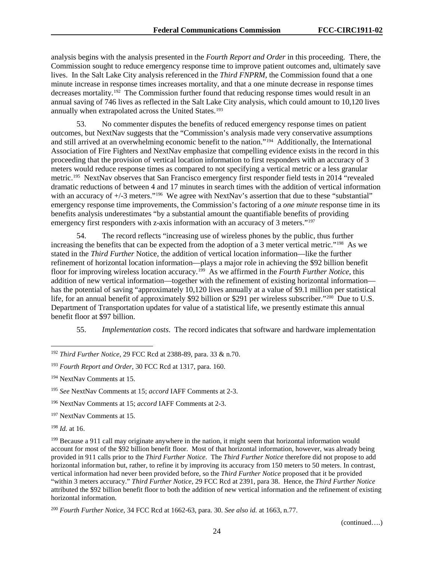analysis begins with the analysis presented in the *Fourth Report and Order* in this proceeding. There, the Commission sought to reduce emergency response time to improve patient outcomes and, ultimately save lives. In the Salt Lake City analysis referenced in the *Third FNPRM*, the Commission found that a one minute increase in response times increases mortality, and that a one minute decrease in response times decreases mortality.<sup>[192](#page-24-0)</sup> The Commission further found that reducing response times would result in an annual saving of 746 lives as reflected in the Salt Lake City analysis, which could amount to 10,120 lives annually when extrapolated across the United States.<sup>193</sup>

53. No commenter disputes the benefits of reduced emergency response times on patient outcomes, but NextNav suggests that the "Commission's analysis made very conservative assumptions and still arrived at an overwhelming economic benefit to the nation."[194](#page-24-2) Additionally, the International Association of Fire Fighters and NextNav emphasize that compelling evidence exists in the record in this proceeding that the provision of vertical location information to first responders with an accuracy of 3 meters would reduce response times as compared to not specifying a vertical metric or a less granular metric.<sup>[195](#page-24-3)</sup> NextNav observes that San Francisco emergency first responder field tests in 2014 "revealed dramatic reductions of between 4 and 17 minutes in search times with the addition of vertical information with an accuracy of  $+/-3$  meters."<sup>196</sup> We agree with NextNav's assertion that due to these "substantial" emergency response time improvements, the Commission's factoring of a *one minute* response time in its benefits analysis underestimates "by a substantial amount the quantifiable benefits of providing emergency first responders with z-axis information with an accuracy of 3 meters."<sup>197</sup>

54. The record reflects "increasing use of wireless phones by the public, thus further increasing the benefits that can be expected from the adoption of a 3 meter vertical metric."[198](#page-24-6) As we stated in the *Third Further* Notice, the addition of vertical location information—like the further refinement of horizontal location information—plays a major role in achieving the \$92 billion benefit floor for improving wireless location accuracy.[199](#page-24-7) As we affirmed in the *Fourth Further Notice*, this addition of new vertical information—together with the refinement of existing horizontal information has the potential of saving "approximately 10,120 lives annually at a value of \$9.1 million per statistical life, for an annual benefit of approximately \$92 billion or \$291 per wireless subscriber."<sup>200</sup> Due to U.S. Department of Transportation updates for value of a statistical life, we presently estimate this annual benefit floor at \$97 billion.

55. *Implementation costs*. The record indicates that software and hardware implementation

<span id="page-24-6"></span><sup>198</sup> *Id.* at 16.

<span id="page-24-0"></span> <sup>192</sup> *Third Further Notice*, 29 FCC Rcd at 2388-89, para. 33 & n.70.

<span id="page-24-1"></span><sup>193</sup> *Fourth Report and Order*, 30 FCC Rcd at 1317, para. 160.

<span id="page-24-2"></span><sup>194</sup> NextNav Comments at 15.

<span id="page-24-3"></span><sup>195</sup> *See* NextNav Comments at 15; *accord* IAFF Comments at 2-3.

<span id="page-24-4"></span><sup>196</sup> NextNav Comments at 15; *accord* IAFF Comments at 2-3.

<span id="page-24-5"></span><sup>197</sup> NextNav Comments at 15.

<span id="page-24-7"></span><sup>&</sup>lt;sup>199</sup> Because a 911 call may originate anywhere in the nation, it might seem that horizontal information would account for most of the \$92 billion benefit floor. Most of that horizontal information, however, was already being provided in 911 calls prior to the *Third Further Notice*. The *Third Further Notice* therefore did not propose to add horizontal information but, rather, to refine it by improving its accuracy from 150 meters to 50 meters. In contrast, vertical information had never been provided before, so the *Third Further Notice* proposed that it be provided "within 3 meters accuracy." *Third Further Notice*, 29 FCC Rcd at 2391, para 38. Hence, the *Third Further Notice*  attributed the \$92 billion benefit floor to both the addition of new vertical information and the refinement of existing horizontal information.

<span id="page-24-8"></span><sup>200</sup> *Fourth Further Notice*, 34 FCC Rcd at 1662-63, para. 30. *See also id.* at 1663, n.77.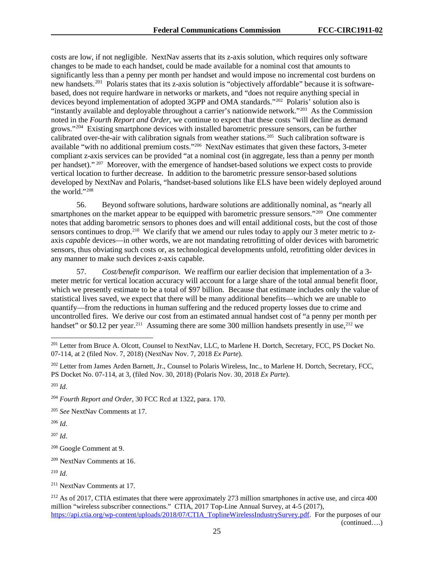costs are low, if not negligible. NextNav asserts that its z-axis solution, which requires only software changes to be made to each handset, could be made available for a nominal cost that amounts to significantly less than a penny per month per handset and would impose no incremental cost burdens on new handsets.[201](#page-25-0) Polaris states that its z-axis solution is "objectively affordable" because it is softwarebased, does not require hardware in networks or markets, and "does not require anything special in devices beyond implementation of adopted 3GPP and OMA standards."[202](#page-25-1) Polaris' solution also is "instantly available and deployable throughout a carrier's nationwide network."[203](#page-25-2) As the Commission noted in the *Fourth Report and Order*, we continue to expect that these costs "will decline as demand grows."[204](#page-25-3) Existing smartphone devices with installed barometric pressure sensors, can be further calibrated over-the-air with calibration signals from weather stations.[205](#page-25-4) Such calibration software is available "with no additional premium costs."[206](#page-25-5) NextNav estimates that given these factors, 3-meter compliant z-axis services can be provided "at a nominal cost (in aggregate, less than a penny per month per handset)." [207](#page-25-6) Moreover, with the emergence of handset-based solutions we expect costs to provide vertical location to further decrease. In addition to the barometric pressure sensor-based solutions developed by NextNav and Polaris, "handset-based solutions like ELS have been widely deployed around the world."[208](#page-25-7)

56. Beyond software solutions, hardware solutions are additionally nominal, as "nearly all smartphones on the market appear to be equipped with barometric pressure sensors."<sup>209</sup> One commenter notes that adding barometric sensors to phones does and will entail additional costs, but the cost of those sensors continues to drop.<sup>210</sup> We clarify that we amend our rules today to apply our 3 meter metric to zaxis *capable* devices—in other words, we are not mandating retrofitting of older devices with barometric sensors, thus obviating such costs or, as technological developments unfold, retrofitting older devices in any manner to make such devices z-axis capable.

57. *Cost/benefit comparison*. We reaffirm our earlier decision that implementation of a 3 meter metric for vertical location accuracy will account for a large share of the total annual benefit floor, which we presently estimate to be a total of \$97 billion. Because that estimate includes only the value of statistical lives saved, we expect that there will be many additional benefits—which we are unable to quantify—from the reductions in human suffering and the reduced property losses due to crime and uncontrolled fires. We derive our cost from an estimated annual handset cost of "a penny per month per handset" or \$0.12 per year.<sup>[211](#page-25-10)</sup> Assuming there are some 300 million handsets presently in use,<sup>[212](#page-25-11)</sup> we

<span id="page-25-1"></span><sup>202</sup> Letter from James Arden Barnett, Jr., Counsel to Polaris Wireless, Inc., to Marlene H. Dortch, Secretary, FCC, PS Docket No. 07-114, at 3, (filed Nov. 30, 2018) (Polaris Nov. 30, 2018 *Ex Parte*).

<span id="page-25-2"></span><sup>203</sup> *Id*.

<span id="page-25-3"></span><sup>204</sup> *Fourth Report and Order*, 30 FCC Rcd at 1322, para. 170.

<span id="page-25-5"></span><sup>206</sup> *Id*.

<span id="page-25-6"></span> $^{207}$  *Id.* 

<span id="page-25-7"></span><sup>208</sup> Google Comment at 9.

<span id="page-25-8"></span><sup>209</sup> NextNav Comments at 16.

<span id="page-25-9"></span><sup>210</sup> *Id*.

<span id="page-25-10"></span><sup>211</sup> NextNav Comments at 17.

<span id="page-25-11"></span><sup>212</sup> As of 2017, CTIA estimates that there were approximately 273 million smartphones in active use, and circa 400 million "wireless subscriber connections." CTIA, 2017 Top-Line Annual Survey, at 4-5 (2017), [https://api.ctia.org/wp-content/uploads/2018/07/CTIA\\_ToplineWirelessIndustrySurvey.pdf.](https://api.ctia.org/wp-content/uploads/2018/07/CTIA_ToplineWirelessIndustrySurvey.pdf) For the purposes of our (continued….)

<span id="page-25-0"></span> <sup>201</sup> Letter from Bruce A. Olcott, Counsel to NextNav, LLC, to Marlene H. Dortch, Secretary, FCC, PS Docket No. 07-114, at 2 (filed Nov. 7, 2018) (NextNav Nov. 7, 2018 *Ex Parte*).

<span id="page-25-4"></span><sup>205</sup> *See* NextNav Comments at 17.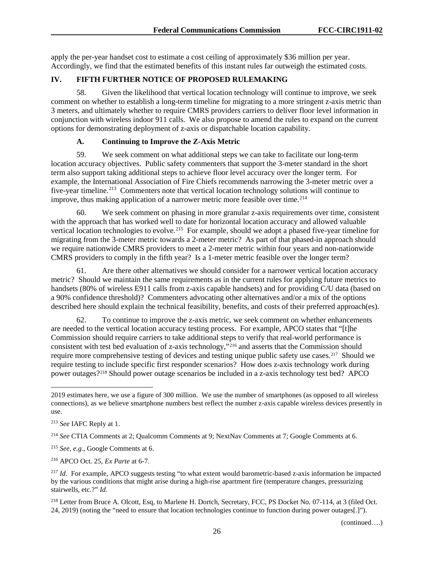apply the per-year handset cost to estimate a cost ceiling of approximately \$36 million per year. Accordingly, we find that the estimated benefits of this instant rules far outweigh the estimated costs.

## **IV. FIFTH FURTHER NOTICE OF PROPOSED RULEMAKING**

58. Given the likelihood that vertical location technology will continue to improve, we seek comment on whether to establish a long-term timeline for migrating to a more stringent z-axis metric than 3 meters, and ultimately whether to require CMRS providers carriers to deliver floor level information in conjunction with wireless indoor 911 calls. We also propose to amend the rules to expand on the current options for demonstrating deployment of z-axis or dispatchable location capability.

## **A. Continuing to Improve the Z-Axis Metric**

59. We seek comment on what additional steps we can take to facilitate our long-term location accuracy objectives. Public safety commenters that support the 3-meter standard in the short term also support taking additional steps to achieve floor level accuracy over the longer term. For example, the International Association of Fire Chiefs recommends narrowing the 3-meter metric over a five-year timeline.<sup>[213](#page-26-0)</sup> Commenters note that vertical location technology solutions will continue to improve, thus making application of a narrower metric more feasible over time.<sup>[214](#page-26-1)</sup>

60. We seek comment on phasing in more granular z-axis requirements over time, consistent with the approach that has worked well to date for horizontal location accuracy and allowed valuable vertical location technologies to evolve.<sup>215</sup> For example, should we adopt a phased five-year timeline for migrating from the 3-meter metric towards a 2-meter metric? As part of that phased-in approach should we require nationwide CMRS providers to meet a 2-meter metric within four years and non-nationwide CMRS providers to comply in the fifth year? Is a 1-meter metric feasible over the longer term?

61. Are there other alternatives we should consider for a narrower vertical location accuracy metric? Should we maintain the same requirements as in the current rules for applying future metrics to handsets (80% of wireless E911 calls from z-axis capable handsets) and for providing C/U data (based on a 90% confidence threshold)? Commenters advocating other alternatives and/or a mix of the options described here should explain the technical feasibility, benefits, and costs of their preferred approach(es).

62. To continue to improve the z-axis metric, we seek comment on whether enhancements are needed to the vertical location accuracy testing process. For example, APCO states that "[t]he Commission should require carriers to take additional steps to verify that real-world performance is consistent with test bed evaluation of z-axis technology,"[216](#page-26-3) and asserts that the Commission should require more comprehensive testing of devices and testing unique public safety use cases. [217](#page-26-4) Should we require testing to include specific first responder scenarios? How does z-axis technology work during power outages?[218](#page-26-5) Should power outage scenarios be included in a z-axis technology test bed? APCO

 $\overline{a}$ 

<sup>2019</sup> estimates here, we use a figure of 300 million. We use the number of smartphones (as opposed to all wireless connections), as we believe smartphone numbers best reflect the number z-axis capable wireless devices presently in use.

<span id="page-26-0"></span><sup>213</sup> *See* IAFC Reply at 1.

<span id="page-26-1"></span><sup>214</sup> *See* CTIA Comments at 2; Qualcomm Comments at 9; NextNav Comments at 7; Google Comments at 6.

<span id="page-26-2"></span><sup>215</sup> *See*, *e.g.*, Google Comments at 6.

<span id="page-26-3"></span><sup>216</sup> APCO Oct. 25, *Ex Parte* at 6-7.

<span id="page-26-4"></span><sup>&</sup>lt;sup>217</sup> *Id.* For example, APCO suggests testing "to what extent would barometric-based z-axis information be impacted by the various conditions that might arise during a high-rise apartment fire (temperature changes, pressurizing stairwells, etc.?" *Id.*

<span id="page-26-5"></span><sup>218</sup> Letter from Bruce A. Olcott, Esq, to Marlene H. Dortch, Secretary, FCC, PS Docket No. 07-114, at 3 (filed Oct. 24, 2019) (noting the "need to ensure that location technologies continue to function during power outages[.]").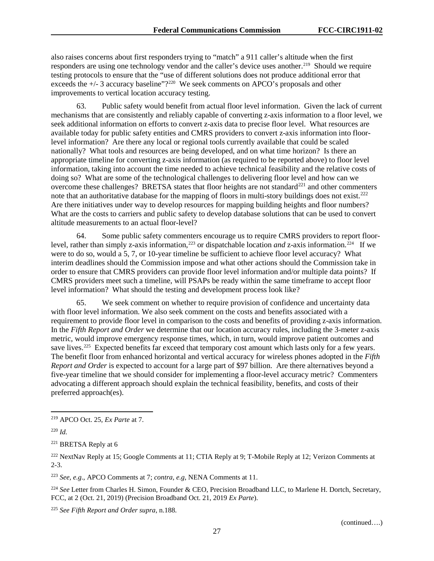also raises concerns about first responders trying to "match" a 911 caller's altitude when the first responders are using one technology vendor and the caller's device uses another.<sup>219</sup> Should we require testing protocols to ensure that the "use of different solutions does not produce additional error that exceeds the  $+/-$  3 accuracy baseline"?<sup>220</sup> We seek comments on APCO's proposals and other improvements to vertical location accuracy testing.

63. Public safety would benefit from actual floor level information. Given the lack of current mechanisms that are consistently and reliably capable of converting z-axis information to a floor level, we seek additional information on efforts to convert z-axis data to precise floor level. What resources are available today for public safety entities and CMRS providers to convert z-axis information into floorlevel information? Are there any local or regional tools currently available that could be scaled nationally? What tools and resources are being developed, and on what time horizon? Is there an appropriate timeline for converting z-axis information (as required to be reported above) to floor level information, taking into account the time needed to achieve technical feasibility and the relative costs of doing so? What are some of the technological challenges to delivering floor level and how can we overcome these challenges? BRETSA states that floor heights are not standard<sup>[221](#page-27-2)</sup> and other commenters note that an authoritative database for the mapping of floors in multi-story buildings does not exist.<sup>[222](#page-27-3)</sup> Are there initiatives under way to develop resources for mapping building heights and floor numbers? What are the costs to carriers and public safety to develop database solutions that can be used to convert altitude measurements to an actual floor-level?

64. Some public safety commenters encourage us to require CMRS providers to report floor-level, rather than simply z-axis information,<sup>[223](#page-27-4)</sup> or dispatchable location *and* z-axis information.<sup>[224](#page-27-5)</sup> If we were to do so, would a 5, 7, or 10-year timeline be sufficient to achieve floor level accuracy? What interim deadlines should the Commission impose and what other actions should the Commission take in order to ensure that CMRS providers can provide floor level information and/or multiple data points? If CMRS providers meet such a timeline, will PSAPs be ready within the same timeframe to accept floor level information? What should the testing and development process look like?

65. We seek comment on whether to require provision of confidence and uncertainty data with floor level information. We also seek comment on the costs and benefits associated with a requirement to provide floor level in comparison to the costs and benefits of providing z-axis information. In the *Fifth Report and Order* we determine that our location accuracy rules, including the 3-meter z-axis metric, would improve emergency response times, which, in turn, would improve patient outcomes and save lives.<sup>[225](#page-27-6)</sup> Expected benefits far exceed that temporary cost amount which lasts only for a few years. The benefit floor from enhanced horizontal and vertical accuracy for wireless phones adopted in the *Fifth Report and Order* is expected to account for a large part of \$97 billion. Are there alternatives beyond a five-year timeline that we should consider for implementing a floor-level accuracy metric? Commenters advocating a different approach should explain the technical feasibility, benefits, and costs of their preferred approach(es).

<span id="page-27-2"></span><sup>221</sup> BRETSA Reply at 6

<span id="page-27-3"></span><sup>222</sup> NextNav Reply at 15; Google Comments at 11; CTIA Reply at 9; T-Mobile Reply at 12; Verizon Comments at 2-3.

<span id="page-27-4"></span><sup>223</sup> *See, e.g*., APCO Comments at 7; *contra, e.g*, NENA Comments at 11.

<span id="page-27-5"></span><sup>224</sup> *See* Letter from Charles H. Simon, Founder & CEO, Precision Broadband LLC, to Marlene H. Dortch, Secretary, FCC, at 2 (Oct. 21, 2019) (Precision Broadband Oct. 21, 2019 *Ex Parte*).

<span id="page-27-6"></span><sup>225</sup> *See Fifth Report and Order supra*, n[.188.](#page-22-8)

<span id="page-27-0"></span> <sup>219</sup> APCO Oct. 25, *Ex Parte* at 7.

<span id="page-27-1"></span><sup>220</sup> *Id.*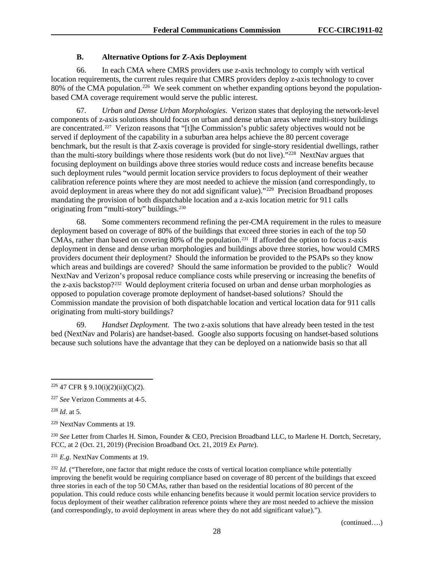## **B. Alternative Options for Z-Axis Deployment**

66. In each CMA where CMRS providers use z-axis technology to comply with vertical location requirements, the current rules require that CMRS providers deploy z-axis technology to cover 80% of the CMA population.<sup>226</sup> We seek comment on whether expanding options beyond the populationbased CMA coverage requirement would serve the public interest.

67. *Urban and Dense Urban Morphologies*. Verizon states that deploying the network-level components of z-axis solutions should focus on urban and dense urban areas where multi-story buildings are concentrated.[227](#page-28-1) Verizon reasons that "[t]he Commission's public safety objectives would not be served if deployment of the capability in a suburban area helps achieve the 80 percent coverage benchmark, but the result is that Z-axis coverage is provided for single-story residential dwellings, rather than the multi-story buildings where those residents work (but do not live).["228](#page-28-2) NextNav argues that focusing deployment on buildings above three stories would reduce costs and increase benefits because such deployment rules "would permit location service providers to focus deployment of their weather calibration reference points where they are most needed to achieve the mission (and correspondingly, to avoid deployment in areas where they do not add significant value)."<sup>[229](#page-28-3)</sup> Precision Broadband proposes mandating the provision of both dispatchable location and a z-axis location metric for 911 calls originating from "multi-story" buildings.[230](#page-28-4)

68. Some commenters recommend refining the per-CMA requirement in the rules to measure deployment based on coverage of 80% of the buildings that exceed three stories in each of the top 50 CMAs, rather than based on covering 80% of the population.<sup>231</sup> If afforded the option to focus z-axis deployment in dense and dense urban morphologies and buildings above three stories, how would CMRS providers document their deployment? Should the information be provided to the PSAPs so they know which areas and buildings are covered? Should the same information be provided to the public? Would NextNav and Verizon's proposal reduce compliance costs while preserving or increasing the benefits of the z-axis backstop?[232](#page-28-6) Would deployment criteria focused on urban and dense urban morphologies as opposed to population coverage promote deployment of handset-based solutions? Should the Commission mandate the provision of both dispatchable location and vertical location data for 911 calls originating from multi-story buildings?

69. *Handset Deployment.* The two z-axis solutions that have already been tested in the test bed (NextNav and Polaris) are handset-based. Google also supports focusing on handset-based solutions because such solutions have the advantage that they can be deployed on a nationwide basis so that all

<span id="page-28-2"></span><sup>228</sup> *Id*. at 5.

<span id="page-28-4"></span><sup>230</sup> *See* Letter from Charles H. Simon, Founder & CEO, Precision Broadband LLC, to Marlene H. Dortch, Secretary, FCC, at 2 (Oct. 21, 2019) (Precision Broadband Oct. 21, 2019 *Ex Parte*).

<span id="page-28-5"></span><sup>231</sup> *E.g*. NextNav Comments at 19.

<span id="page-28-6"></span><sup>232</sup> *Id.* ("Therefore, one factor that might reduce the costs of vertical location compliance while potentially improving the benefit would be requiring compliance based on coverage of 80 percent of the buildings that exceed three stories in each of the top 50 CMAs, rather than based on the residential locations of 80 percent of the population. This could reduce costs while enhancing benefits because it would permit location service providers to focus deployment of their weather calibration reference points where they are most needed to achieve the mission (and correspondingly, to avoid deployment in areas where they do not add significant value).").

(continued….)

<span id="page-28-0"></span> $226$  47 CFR § 9.10(i)(2)(ii)(C)(2).

<span id="page-28-1"></span><sup>227</sup> *See* Verizon Comments at 4-5.

<span id="page-28-3"></span><sup>229</sup> NextNav Comments at 19.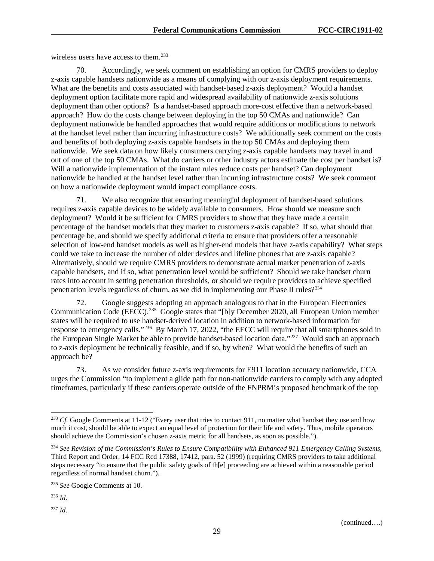wireless users have access to them.<sup>[233](#page-29-0)</sup>

70. Accordingly, we seek comment on establishing an option for CMRS providers to deploy z-axis capable handsets nationwide as a means of complying with our z-axis deployment requirements. What are the benefits and costs associated with handset-based z-axis deployment? Would a handset deployment option facilitate more rapid and widespread availability of nationwide z-axis solutions deployment than other options? Is a handset-based approach more-cost effective than a network-based approach? How do the costs change between deploying in the top 50 CMAs and nationwide? Can deployment nationwide be handled approaches that would require additions or modifications to network at the handset level rather than incurring infrastructure costs? We additionally seek comment on the costs and benefits of both deploying z-axis capable handsets in the top 50 CMAs and deploying them nationwide. We seek data on how likely consumers carrying z-axis capable handsets may travel in and out of one of the top 50 CMAs. What do carriers or other industry actors estimate the cost per handset is? Will a nationwide implementation of the instant rules reduce costs per handset? Can deployment nationwide be handled at the handset level rather than incurring infrastructure costs? We seek comment on how a nationwide deployment would impact compliance costs.

71. We also recognize that ensuring meaningful deployment of handset-based solutions requires z-axis capable devices to be widely available to consumers. How should we measure such deployment? Would it be sufficient for CMRS providers to show that they have made a certain percentage of the handset models that they market to customers z-axis capable? If so, what should that percentage be, and should we specify additional criteria to ensure that providers offer a reasonable selection of low-end handset models as well as higher-end models that have z-axis capability? What steps could we take to increase the number of older devices and lifeline phones that are z-axis capable? Alternatively, should we require CMRS providers to demonstrate actual market penetration of z-axis capable handsets, and if so, what penetration level would be sufficient? Should we take handset churn rates into account in setting penetration thresholds, or should we require providers to achieve specified penetration levels regardless of churn, as we did in implementing our Phase II rules?[234](#page-29-1)

72. Google suggests adopting an approach analogous to that in the European Electronics Communication Code (EECC).[235](#page-29-2) Google states that "[b]y December 2020, all European Union member states will be required to use handset-derived location in addition to network-based information for response to emergency calls."[236](#page-29-3) By March 17, 2022, "the EECC will require that all smartphones sold in the European Single Market be able to provide handset-based location data."[237](#page-29-4) Would such an approach to z-axis deployment be technically feasible, and if so, by when? What would the benefits of such an approach be?

73. As we consider future z-axis requirements for E911 location accuracy nationwide, CCA urges the Commission "to implement a glide path for non-nationwide carriers to comply with any adopted timeframes, particularly if these carriers operate outside of the FNPRM's proposed benchmark of the top

<span id="page-29-0"></span><sup>&</sup>lt;sup>233</sup> *Cf.* Google Comments at 11-12 ("Every user that tries to contact 911, no matter what handset they use and how much it cost, should be able to expect an equal level of protection for their life and safety. Thus, mobile operators should achieve the Commission's chosen z-axis metric for all handsets, as soon as possible.").

<span id="page-29-1"></span><sup>234</sup> *See Revision of the Commission's Rules to Ensure Compatibility with Enhanced 911 Emergency Calling Systems*, Third Report and Order, 14 FCC Rcd 17388, 17412, para. 52 (1999) (requiring CMRS providers to take additional steps necessary "to ensure that the public safety goals of th[e] proceeding are achieved within a reasonable period regardless of normal handset churn.").

<span id="page-29-2"></span><sup>235</sup> *See* Google Comments at 10.

<span id="page-29-3"></span> $^{236}$  *Id.* 

<span id="page-29-4"></span><sup>237</sup> *Id*.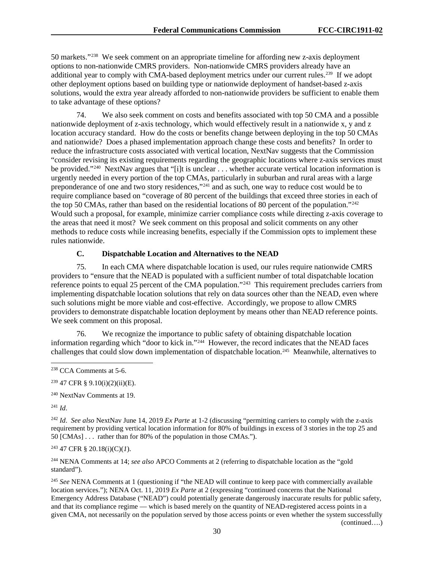50 markets."[238](#page-30-0) We seek comment on an appropriate timeline for affording new z-axis deployment options to non-nationwide CMRS providers. Non-nationwide CMRS providers already have an additional year to comply with CMA-based deployment metrics under our current rules.[239](#page-30-1) If we adopt other deployment options based on building type or nationwide deployment of handset-based z-axis solutions, would the extra year already afforded to non-nationwide providers be sufficient to enable them to take advantage of these options?

74. We also seek comment on costs and benefits associated with top 50 CMA and a possible nationwide deployment of z-axis technology, which would effectively result in a nationwide x, y and z location accuracy standard. How do the costs or benefits change between deploying in the top 50 CMAs and nationwide? Does a phased implementation approach change these costs and benefits? In order to reduce the infrastructure costs associated with vertical location, NextNav suggests that the Commission "consider revising its existing requirements regarding the geographic locations where z-axis services must be provided."[240](#page-30-2) NextNav argues that "[i]t is unclear . . . whether accurate vertical location information is urgently needed in every portion of the top CMAs, particularly in suburban and rural areas with a large preponderance of one and two story residences,"[241](#page-30-3) and as such, one way to reduce cost would be to require compliance based on "coverage of 80 percent of the buildings that exceed three stories in each of the top 50 CMAs, rather than based on the residential locations of 80 percent of the population."[242](#page-30-4) Would such a proposal, for example, minimize carrier compliance costs while directing z-axis coverage to the areas that need it most? We seek comment on this proposal and solicit comments on any other methods to reduce costs while increasing benefits, especially if the Commission opts to implement these rules nationwide.

## **C. Dispatchable Location and Alternatives to the NEAD**

75. In each CMA where dispatchable location is used, our rules require nationwide CMRS providers to "ensure that the NEAD is populated with a sufficient number of total dispatchable location reference points to equal 25 percent of the CMA population."<sup>243</sup> This requirement precludes carriers from implementing dispatchable location solutions that rely on data sources other than the NEAD, even where such solutions might be more viable and cost-effective. Accordingly, we propose to allow CMRS providers to demonstrate dispatchable location deployment by means other than NEAD reference points. We seek comment on this proposal.

76. We recognize the importance to public safety of obtaining dispatchable location information regarding which "door to kick in."[244](#page-30-6) However, the record indicates that the NEAD faces challenges that could slow down implementation of dispatchable location.[245](#page-30-7) Meanwhile, alternatives to

<span id="page-30-2"></span><sup>240</sup> NextNav Comments at 19.

<span id="page-30-3"></span><sup>241</sup> *Id*.

<span id="page-30-4"></span><sup>242</sup> *Id*. *See also* NextNav June 14, 2019 *Ex Parte* at 1-2 (discussing "permitting carriers to comply with the z-axis requirement by providing vertical location information for 80% of buildings in excess of 3 stories in the top 25 and 50 [CMAs] . . . rather than for 80% of the population in those CMAs.").

<span id="page-30-5"></span><sup>243</sup> 47 CFR § 20.18(i)(C)(*1*).

<span id="page-30-6"></span><sup>244</sup> NENA Comments at 14; *see also* APCO Comments at 2 (referring to dispatchable location as the "gold standard").

<span id="page-30-7"></span><sup>245</sup> *See* NENA Comments at 1 (questioning if "the NEAD will continue to keep pace with commercially available location services."); NENA Oct. 11, 2019 *Ex Parte* at 2 (expressing "continued concerns that the National Emergency Address Database ("NEAD") could potentially generate dangerously inaccurate results for public safety, and that its compliance regime — which is based merely on the quantity of NEAD-registered access points in a given CMA, not necessarily on the population served by those access points or even whether the system successfully (continued….)

<span id="page-30-0"></span> <sup>238</sup> CCA Comments at 5-6.

<span id="page-30-1"></span><sup>239</sup> 47 CFR § 9.10(i)(2)(ii)(E).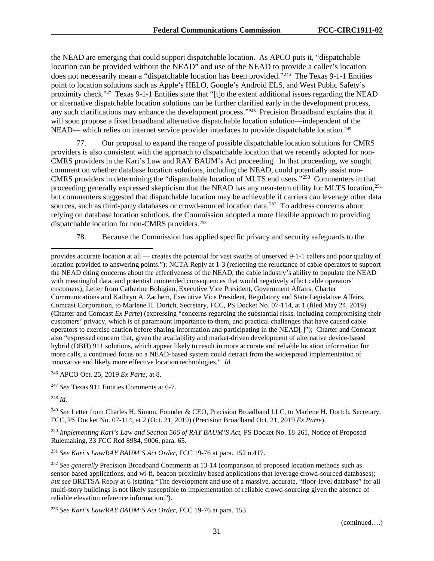the NEAD are emerging that could support dispatchable location. As APCO puts it, "dispatchable location can be provided without the NEAD" and use of the NEAD to provide a caller's location does not necessarily mean a "dispatchable location has been provided."<sup>[246](#page-31-0)</sup> The Texas 9-1-1 Entities point to location solutions such as Apple's HELO, Google's Android ELS, and West Public Safety's proximity check.<sup>247</sup> Texas 9-1-1 Entities state that "[t]o the extent additional issues regarding the NEAD or alternative dispatchable location solutions can be further clarified early in the development process, any such clarifications may enhance the development process."<sup>248</sup> Precision Broadband explains that it will soon propose a fixed broadband alternative dispatchable location solution—independent of the NEAD— which relies on internet service provider interfaces to provide dispatchable location.<sup>249</sup>

77. Our proposal to expand the range of possible dispatchable location solutions for CMRS providers is also consistent with the approach to dispatchable location that we recently adopted for non-CMRS providers in the Kari's Law and RAY BAUM's Act proceeding. In that proceeding, we sought comment on whether database location solutions, including the NEAD, could potentially assist non-CMRS providers in determining the "dispatchable location of MLTS end users."[250](#page-31-4) Commenters in that proceeding generally expressed skepticism that the NEAD has any near-term utility for MLTS location,<sup>[251](#page-31-5)</sup> but commenters suggested that dispatchable location may be achievable if carriers can leverage other data sources, such as third-party databases or crowd-sourced location data.<sup>[252](#page-31-6)</sup> To address concerns about relying on database location solutions, the Commission adopted a more flexible approach to providing dispatchable location for non-CMRS providers.[253](#page-31-7)

78. Because the Commission has applied specific privacy and security safeguards to the

<span id="page-31-0"></span><sup>246</sup> APCO Oct. 25, 2019 *Ex Parte*, at 8.

<span id="page-31-1"></span><sup>247</sup> *See* Texas 911 Entities Comments at 6-7.

<span id="page-31-2"></span><sup>248</sup> *Id.*

 $\overline{a}$ 

<span id="page-31-3"></span><sup>249</sup> *See* Letter from Charles H. Simon, Founder & CEO, Precision Broadband LLC, to Marlene H. Dortch, Secretary, FCC, PS Docket No. 07-114, at 2 (Oct. 21, 2019) (Precision Broadband Oct. 21, 2019 *Ex Parte*).

<span id="page-31-4"></span><sup>250</sup> *Implementing Kari's Law and Section 506 of RAY BAUM'S Act*, PS Docket No. 18-261, Notice of Proposed Rulemaking, 33 FCC Rcd 8984, 9006, para. 65.

<span id="page-31-5"></span><sup>251</sup> *See Kari's Law/RAY BAUM'S Act Order*, FCC 19-76 at para. 152 n.417.

provides accurate location at all — creates the potential for vast swaths of unserved 9-1-1 callers and poor quality of location provided to answering points."); NCTA Reply at 1-3 (reflecting the reluctance of cable operators to support the NEAD citing concerns about the effectiveness of the NEAD, the cable industry's ability to populate the NEAD with meaningful data, and potential unintended consequences that would negatively affect cable operators' customers); Letter from Catherine Bohigian, Executive Vice President, Government Affairs, Charter Communications and Kathryn A. Zachem, Executive Vice President, Regulatory and State Legislative Affairs, Comcast Corporation, to Marlene H. Dortch, Secretary, FCC, PS Docket No. 07-114, at 1 (filed May 24, 2019) (Charter and Comcast *Ex Parte*) (expressing "concerns regarding the substantial risks, including compromising their customers' privacy, which is of paramount importance to them, and practical challenges that have caused cable operators to exercise caution before sharing information and participating in the NEAD[.]"); Charter and Comcast also "expressed concern that, given the availability and market-driven development of alternative device-based hybrid (DBH) 911 solutions, which appear likely to result in more accurate and reliable location information for more calls, a continued focus on a NEAD-based system could detract from the widespread implementation of innovative and likely more effective location technologies." *Id.*

<span id="page-31-6"></span><sup>252</sup> *See generally* Precision Broadband Comments at 13-14 (comparison of proposed location methods such as sensor-based applications, and wi-fi, beacon proximity based applications that leverage crowd-sourced databases); *but see* BRETSA Reply at 6 (stating "The development and use of a massive, accurate, "floor-level database" for all multi-story buildings is not likely susceptible to implementation of reliable crowd-sourcing given the absence of reliable elevation reference information.").

<span id="page-31-7"></span><sup>253</sup> *See Kari's Law/RAY BAUM'S Act Order*, FCC 19-76 at para. 153.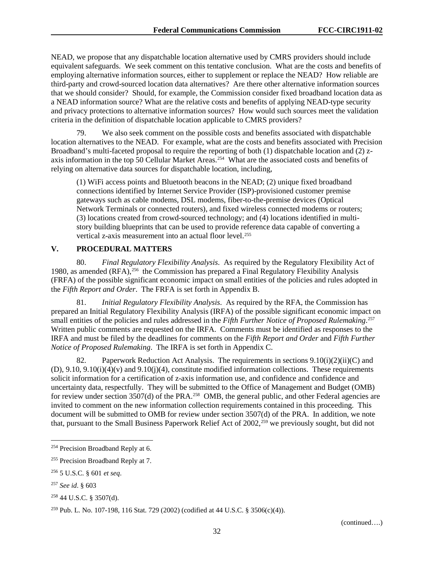NEAD, we propose that any dispatchable location alternative used by CMRS providers should include equivalent safeguards. We seek comment on this tentative conclusion. What are the costs and benefits of employing alternative information sources, either to supplement or replace the NEAD? How reliable are third-party and crowd-sourced location data alternatives? Are there other alternative information sources that we should consider? Should, for example, the Commission consider fixed broadband location data as a NEAD information source? What are the relative costs and benefits of applying NEAD-type security and privacy protections to alternative information sources? How would such sources meet the validation criteria in the definition of dispatchable location applicable to CMRS providers?

79. We also seek comment on the possible costs and benefits associated with dispatchable location alternatives to the NEAD. For example, what are the costs and benefits associated with Precision Broadband's multi-faceted proposal to require the reporting of both (1) dispatchable location and (2) zaxis information in the top 50 Cellular Market Areas.<sup>254</sup> What are the associated costs and benefits of relying on alternative data sources for dispatchable location, including,

(1) WiFi access points and Bluetooth beacons in the NEAD; (2) unique fixed broadband connections identified by Internet Service Provider (ISP)-provisioned customer premise gateways such as cable modems, DSL modems, fiber-to-the-premise devices (Optical Network Terminals or connected routers), and fixed wireless connected modems or routers; (3) locations created from crowd-sourced technology; and (4) locations identified in multistory building blueprints that can be used to provide reference data capable of converting a vertical z-axis measurement into an actual floor level. [255](#page-32-1) 

## **V. PROCEDURAL MATTERS**

80. *Final Regulatory Flexibility Analysis*. As required by the Regulatory Flexibility Act of 1980, as amended (RFA),<sup>256</sup> the Commission has prepared a Final Regulatory Flexibility Analysis (FRFA) of the possible significant economic impact on small entities of the policies and rules adopted in the *Fifth Report and Order*. The FRFA is set forth in Appendix B.

81. *Initial Regulatory Flexibility Analysis*. As required by the RFA, the Commission has prepared an Initial Regulatory Flexibility Analysis (IRFA) of the possible significant economic impact on small entities of the policies and rules addressed in the *Fifth Further Notice of Proposed Rulemaking*. [257](#page-32-3)  Written public comments are requested on the IRFA. Comments must be identified as responses to the IRFA and must be filed by the deadlines for comments on the *Fifth Report and Order* and *Fifth Further Notice of Proposed Rulemaking*. The IRFA is set forth in Appendix C.

82. Paperwork Reduction Act Analysis. The requirements in sections  $9.10(i)(2)(ii)(C)$  and (D),  $9.10$ ,  $9.10(i)(4)(v)$  and  $9.10(i)(4)$ , constitute modified information collections. These requirements solicit information for a certification of z-axis information use, and confidence and confidence and uncertainty data, respectfully. They will be submitted to the Office of Management and Budget (OMB) for review under section 3507(d) of the PRA.<sup>[258](#page-32-4)</sup> OMB, the general public, and other Federal agencies are invited to comment on the new information collection requirements contained in this proceeding. This document will be submitted to OMB for review under section 3507(d) of the PRA. In addition, we note that, pursuant to the Small Business Paperwork Relief Act of 2002,<sup>[259](#page-32-5)</sup> we previously sought, but did not

<span id="page-32-0"></span><sup>&</sup>lt;sup>254</sup> Precision Broadband Reply at 6.

<span id="page-32-1"></span><sup>&</sup>lt;sup>255</sup> Precision Broadband Reply at 7.

<span id="page-32-2"></span><sup>256</sup> 5 U.S.C. § 601 *et seq*.

<span id="page-32-3"></span><sup>257</sup> *See id*. § 603

<span id="page-32-4"></span><sup>258</sup> 44 U.S.C. § 3507(d).

<span id="page-32-5"></span><sup>259</sup> Pub. L. No. 107-198, 116 Stat. 729 (2002) (codified at 44 U.S.C. § 3506(c)(4)).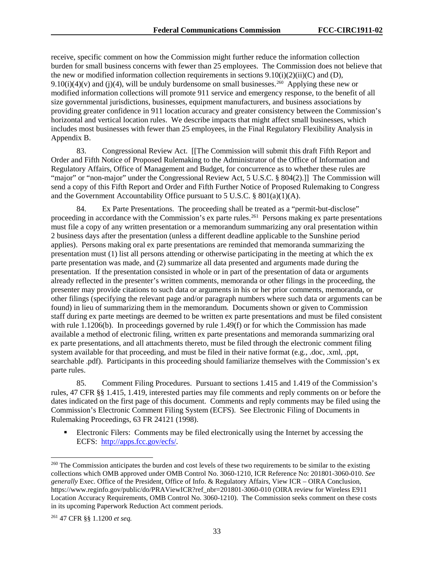receive, specific comment on how the Commission might further reduce the information collection burden for small business concerns with fewer than 25 employees. The Commission does not believe that the new or modified information collection requirements in sections  $9.10(i)(2)(ii)(C)$  and (D), 9.10(i)(4)(v) and (j)(4), will be unduly burdensome on small businesses.<sup>260</sup> Applying these new or modified information collections will promote 911 service and emergency response, to the benefit of all size governmental jurisdictions, businesses, equipment manufacturers, and business associations by providing greater confidence in 911 location accuracy and greater consistency between the Commission's horizontal and vertical location rules. We describe impacts that might affect small businesses, which includes most businesses with fewer than 25 employees, in the Final Regulatory Flexibility Analysis in Appendix B.

83. Congressional Review Act. [[The Commission will submit this draft Fifth Report and Order and Fifth Notice of Proposed Rulemaking to the Administrator of the Office of Information and Regulatory Affairs, Office of Management and Budget, for concurrence as to whether these rules are "major" or "non-major" under the Congressional Review Act, 5 U.S.C. § 804(2).]] The Commission will send a copy of this Fifth Report and Order and Fifth Further Notice of Proposed Rulemaking to Congress and the Government Accountability Office pursuant to 5 U.S.C. §  $801(a)(1)(A)$ .

84. Ex Parte Presentations. The proceeding shall be treated as a "permit-but-disclose" proceeding in accordance with the Commission's ex parte rules.<sup>261</sup> Persons making ex parte presentations must file a copy of any written presentation or a memorandum summarizing any oral presentation within 2 business days after the presentation (unless a different deadline applicable to the Sunshine period applies). Persons making oral ex parte presentations are reminded that memoranda summarizing the presentation must (1) list all persons attending or otherwise participating in the meeting at which the ex parte presentation was made, and (2) summarize all data presented and arguments made during the presentation. If the presentation consisted in whole or in part of the presentation of data or arguments already reflected in the presenter's written comments, memoranda or other filings in the proceeding, the presenter may provide citations to such data or arguments in his or her prior comments, memoranda, or other filings (specifying the relevant page and/or paragraph numbers where such data or arguments can be found) in lieu of summarizing them in the memorandum. Documents shown or given to Commission staff during ex parte meetings are deemed to be written ex parte presentations and must be filed consistent with rule 1.1206(b). In proceedings governed by rule 1.49(f) or for which the Commission has made available a method of electronic filing, written ex parte presentations and memoranda summarizing oral ex parte presentations, and all attachments thereto, must be filed through the electronic comment filing system available for that proceeding, and must be filed in their native format (e.g., .doc, .xml, .ppt, searchable .pdf). Participants in this proceeding should familiarize themselves with the Commission's ex parte rules.

85. Comment Filing Procedures. Pursuant to sections 1.415 and 1.419 of the Commission's rules, 47 CFR §§ 1.415, 1.419, interested parties may file comments and reply comments on or before the dates indicated on the first page of this document. Comments and reply comments may be filed using the Commission's Electronic Comment Filing System (ECFS). See Electronic Filing of Documents in Rulemaking Proceedings, 63 FR 24121 (1998).

 Electronic Filers: Comments may be filed electronically using the Internet by accessing the ECFS: http://apps.fcc.gov/ecfs/.

<span id="page-33-1"></span><span id="page-33-0"></span><sup>&</sup>lt;sup>260</sup> The Commission anticipates the burden and cost levels of these two requirements to be similar to the existing collections which OMB approved under OMB Control No. 3060-1210, ICR Reference No: 201801-3060-010. *See generally* Exec. Office of the President, Office of Info. & Regulatory Affairs, View ICR – OIRA Conclusion, https://www.reginfo.gov/public/do/PRAViewICR?ref\_nbr=201801-3060-010 (OIRA review for Wireless E911 Location Accuracy Requirements, OMB Control No. 3060-1210). The Commission seeks comment on these costs in its upcoming Paperwork Reduction Act comment periods.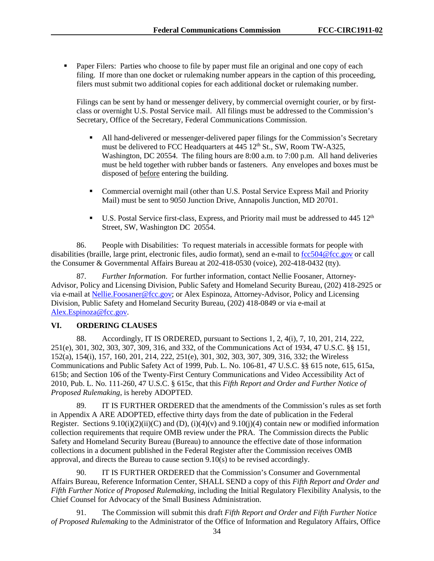Paper Filers: Parties who choose to file by paper must file an original and one copy of each filing. If more than one docket or rulemaking number appears in the caption of this proceeding, filers must submit two additional copies for each additional docket or rulemaking number.

Filings can be sent by hand or messenger delivery, by commercial overnight courier, or by firstclass or overnight U.S. Postal Service mail. All filings must be addressed to the Commission's Secretary, Office of the Secretary, Federal Communications Commission.

- All hand-delivered or messenger-delivered paper filings for the Commission's Secretary must be delivered to FCC Headquarters at 445 12<sup>th</sup> St., SW, Room TW-A325, Washington, DC 20554. The filing hours are 8:00 a.m. to 7:00 p.m. All hand deliveries must be held together with rubber bands or fasteners. Any envelopes and boxes must be disposed of before entering the building.
- Commercial overnight mail (other than U.S. Postal Service Express Mail and Priority Mail) must be sent to 9050 Junction Drive, Annapolis Junction, MD 20701.
- $\blacksquare$  U.S. Postal Service first-class, Express, and Priority mail must be addressed to 445 12<sup>th</sup> Street, SW, Washington DC 20554.

86. People with Disabilities: To request materials in accessible formats for people with disabilities (braille, large print, electronic files, audio format), send an e-mail to fcc504@fcc.gov or call the Consumer & Governmental Affairs Bureau at 202-418-0530 (voice), 202-418-0432 (tty).

87. *Further Information*. For further information, contact Nellie Foosaner, Attorney-Advisor, Policy and Licensing Division, Public Safety and Homeland Security Bureau, (202) 418-2925 or via e-mail a[t Nellie.Foosaner@fcc.gov;](mailto:Nellie.Foosaner@fcc.gov) or Alex Espinoza, Attorney-Advisor, Policy and Licensing Division, Public Safety and Homeland Security Bureau, (202) 418-0849 or via e-mail at [Alex.Espinoza@fcc.gov.](mailto:Alex.Espinoza@fcc.gov)

# **VI. ORDERING CLAUSES**

88. Accordingly, IT IS ORDERED, pursuant to Sections 1, 2, 4(i), 7, 10, 201, 214, 222, 251(e), 301, 302, 303, 307, 309, 316, and 332, of the Communications Act of 1934, 47 U.S.C. §§ 151, 152(a), 154(i), 157, 160, 201, 214, 222, 251(e), 301, 302, 303, 307, 309, 316, 332; the Wireless Communications and Public Safety Act of 1999, Pub. L. No. 106-81, 47 U.S.C. §§ 615 note, 615, 615a, 615b; and Section 106 of the Twenty-First Century Communications and Video Accessibility Act of 2010, Pub. L. No. 111-260, 47 U.S.C. § 615c, that this *Fifth Report and Order and Further Notice of Proposed Rulemaking*, is hereby ADOPTED.

89. IT IS FURTHER ORDERED that the amendments of the Commission's rules as set forth in Appendix A ARE ADOPTED, effective thirty days from the date of publication in the Federal Register. Sections  $9.10(i)(2)(ii)(C)$  and  $(D)$ ,  $(i)(4)(v)$  and  $9.10(i)(4)$  contain new or modified information collection requirements that require OMB review under the PRA. The Commission directs the Public Safety and Homeland Security Bureau (Bureau) to announce the effective date of those information collections in a document published in the Federal Register after the Commission receives OMB approval, and directs the Bureau to cause section 9.10(s) to be revised accordingly.

90. IT IS FURTHER ORDERED that the Commission's Consumer and Governmental Affairs Bureau, Reference Information Center, SHALL SEND a copy of this *Fifth Report and Order and Fifth Further Notice of Proposed Rulemaking*, including the Initial Regulatory Flexibility Analysis, to the Chief Counsel for Advocacy of the Small Business Administration.

91. The Commission will submit this draft *Fifth Report and Order and Fifth Further Notice of Proposed Rulemaking* to the Administrator of the Office of Information and Regulatory Affairs, Office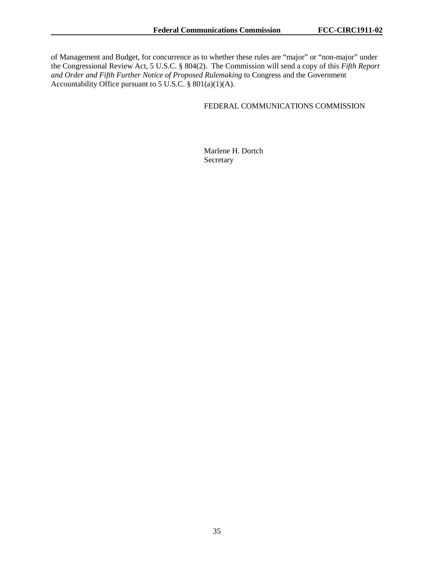of Management and Budget, for concurrence as to whether these rules are "major" or "non-major" under the Congressional Review Act, 5 U.S.C. § 804(2). The Commission will send a copy of this *Fifth Report and Order and Fifth Further Notice of Proposed Rulemaking* to Congress and the Government Accountability Office pursuant to 5 U.S.C. §  $801(a)(1)(A)$ .

## FEDERAL COMMUNICATIONS COMMISSION

Marlene H. Dortch Secretary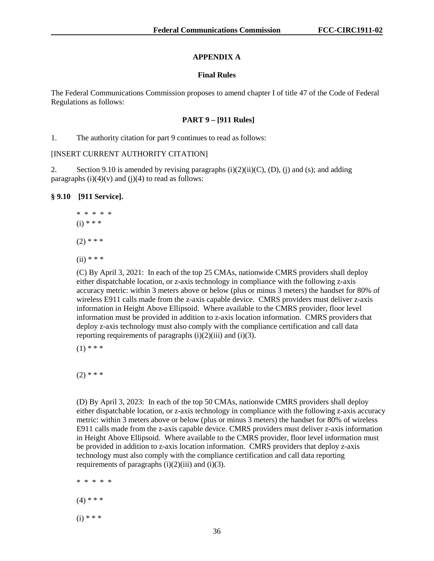## **APPENDIX A**

#### **Final Rules**

The Federal Communications Commission proposes to amend chapter I of title 47 of the Code of Federal Regulations as follows:

#### **PART 9 – [911 Rules]**

1. The authority citation for part 9 continues to read as follows:

#### [INSERT CURRENT AUTHORITY CITATION]

2. Section 9.10 is amended by revising paragraphs  $(i)(2)(ii)(C)$ ,  $(D)$ ,  $(i)$  and  $(s)$ ; and adding paragraphs  $(i)(4)(v)$  and  $(j)(4)$  to read as follows:

#### **§ 9.10 [911 Service].**

\* \* \* \* \*  $(i) * * *$  $(2)$  \* \* \*  $(ii)$  \* \* \*

(C) By April 3, 2021: In each of the top 25 CMAs, nationwide CMRS providers shall deploy either dispatchable location, or z-axis technology in compliance with the following z-axis accuracy metric: within 3 meters above or below (plus or minus 3 meters) the handset for 80% of wireless E911 calls made from the z-axis capable device. CMRS providers must deliver z-axis information in Height Above Ellipsoid. Where available to the CMRS provider, floor level information must be provided in addition to z-axis location information. CMRS providers that deploy z-axis technology must also comply with the compliance certification and call data reporting requirements of paragraphs  $(i)(2)(iii)$  and  $(i)(3)$ .

 $(1)$  \* \* \*

(D) By April 3, 2023: In each of the top 50 CMAs, nationwide CMRS providers shall deploy either dispatchable location, or z-axis technology in compliance with the following z-axis accuracy metric: within 3 meters above or below (plus or minus 3 meters) the handset for 80% of wireless E911 calls made from the z-axis capable device. CMRS providers must deliver z-axis information in Height Above Ellipsoid. Where available to the CMRS provider, floor level information must be provided in addition to z-axis location information. CMRS providers that deploy z-axis technology must also comply with the compliance certification and call data reporting requirements of paragraphs  $(i)(2)(iii)$  and  $(i)(3)$ .

\* \* \* \* \*  $(4)$  \* \* \*  $(i) * * *$ 

 $(2)$  \* \* \*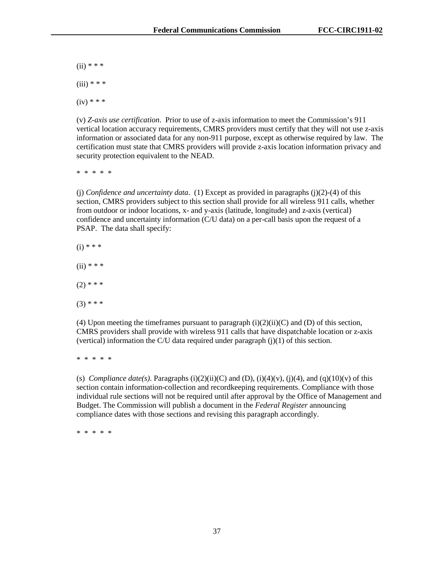$(ii)$  \* \* \*

 $(iii) * * *$ 

 $(iv) * * *$ 

(v) *Z-axis use certification*. Prior to use of z-axis information to meet the Commission's 911 vertical location accuracy requirements, CMRS providers must certify that they will not use z-axis information or associated data for any non-911 purpose, except as otherwise required by law. The certification must state that CMRS providers will provide z-axis location information privacy and security protection equivalent to the NEAD.

\* \* \* \* \*

(j) *Confidence and uncertainty data*. (1) Except as provided in paragraphs (j)(2)-(4) of this section, CMRS providers subject to this section shall provide for all wireless 911 calls, whether from outdoor or indoor locations, x- and y-axis (latitude, longitude) and z-axis (vertical) confidence and uncertainty information (C/U data) on a per-call basis upon the request of a PSAP. The data shall specify:

 $(i) * * *$ 

 $(ii)$  \* \* \*

 $(2)$  \* \* \*

 $(3)$  \* \* \*

(4) Upon meeting the timeframes pursuant to paragraph  $(i)(2)(ii)(C)$  and  $(D)$  of this section, CMRS providers shall provide with wireless 911 calls that have dispatchable location or z-axis (vertical) information the C/U data required under paragraph  $(j)(1)$  of this section.

\* \* \* \* \*

(s) *Compliance date(s)*. Paragraphs (i)(2)(ii)(C) and (D), (i)(4)(v), (j)(4), and (q)(10)(v) of this section contain information-collection and recordkeeping requirements. Compliance with those individual rule sections will not be required until after approval by the Office of Management and Budget. The Commission will publish a document in the *Federal Register* announcing compliance dates with those sections and revising this paragraph accordingly.

\* \* \* \* \*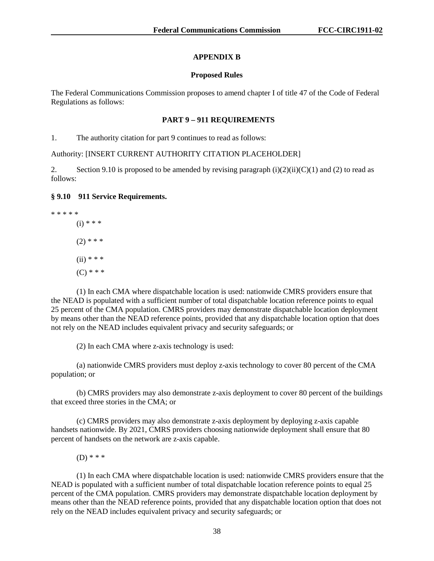#### **APPENDIX B**

#### **Proposed Rules**

The Federal Communications Commission proposes to amend chapter I of title 47 of the Code of Federal Regulations as follows:

#### **PART 9 – 911 REQUIREMENTS**

1. The authority citation for part 9 continues to read as follows:

Authority: [INSERT CURRENT AUTHORITY CITATION PLACEHOLDER]

2. Section 9.10 is proposed to be amended by revising paragraph (i)(2)(ii)(C)(1) and (2) to read as follows:

#### **§ 9.10 911 Service Requirements.**

\* \* \* \* \*  $(i) * * *$  $(2)$  \* \* \*  $(ii)$  \* \* \*

 $(C)$  \* \* \*

(1) In each CMA where dispatchable location is used: nationwide CMRS providers ensure that the NEAD is populated with a sufficient number of total dispatchable location reference points to equal 25 percent of the CMA population. CMRS providers may demonstrate dispatchable location deployment by means other than the NEAD reference points, provided that any dispatchable location option that does not rely on the NEAD includes equivalent privacy and security safeguards; or

(2) In each CMA where z-axis technology is used:

(a) nationwide CMRS providers must deploy z-axis technology to cover 80 percent of the CMA population; or

(b) CMRS providers may also demonstrate z-axis deployment to cover 80 percent of the buildings that exceed three stories in the CMA; or

(c) CMRS providers may also demonstrate z-axis deployment by deploying z-axis capable handsets nationwide. By 2021, CMRS providers choosing nationwide deployment shall ensure that 80 percent of handsets on the network are z-axis capable.

(D) \* \* \*

(1) In each CMA where dispatchable location is used: nationwide CMRS providers ensure that the NEAD is populated with a sufficient number of total dispatchable location reference points to equal 25 percent of the CMA population. CMRS providers may demonstrate dispatchable location deployment by means other than the NEAD reference points, provided that any dispatchable location option that does not rely on the NEAD includes equivalent privacy and security safeguards; or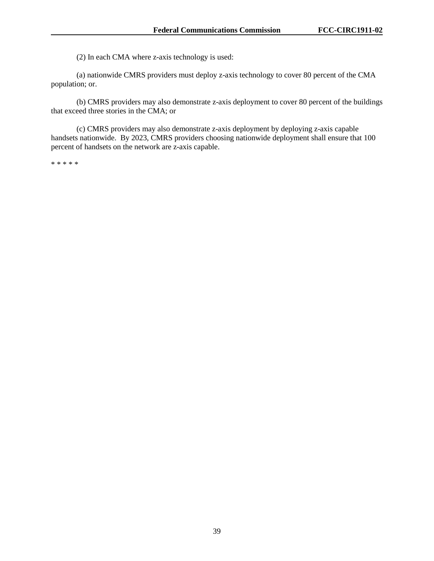(2) In each CMA where z-axis technology is used:

(a) nationwide CMRS providers must deploy z-axis technology to cover 80 percent of the CMA population; or.

(b) CMRS providers may also demonstrate z-axis deployment to cover 80 percent of the buildings that exceed three stories in the CMA; or

(c) CMRS providers may also demonstrate z-axis deployment by deploying z-axis capable handsets nationwide. By 2023, CMRS providers choosing nationwide deployment shall ensure that 100 percent of handsets on the network are z-axis capable.

\* \* \* \* \*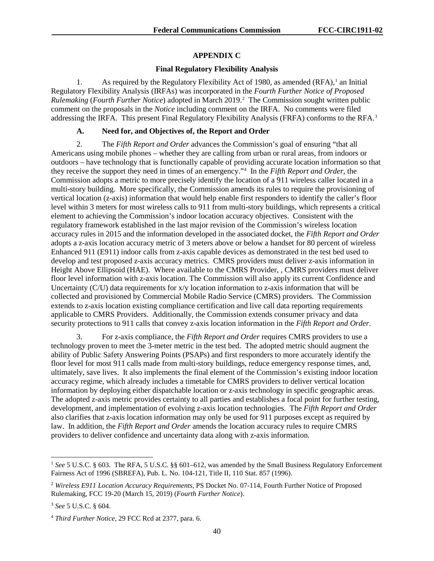## **APPENDIX C**

## **Final Regulatory Flexibility Analysis**

[1](#page-40-0). As required by the Regulatory Flexibility Act of 1980, as amended  $(RFA)$ ,<sup>1</sup> an Initial Regulatory Flexibility Analysis (IRFAs) was incorporated in the *Fourth Further Notice of Proposed*  Rulemaking (Fourth Further Notice) adopted in March [2](#page-40-1)019.<sup>2</sup> The Commission sought written public comment on the proposals in the *Notice* including comment on the IRFA. No comments were filed addressing the IRFA. This present Final Regulatory Flexibility Analysis (FRFA) conforms to the RFA.[3](#page-40-2)

# **A. Need for, and Objectives of, the Report and Order**

2. The *Fifth Report and Order* advances the Commission's goal of ensuring "that all Americans using mobile phones – whether they are calling from urban or rural areas, from indoors or outdoors – have technology that is functionally capable of providing accurate location information so that they receive the support they need in times of an emergency."[4](#page-40-3) In the *Fifth Report and Order*, the Commission adopts a metric to more precisely identify the location of a 911 wireless caller located in a multi-story building. More specifically, the Commission amends its rules to require the provisioning of vertical location (z-axis) information that would help enable first responders to identify the caller's floor level within 3 meters for most wireless calls to 911 from multi-story buildings, which represents a critical element to achieving the Commission's indoor location accuracy objectives. Consistent with the regulatory framework established in the last major revision of the Commission's wireless location accuracy rules in 2015 and the information developed in the associated docket, the *Fifth Report and Order* adopts a z-axis location accuracy metric of 3 meters above or below a handset for 80 percent of wireless Enhanced 911 (E911) indoor calls from z-axis capable devices as demonstrated in the test bed used to develop and test proposed z-axis accuracy metrics. CMRS providers must deliver z-axis information in Height Above Ellipsoid (HAE). Where available to the CMRS Provider, , CMRS providers must deliver floor level information with z-axis location. The Commission will also apply its current Confidence and Uncertainty (C/U) data requirements for  $x/y$  location information to z-axis information that will be collected and provisioned by Commercial Mobile Radio Service (CMRS) providers. The Commission extends to z-axis location existing compliance certification and live call data reporting requirements applicable to CMRS Providers. Additionally, the Commission extends consumer privacy and data security protections to 911 calls that convey z-axis location information in the *Fifth Report and Order*.

3. For z-axis compliance, the *Fifth Report and Order* requires CMRS providers to use a technology proven to meet the 3-meter metric in the test bed. The adopted metric should augment the ability of Public Safety Answering Points (PSAPs) and first responders to more accurately identify the floor level for most 911 calls made from multi-story buildings, reduce emergency response times, and, ultimately, save lives. It also implements the final element of the Commission's existing indoor location accuracy regime, which already includes a timetable for CMRS providers to deliver vertical location information by deploying either dispatchable location or z-axis technology in specific geographic areas. The adopted z-axis metric provides certainty to all parties and establishes a focal point for further testing, development, and implementation of evolving z-axis location technologies. The *Fifth Report and Order*  also clarifies that z-axis location information may only be used for 911 purposes except as required by law. In addition, the *Fifth Report and Order* amends the location accuracy rules to require CMRS providers to deliver confidence and uncertainty data along with z-axis information.

<span id="page-40-0"></span><sup>&</sup>lt;sup>1</sup> See 5 U.S.C. § 603. The RFA, 5 U.S.C. §§ 601–612, was amended by the Small Business Regulatory Enforcement Fairness Act of 1996 (SBREFA), Pub. L. No. 104-121, Title II, 110 Stat. 857 (1996).

<span id="page-40-1"></span><sup>2</sup> *Wireless E911 Location Accuracy Requirements*, PS Docket No. 07-114, Fourth Further Notice of Proposed Rulemaking, FCC 19-20 (March 15, 2019) (*Fourth Further Notice*).

<span id="page-40-2"></span><sup>3</sup> *See* 5 U.S.C. § 604.

<span id="page-40-3"></span><sup>4</sup> *Third Further Notice*, 29 FCC Rcd at 2377, para. 6.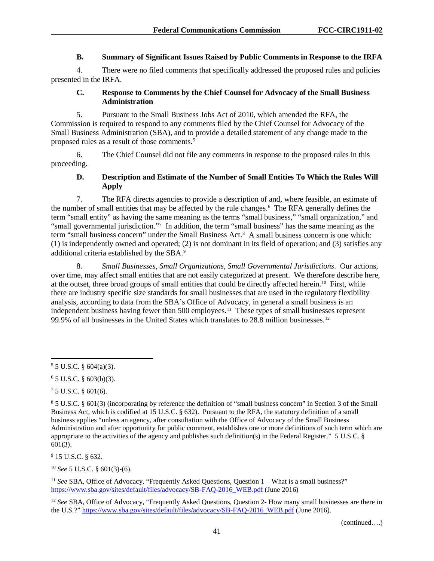## **B. Summary of Significant Issues Raised by Public Comments in Response to the IRFA**

4. There were no filed comments that specifically addressed the proposed rules and policies presented in the IRFA.

## **C. Response to Comments by the Chief Counsel for Advocacy of the Small Business Administration**

5. Pursuant to the Small Business Jobs Act of 2010, which amended the RFA, the Commission is required to respond to any comments filed by the Chief Counsel for Advocacy of the Small Business Administration (SBA), and to provide a detailed statement of any change made to the proposed rules as a result of those comments. $5<sup>5</sup>$  $5<sup>5</sup>$ 

6. The Chief Counsel did not file any comments in response to the proposed rules in this proceeding.

# **D. Description and Estimate of the Number of Small Entities To Which the Rules Will Apply**

7. The RFA directs agencies to provide a description of and, where feasible, an estimate of the number of small entities that may be affected by the rule changes.<sup>[6](#page-41-1)</sup> The RFA generally defines the term "small entity" as having the same meaning as the terms "small business," "small organization," and "small governmental jurisdiction."[7](#page-41-2) In addition, the term "small business" has the same meaning as the term "small business concern" under the Small Business Act.[8](#page-41-3) A small business concern is one which: (1) is independently owned and operated; (2) is not dominant in its field of operation; and (3) satisfies any additional criteria established by the SBA.[9](#page-41-4)

8. *Small Businesses, Small Organizations, Small Governmental Jurisdictions*. Our actions, over time, may affect small entities that are not easily categorized at present. We therefore describe here, at the outset, three broad groups of small entities that could be directly affected herein.<sup>[10](#page-41-5)</sup> First, while there are industry specific size standards for small businesses that are used in the regulatory flexibility analysis, according to data from the SBA's Office of Advocacy, in general a small business is an independent business having fewer than 500 employees.<sup>11</sup> These types of small businesses represent 99.9% of all businesses in the United States which translates to 28.8 million businesses.[12](#page-41-7)

<span id="page-41-2"></span> $75$  U.S.C. § 601(6).

<span id="page-41-4"></span><sup>9</sup> 15 U.S.C. § 632.

<span id="page-41-5"></span><sup>10</sup> *See* 5 U.S.C. § 601(3)-(6).

<span id="page-41-6"></span><sup>11</sup> See SBA, Office of Advocacy, "Frequently Asked Questions, Question 1 – What is a small business?" [https://www.sba.gov/sites/default/files/advocacy/SB-FAQ-2016\\_WEB.pdf](https://www.sba.gov/sites/default/files/advocacy/SB-FAQ-2016_WEB.pdf) (June 2016)

<span id="page-41-7"></span><sup>12</sup> See SBA, Office of Advocacy, "Frequently Asked Questions, Question 2- How many small businesses are there in the U.S.?" [https://www.sba.gov/sites/default/files/advocacy/SB-FAQ-2016\\_WEB.pdf](https://www.sba.gov/sites/default/files/advocacy/SB-FAQ-2016_WEB.pdf) (June 2016).

(continued….)

<span id="page-41-0"></span> $5 \text{ U.S.C. }$  § 604(a)(3).

<span id="page-41-1"></span> $65$  U.S.C. § 603(b)(3).

<span id="page-41-3"></span><sup>8</sup> 5 U.S.C. § 601(3) (incorporating by reference the definition of "small business concern" in Section 3 of the Small Business Act, which is codified at 15 U.S.C. § 632). Pursuant to the RFA, the statutory definition of a small business applies "unless an agency, after consultation with the Office of Advocacy of the Small Business Administration and after opportunity for public comment, establishes one or more definitions of such term which are appropriate to the activities of the agency and publishes such definition(s) in the Federal Register." 5 U.S.C. § 601(3).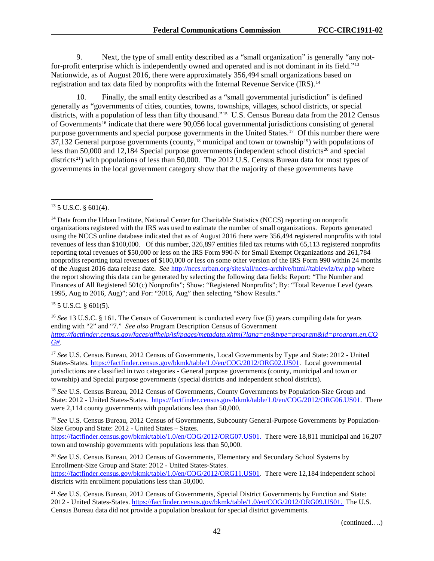9. Next, the type of small entity described as a "small organization" is generally "any notfor-profit enterprise which is independently owned and operated and is not dominant in its field."[13](#page-42-0) Nationwide, as of August 2016, there were approximately 356,494 small organizations based on registration and tax data filed by nonprofits with the Internal Revenue Service (IRS).[14](#page-42-1)

10. Finally, the small entity described as a "small governmental jurisdiction" is defined generally as "governments of cities, counties, towns, townships, villages, school districts, or special districts, with a population of less than fifty thousand."<sup>[15](#page-42-2)</sup> U.S. Census Bureau data from the 2012 Census of Governments<sup>[16](#page-42-3)</sup> indicate that there were 90,056 local governmental jurisdictions consisting of general purpose governments and special purpose governments in the United States.[17](#page-42-4) Of this number there were 37,132 General purpose governments (county,<sup>[18](#page-42-5)</sup> municipal and town or township<sup>[19](#page-42-6)</sup>) with populations of less than 50,000 and 12,184 Special purpose governments (independent school districts<sup>[20](#page-42-7)</sup> and special districts<sup>21</sup>) with populations of less than 50,000. The 2012 U.S. Census Bureau data for most types of governments in the local government category show that the majority of these governments have

<span id="page-42-2"></span> $15$  5 U.S.C. § 601(5).

<span id="page-42-3"></span><sup>16</sup> See 13 U.S.C. § 161. The Census of Government is conducted every five (5) years compiling data for years ending with "2" and "7." *See also* Program Description Census of Government *[https://factfinder.census.gov/faces/affhelp/jsf/pages/metadata.xhtml?lang=en&type=program&id=program.en.CO](https://factfinder.census.gov/faces/affhelp/jsf/pages/metadata.xhtml?lang=en&type=program&id=program.en.COG) [G#](https://factfinder.census.gov/faces/affhelp/jsf/pages/metadata.xhtml?lang=en&type=program&id=program.en.COG)*.

<span id="page-42-4"></span><sup>17</sup> See U.S. Census Bureau, 2012 Census of Governments, Local Governments by Type and State: 2012 - United States-States. [https://factfinder.census.gov/bkmk/table/1.0/en/COG/2012/ORG02.US01.](https://factfinder.census.gov/bkmk/table/1.0/en/COG/2012/ORG02.US01) Local governmental jurisdictions are classified in two categories - General purpose governments (county, municipal and town or township) and Special purpose governments (special districts and independent school districts).

<span id="page-42-5"></span><sup>18</sup> *See* U.S. Census Bureau, 2012 Census of Governments, County Governments by Population-Size Group and State: 2012 **-** United States-States. [https://factfinder.census.gov/bkmk/table/1.0/en/COG/2012/ORG06.US01.](https://factfinder.census.gov/bkmk/table/1.0/en/COG/2012/ORG06.US01) There were 2,114 county governments with populations less than 50,000.

<span id="page-42-6"></span><sup>19</sup> See U.S. Census Bureau, 2012 Census of Governments, Subcounty General-Purpose Governments by Population-Size Group and State: 2012 - United States – States. [https://factfinder.census.gov/bkmk/table/1.0/en/COG/2012/ORG07.US01.](https://factfinder.census.gov/bkmk/table/1.0/en/COG/2012/ORG07.US01) There were 18,811 municipal and 16,207

town and township governments with populations less than 50,000.

<span id="page-42-7"></span><sup>20</sup> *See* U.S. Census Bureau, 2012 Census of Governments, Elementary and Secondary School Systems by Enrollment-Size Group and State: 2012 - United States-States. [https://factfinder.census.gov/bkmk/table/1.0/en/COG/2012/ORG11.US01.](https://factfinder.census.gov/bkmk/table/1.0/en/COG/2012/ORG11.US01) There were 12,184 independent school districts with enrollment populations less than 50,000.

<span id="page-42-8"></span><sup>21</sup> *See* U.S. Census Bureau, 2012 Census of Governments, Special District Governments by Function and State: 2012 - United States-States. [https://factfinder.census.gov/bkmk/table/1.0/en/COG/2012/ORG09.US01.](https://factfinder.census.gov/bkmk/table/1.0/en/COG/2012/ORG09.US01) The U.S. Census Bureau data did not provide a population breakout for special district governments.

<span id="page-42-0"></span> $13$  5 U.S.C. § 601(4).

<span id="page-42-1"></span><sup>&</sup>lt;sup>14</sup> Data from the Urban Institute, National Center for Charitable Statistics (NCCS) reporting on nonprofit organizations registered with the IRS was used to estimate the number of small organizations. Reports generated using the NCCS online database indicated that as of August 2016 there were 356,494 registered nonprofits with total revenues of less than \$100,000. Of this number, 326,897 entities filed tax returns with 65,113 registered nonprofits reporting total revenues of \$50,000 or less on the IRS Form 990-N for Small Exempt Organizations and 261,784 nonprofits reporting total revenues of \$100,000 or less on some other version of the IRS Form 990 within 24 months of the August 2016 data release date. *See* [http://nccs.urban.org/sites/all/nccs-archive/html//tablewiz/tw.php](http://nccs.urban.org/sites/all/nccs-archive/html/tablewiz/tw.php) where the report showing this data can be generated by selecting the following data fields: Report: "The Number and Finances of All Registered 501(c) Nonprofits"; Show: "Registered Nonprofits"; By: "Total Revenue Level (years 1995, Aug to 2016, Aug)"; and For: "2016, Aug" then selecting "Show Results."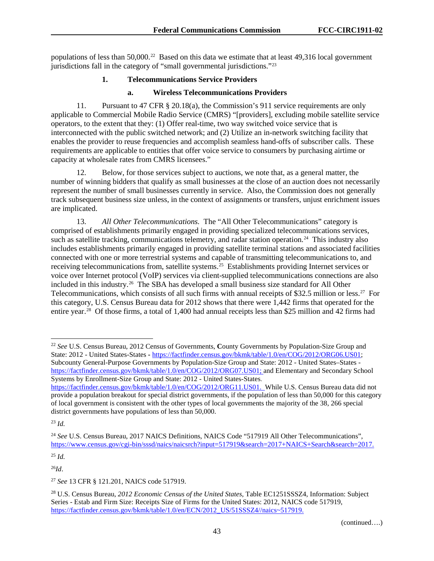populations of less than  $50,000^{22}$  $50,000^{22}$  $50,000^{22}$  Based on this data we estimate that at least 49,316 local government jurisdictions fall in the category of "small governmental jurisdictions."[23](#page-43-1)

## **1. Telecommunications Service Providers**

#### **a. Wireless Telecommunications Providers**

11. Pursuant to 47 CFR § 20.18(a), the Commission's 911 service requirements are only applicable to Commercial Mobile Radio Service (CMRS) "[providers], excluding mobile satellite service operators, to the extent that they: (1) Offer real-time, two way switched voice service that is interconnected with the public switched network; and (2) Utilize an in-network switching facility that enables the provider to reuse frequencies and accomplish seamless hand-offs of subscriber calls. These requirements are applicable to entities that offer voice service to consumers by purchasing airtime or capacity at wholesale rates from CMRS licensees."

12. Below, for those services subject to auctions, we note that, as a general matter, the number of winning bidders that qualify as small businesses at the close of an auction does not necessarily represent the number of small businesses currently in service. Also, the Commission does not generally track subsequent business size unless, in the context of assignments or transfers, unjust enrichment issues are implicated.

13. *All Other Telecommunications.* The "All Other Telecommunications" category is comprised of establishments primarily engaged in providing specialized telecommunications services, such as satellite tracking, communications telemetry, and radar station operation.<sup>[24](#page-43-2)</sup> This industry also includes establishments primarily engaged in providing satellite terminal stations and associated facilities connected with one or more terrestrial systems and capable of transmitting telecommunications to, and receiving telecommunications from, satellite systems.[25](#page-43-3) Establishments providing Internet services or voice over Internet protocol (VoIP) services via client-supplied telecommunications connections are also included in this industry.<sup>[26](#page-43-4)</sup> The SBA has developed a small business size standard for All Other Telecommunications, which consists of all such firms with annual receipts of \$32.5 million or less.<sup>[27](#page-43-5)</sup> For this category, U.S. Census Bureau data for 2012 shows that there were 1,442 firms that operated for the entire year.[28](#page-43-6) Of those firms, a total of 1,400 had annual receipts less than \$25 million and 42 firms had

<span id="page-43-1"></span><sup>23</sup> *Id.*

<span id="page-43-3"></span><sup>25</sup> *Id.*

<span id="page-43-4"></span><sup>26</sup>*Id*.

<span id="page-43-0"></span> <sup>22</sup> *See* U.S. Census Bureau, 2012 Census of Governments, **C**ounty Governments by Population-Size Group and State: 2012 - United States-States **-** [https://factfinder.census.gov/bkmk/table/1.0/en/COG/2012/ORG06.US01;](https://factfinder.census.gov/bkmk/table/1.0/en/COG/2012/ORG06.US01) Subcounty General-Purpose Governments by Population-Size Group and State: 2012 - United States–States [https://factfinder.census.gov/bkmk/table/1.0/en/COG/2012/ORG07.US01;](https://factfinder.census.gov/bkmk/table/1.0/en/COG/2012/ORG07.US01) and Elementary and Secondary School Systems by Enrollment-Size Group and State: 2012 - United States-States. [https://factfinder.census.gov/bkmk/table/1.0/en/COG/2012/ORG11.US01.](https://factfinder.census.gov/bkmk/table/1.0/en/COG/2012/ORG11.US01) While U.S. Census Bureau data did not

provide a population breakout for special district governments, if the population of less than 50,000 for this category of local government is consistent with the other types of local governments the majority of the 38, 266 special district governments have populations of less than 50,000.

<span id="page-43-2"></span><sup>24</sup> *See* U.S. Census Bureau, 2017 NAICS Definitions, NAICS Code "517919 All Other Telecommunications", [https://www.census.gov/cgi-bin/sssd/naics/naicsrch?input=517919&search=2017+NAICS+Search&search=2017.](https://www.census.gov/cgi-bin/sssd/naics/naicsrch?input=517919&search=2017+NAICS+Search&search=2017)

<span id="page-43-5"></span><sup>27</sup> *See* 13 CFR § 121.201, NAICS code 517919.

<span id="page-43-6"></span><sup>28</sup> U.S. Census Bureau, *2012 Economic Census of the United States*, Table EC1251SSSZ4, Information: Subject Series - Estab and Firm Size: Receipts Size of Firms for the United States: 2012, NAICS code 517919, [https://factfinder.census.gov/bkmk/table/1.0/en/ECN/2012\\_US/51SSSZ4//naics~517919.](https://factfinder.census.gov/bkmk/table/1.0/en/ECN/2012_US/51SSSZ4/naics%7E517919)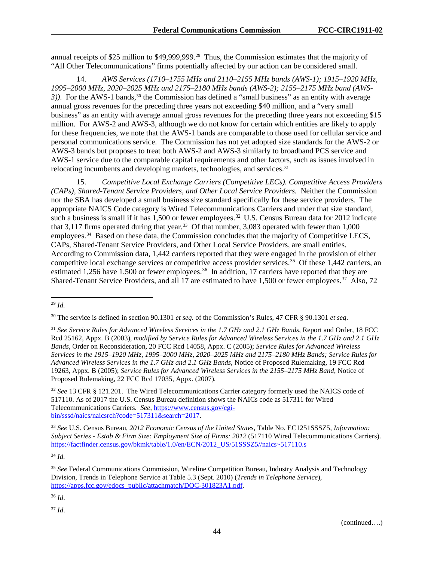annual receipts of \$25 million to \$49,999,999.[29](#page-44-0) Thus, the Commission estimates that the majority of "All Other Telecommunications" firms potentially affected by our action can be considered small.

14. *AWS Services (1710–1755 MHz and 2110–2155 MHz bands (AWS-1); 1915–1920 MHz, 1995–2000 MHz, 2020–2025 MHz and 2175–2180 MHz bands (AWS-2); 2155–2175 MHz band (AWS-3*)). For the AWS-1 bands,<sup>[30](#page-44-1)</sup> the Commission has defined a "small business" as an entity with average annual gross revenues for the preceding three years not exceeding \$40 million, and a "very small business" as an entity with average annual gross revenues for the preceding three years not exceeding \$15 million. For AWS-2 and AWS-3, although we do not know for certain which entities are likely to apply for these frequencies, we note that the AWS-1 bands are comparable to those used for cellular service and personal communications service. The Commission has not yet adopted size standards for the AWS-2 or AWS-3 bands but proposes to treat both AWS-2 and AWS-3 similarly to broadband PCS service and AWS-1 service due to the comparable capital requirements and other factors, such as issues involved in relocating incumbents and developing markets, technologies, and services.<sup>[31](#page-44-2)</sup>

15. *Competitive Local Exchange Carriers (Competitive LECs). Competitive Access Providers (CAPs), Shared-Tenant Service Providers, and Other Local Service Providers.* Neither the Commission nor the SBA has developed a small business size standard specifically for these service providers. The appropriate NAICS Code category is Wired Telecommunications Carriers and under that size standard, such a business is small if it has 1,500 or fewer employees.<sup>[32](#page-44-3)</sup> U.S. Census Bureau data for 2012 indicate that 3,117 firms operated during that year.<sup>33</sup> Of that number, 3,083 operated with fewer than  $1,000$ employees.<sup>34</sup> Based on these data, the Commission concludes that the majority of Competitive LECS, CAPs, Shared-Tenant Service Providers, and Other Local Service Providers, are small entities. According to Commission data, 1,442 carriers reported that they were engaged in the provision of either competitive local exchange services or competitive access provider services.<sup>35</sup> Of these 1,442 carriers, an estimated 1,256 have 1,500 or fewer employees.<sup>[36](#page-44-7)</sup> In addition, 17 carriers have reported that they are Shared-Tenant Service Providers, and all 17 are estimated to have 1,500 or fewer employees.<sup>[37](#page-44-8)</sup> Also, 72

<span id="page-44-5"></span><sup>34</sup> *Id.*

<span id="page-44-0"></span> <sup>29</sup> *Id.*

<span id="page-44-1"></span><sup>30</sup> The service is defined in section 90.1301 *et seq*. of the Commission's Rules, 47 CFR § 90.1301 *et seq*.

<span id="page-44-2"></span><sup>31</sup> *See Service Rules for Advanced Wireless Services in the 1*.*7 GHz and 2*.*1 GHz Bands*, Report and Order, 18 FCC Rcd 25162, Appx. B (2003), *modified by Service Rules for Advanced Wireless Services in the 1*.*7 GHz and 2*.*1 GHz Bands*, Order on Reconsideration, 20 FCC Rcd 14058, Appx. C (2005); *Service Rules for Advanced Wireless Services in the 1915–1920 MHz*, *1995–2000 MHz*, *2020–2025 MHz and 2175–2180 MHz Bands; Service Rules for Advanced Wireless Services in the 1*.*7 GHz and 2*.*1 GHz Bands*, Notice of Proposed Rulemaking, 19 FCC Rcd 19263, Appx. B (2005); *Service Rules for Advanced Wireless Services in the 2155–2175 MHz Band*, Notice of Proposed Rulemaking, 22 FCC Rcd 17035, Appx. (2007).

<span id="page-44-3"></span><sup>32</sup> *See* 13 CFR § 121.201. The Wired Telecommunications Carrier category formerly used the NAICS code of 517110. As of 2017 the U.S. Census Bureau definition shows the NAICs code as 517311 for Wired Telecommunications Carriers. *See*, [https://www.census.gov/cgi](https://www.census.gov/cgi-bin/sssd/naics/naicsrch?code=517311&search=2017)[bin/sssd/naics/naicsrch?code=517311&search=2017.](https://www.census.gov/cgi-bin/sssd/naics/naicsrch?code=517311&search=2017)

<span id="page-44-4"></span><sup>33</sup> *See* U.S. Census Bureau, *2012 Economic Census of the United States,* Table No. EC1251SSSZ5, *Information: Subject Series - Estab & Firm Size: Employment Size of Firms: 2012* (517110 Wired Telecommunications Carriers). [https://factfinder.census.gov/bkmk/table/1.0/en/ECN/2012\\_US/51SSSZ5//naics~517110.](https://factfinder.census.gov/bkmk/table/1.0/en/ECN/2012_US/51SSSZ5/naics%7E517110)s

<span id="page-44-6"></span><sup>35</sup> *See* Federal Communications Commission, Wireline Competition Bureau, Industry Analysis and Technology Division, Trends in Telephone Service at Table 5.3 (Sept. 2010) (*Trends in Telephone Service*), [https://apps.fcc.gov/edocs\\_public/attachmatch/DOC-301823A1.pdf.](https://apps.fcc.gov/edocs_public/attachmatch/DOC-301823A1.pdf)

<span id="page-44-7"></span><sup>36</sup> *Id*.

<span id="page-44-8"></span><sup>37</sup> *Id*.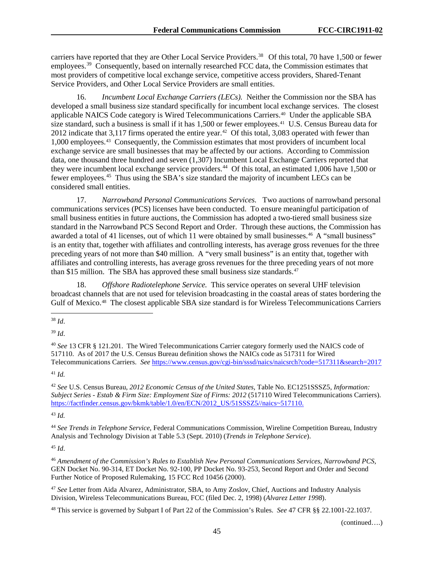carriers have reported that they are Other Local Service Providers.<sup>[38](#page-45-0)</sup> Of this total, 70 have 1,500 or fewer employees.[39](#page-45-1) Consequently, based on internally researched FCC data, the Commission estimates that most providers of competitive local exchange service, competitive access providers, Shared-Tenant Service Providers, and Other Local Service Providers are small entities.

16. *Incumbent Local Exchange Carriers (LECs).* Neither the Commission nor the SBA has developed a small business size standard specifically for incumbent local exchange services. The closest applicable NAICS Code category is Wired Telecommunications Carriers[.40](#page-45-2) Under the applicable SBA size standard, such a business is small if it has 1,500 or fewer employees.<sup>41</sup> U.S. Census Bureau data for 2012 indicate that 3,117 firms operated the entire year.<sup>[42](#page-45-4)</sup> Of this total, 3,083 operated with fewer than 1,000 employees.[43](#page-45-5) Consequently, the Commission estimates that most providers of incumbent local exchange service are small businesses that may be affected by our actions. According to Commission data, one thousand three hundred and seven (1,307) Incumbent Local Exchange Carriers reported that they were incumbent local exchange service providers.<sup>[44](#page-45-6)</sup> Of this total, an estimated 1,006 have 1,500 or fewer employees.[45](#page-45-7) Thus using the SBA's size standard the majority of incumbent LECs can be considered small entities.

17. *Narrowband Personal Communications Services.* Two auctions of narrowband personal communications services (PCS) licenses have been conducted. To ensure meaningful participation of small business entities in future auctions, the Commission has adopted a two-tiered small business size standard in the Narrowband PCS Second Report and Order. Through these auctions, the Commission has awarded a total of 41 licenses, out of which 11 were obtained by small businesses.<sup>[46](#page-45-8)</sup> A "small business" is an entity that, together with affiliates and controlling interests, has average gross revenues for the three preceding years of not more than \$40 million. A "very small business" is an entity that, together with affiliates and controlling interests, has average gross revenues for the three preceding years of not more than \$15 million. The SBA has approved these small business size standards. $47$ 

18. *Offshore Radiotelephone Service.* This service operates on several UHF television broadcast channels that are not used for television broadcasting in the coastal areas of states bordering the Gulf of Mexico.<sup>[48](#page-45-10)</sup> The closest applicable SBA size standard is for Wireless Telecommunications Carriers

<span id="page-45-1"></span><sup>39</sup> *Id*.

<span id="page-45-2"></span><sup>40</sup> *See* 13 CFR § 121.201. The Wired Telecommunications Carrier category formerly used the NAICS code of 517110. As of 2017 the U.S. Census Bureau definition shows the NAICs code as 517311 for Wired Telecommunications Carriers. *See* <https://www.census.gov/cgi-bin/sssd/naics/naicsrch?code=517311&search=2017>

<span id="page-45-3"></span><sup>41</sup> *Id.*

<span id="page-45-4"></span><sup>42</sup> *See* U.S. Census Bureau, *2012 Economic Census of the United States,* Table No. EC1251SSSZ5, *Information: Subject Series - Estab & Firm Size: Employment Size of Firms: 2012* (517110 Wired Telecommunications Carriers). [https://factfinder.census.gov/bkmk/table/1.0/en/ECN/2012\\_US/51SSSZ5//naics~517110.](https://factfinder.census.gov/bkmk/table/1.0/en/ECN/2012_US/51SSSZ5/naics%7E517110)

<span id="page-45-5"></span><sup>43</sup> *Id.*

<span id="page-45-6"></span><sup>44</sup> *See Trends in Telephone Service*, Federal Communications Commission, Wireline Competition Bureau, Industry Analysis and Technology Division at Table 5.3 (Sept. 2010) (*Trends in Telephone Service*).

<span id="page-45-7"></span><sup>45</sup> *Id*.

<span id="page-45-8"></span><sup>46</sup> *Amendment of the Commission's Rules to Establish New Personal Communications Services, Narrowband PCS*, GEN Docket No. 90-314, ET Docket No. 92-100, PP Docket No. 93-253, Second Report and Order and Second Further Notice of Proposed Rulemaking, 15 FCC Rcd 10456 (2000).

<span id="page-45-9"></span><sup>47</sup> *See* Letter from Aida Alvarez, Administrator, SBA, to Amy Zoslov, Chief, Auctions and Industry Analysis Division, Wireless Telecommunications Bureau, FCC (filed Dec. 2, 1998) (*Alvarez Letter 1998*).

<span id="page-45-10"></span><sup>48</sup> This service is governed by Subpart I of Part 22 of the Commission's Rules. *See* 47 CFR §§ 22.1001-22.1037.

(continued….)

<span id="page-45-0"></span> <sup>38</sup> *Id*.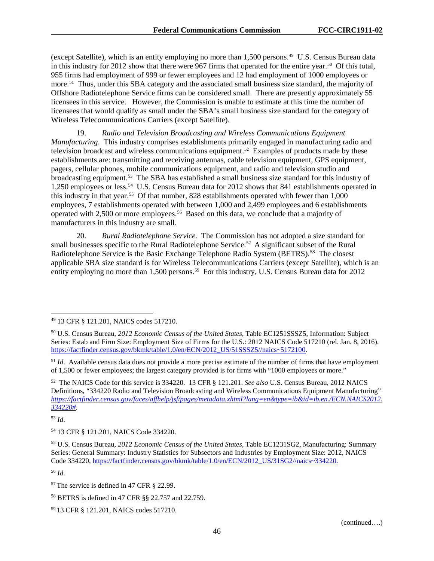(except Satellite), which is an entity employing no more than  $1,500$  persons.<sup>[49](#page-46-0)</sup> U.S. Census Bureau data in this industry for 2012 show that there were 967 firms that operated for the entire year.<sup>50</sup> Of this total, 955 firms had employment of 999 or fewer employees and 12 had employment of 1000 employees or more.[51](#page-46-2) Thus, under this SBA category and the associated small business size standard, the majority of Offshore Radiotelephone Service firms can be considered small. There are presently approximately 55 licensees in this service. However, the Commission is unable to estimate at this time the number of licensees that would qualify as small under the SBA's small business size standard for the category of Wireless Telecommunications Carriers (except Satellite).

19. *Radio and Television Broadcasting and Wireless Communications Equipment Manufacturing*. This industry comprises establishments primarily engaged in manufacturing radio and television broadcast and wireless communications equipment.[52](#page-46-3) Examples of products made by these establishments are: transmitting and receiving antennas, cable television equipment, GPS equipment, pagers, cellular phones, mobile communications equipment, and radio and television studio and broadcasting equipment.[53](#page-46-4) The SBA has established a small business size standard for this industry of 1,250 employees or less.[54](#page-46-5) U.S. Census Bureau data for 2012 shows that 841 establishments operated in this industry in that year.<sup>55</sup> Of that number, 828 establishments operated with fewer than  $1,000$ employees, 7 establishments operated with between 1,000 and 2,499 employees and 6 establishments operated with 2,500 or more employees.<sup>56</sup> Based on this data, we conclude that a majority of manufacturers in this industry are small.

20. *Rural Radiotelephone Service.* The Commission has not adopted a size standard for small businesses specific to the Rural Radiotelephone Service.<sup>[57](#page-46-8)</sup> A significant subset of the Rural Radiotelephone Service is the Basic Exchange Telephone Radio System (BETRS).<sup>[58](#page-46-9)</sup> The closest applicable SBA size standard is for Wireless Telecommunications Carriers (except Satellite), which is an entity employing no more than 1,500 persons.<sup>[59](#page-46-10)</sup> For this industry, U.S. Census Bureau data for 2012

<span id="page-46-4"></span><sup>53</sup> *Id*.

<span id="page-46-7"></span><sup>56</sup> *Id*.

<span id="page-46-0"></span> <sup>49</sup> 13 CFR § 121.201, NAICS codes 517210.

<span id="page-46-1"></span><sup>50</sup> U.S. Census Bureau, *2012 Economic Census of the United States*, Table EC1251SSSZ5, Information: Subject Series: Estab and Firm Size: Employment Size of Firms for the U.S.: 2012 NAICS Code 517210 (rel. Jan. 8, 2016). [https://factfinder.census.gov/bkmk/table/1.0/en/ECN/2012\\_US/51SSSZ5//naics~5172100.](https://factfinder.census.gov/bkmk/table/1.0/en/ECN/2012_US/51SSSZ5/naics%7E5172100)

<span id="page-46-2"></span><sup>&</sup>lt;sup>51</sup> *Id.* Available census data does not provide a more precise estimate of the number of firms that have employment of 1,500 or fewer employees; the largest category provided is for firms with "1000 employees or more."

<span id="page-46-3"></span><sup>52</sup> The NAICS Code for this service is 334220. 13 CFR § 121.201. *See also* U.S. Census Bureau, 2012 NAICS Definitions, "334220 Radio and Television Broadcasting and Wireless Communications Equipment Manufacturing" *[https://factfinder.census.gov/faces/affhelp/jsf/pages/metadata.xhtml?lang=en&type=ib&id=ib.en./ECN.NAICS2012.](https://factfinder.census.gov/faces/affhelp/jsf/pages/metadata.xhtml?lang=en&type=ib&id=ib.en./ECN.NAICS2012.334220) [334220#.](https://factfinder.census.gov/faces/affhelp/jsf/pages/metadata.xhtml?lang=en&type=ib&id=ib.en./ECN.NAICS2012.334220)* 

<span id="page-46-5"></span><sup>54</sup> 13 CFR § 121.201, NAICS Code 334220.

<span id="page-46-6"></span><sup>55</sup> U.S. Census Bureau, *2012 Economic Census of the United States*, Table EC1231SG2, Manufacturing: Summary Series: General Summary: Industry Statistics for Subsectors and Industries by Employment Size: 2012, NAICS Code 334220[, https://factfinder.census.gov/bkmk/table/1.0/en/ECN/2012\\_US/31SG2//naics~334220.](https://factfinder.census.gov/bkmk/table/1.0/en/ECN/2012_US/31SG2/naics%7E334220)

<span id="page-46-8"></span><sup>57</sup> The service is defined in 47 CFR § 22.99.

<span id="page-46-9"></span><sup>58</sup> BETRS is defined in 47 CFR §§ 22.757 and 22.759.

<span id="page-46-10"></span><sup>59</sup> 13 CFR § 121.201, NAICS codes 517210.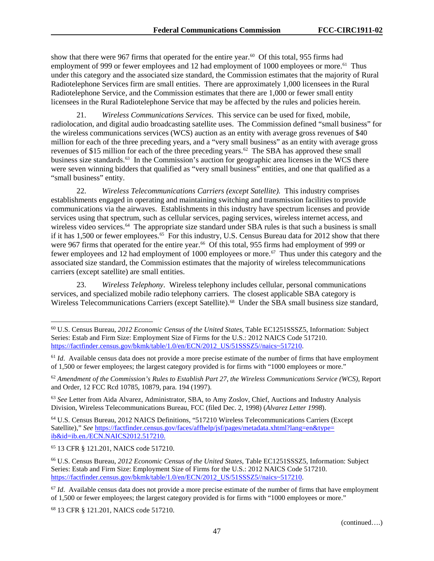show that there were 967 firms that operated for the entire year.<sup>[60](#page-47-0)</sup> Of this total, 955 firms had employment of 999 or fewer employees and 12 had employment of 1000 employees or more.<sup>61</sup> Thus under this category and the associated size standard, the Commission estimates that the majority of Rural Radiotelephone Services firm are small entities. There are approximately 1,000 licensees in the Rural Radiotelephone Service, and the Commission estimates that there are 1,000 or fewer small entity licensees in the Rural Radiotelephone Service that may be affected by the rules and policies herein.

21. *Wireless Communications Services*. This service can be used for fixed, mobile, radiolocation, and digital audio broadcasting satellite uses. The Commission defined "small business" for the wireless communications services (WCS) auction as an entity with average gross revenues of \$40 million for each of the three preceding years, and a "very small business" as an entity with average gross revenues of \$15 million for each of the three preceding years.<sup>62</sup> The SBA has approved these small business size standards.<sup>[63](#page-47-3)</sup> In the Commission's auction for geographic area licenses in the WCS there were seven winning bidders that qualified as "very small business" entities, and one that qualified as a "small business" entity.

22. *Wireless Telecommunications Carriers (except Satellite).* This industry comprises establishments engaged in operating and maintaining switching and transmission facilities to provide communications via the airwaves. Establishments in this industry have spectrum licenses and provide services using that spectrum, such as cellular services, paging services, wireless internet access, and wireless video services.<sup>[64](#page-47-4)</sup> The appropriate size standard under SBA rules is that such a business is small if it has 1,500 or fewer employees. [65](#page-47-5) For this industry, U.S. Census Bureau data for 2012 show that there were 967 firms that operated for the entire year.<sup>[66](#page-47-6)</sup> Of this total, 955 firms had employment of 999 or fewer employees and 12 had employment of 1000 employees or more.<sup>[67](#page-47-7)</sup> Thus under this category and the associated size standard, the Commission estimates that the majority of wireless telecommunications carriers (except satellite) are small entities.

23. *Wireless Telephony*. Wireless telephony includes cellular, personal communications services, and specialized mobile radio telephony carriers. The closest applicable SBA category is Wireless Telecommunications Carriers (except Satellite).<sup>68</sup> Under the SBA small business size standard,

<span id="page-47-0"></span> <sup>60</sup> U.S. Census Bureau, *<sup>2012</sup> Economic Census of the United States*, Table EC1251SSSZ5, Information: Subject Series: Estab and Firm Size: Employment Size of Firms for the U.S.: 2012 NAICS Code 517210. [https://factfinder.census.gov/bkmk/table/1.0/en/ECN/2012\\_US/51SSSZ5//naics~517210.](https://factfinder.census.gov/bkmk/table/1.0/en/ECN/2012_US/51SSSZ5/naics%7E517210)

<span id="page-47-1"></span><sup>&</sup>lt;sup>61</sup> *Id.* Available census data does not provide a more precise estimate of the number of firms that have employment of 1,500 or fewer employees; the largest category provided is for firms with "1000 employees or more."

<span id="page-47-2"></span><sup>62</sup> *Amendment of the Commission's Rules to Establish Part 27*, *the Wireless Communications Service (WCS)*, Report and Order, 12 FCC Rcd 10785, 10879, para. 194 (1997).

<span id="page-47-3"></span><sup>63</sup> *See* Letter from Aida Alvarez, Administrator, SBA, to Amy Zoslov, Chief, Auctions and Industry Analysis Division, Wireless Telecommunications Bureau, FCC (filed Dec. 2, 1998) (*Alvarez Letter 1998*).

<span id="page-47-4"></span><sup>64</sup> U.S. Census Bureau, 2012 NAICS Definitions, "517210 Wireless Telecommunications Carriers (Except Satellite)," *See* [https://factfinder.census.gov/faces/affhelp/jsf/pages/metadata.xhtml?lang=en&type=](https://factfinder.census.gov/faces/affhelp/jsf/pages/metadata.xhtml?lang=en&type=ib&id=ib.en./ECN.NAICS2012.517210) [ib&id=ib.en./ECN.NAICS2012.517210.](https://factfinder.census.gov/faces/affhelp/jsf/pages/metadata.xhtml?lang=en&type=ib&id=ib.en./ECN.NAICS2012.517210)

<span id="page-47-5"></span><sup>65</sup> 13 CFR § 121.201, NAICS code 517210.

<span id="page-47-6"></span><sup>66</sup> U.S. Census Bureau, *2012 Economic Census of the United States*, Table EC1251SSSZ5, Information: Subject Series: Estab and Firm Size: Employment Size of Firms for the U.S.: 2012 NAICS Code 517210. [https://factfinder.census.gov/bkmk/table/1.0/en/ECN/2012\\_US/51SSSZ5//naics~517210.](https://factfinder.census.gov/bkmk/table/1.0/en/ECN/2012_US/51SSSZ5/naics%7E517210)

<span id="page-47-7"></span><sup>67</sup> *Id*. Available census data does not provide a more precise estimate of the number of firms that have employment of 1,500 or fewer employees; the largest category provided is for firms with "1000 employees or more."

<span id="page-47-8"></span><sup>68</sup> 13 CFR § 121.201, NAICS code 517210.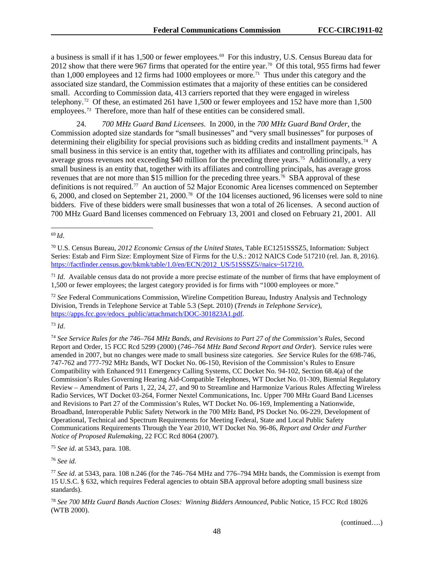a business is small if it has 1,500 or fewer employees.<sup>[69](#page-48-0)</sup> For this industry, U.S. Census Bureau data for 2012 show that there were 967 firms that operated for the entire year.<sup>[70](#page-48-1)</sup> Of this total, 955 firms had fewer than 1,000 employees and 12 firms had 1000 employees or more.<sup>71</sup> Thus under this category and the associated size standard, the Commission estimates that a majority of these entities can be considered small. According to Commission data, 413 carriers reported that they were engaged in wireless telephony.[72](#page-48-3) Of these, an estimated 261 have 1,500 or fewer employees and 152 have more than 1,500 employees.<sup>73</sup> Therefore, more than half of these entities can be considered small.

24. *700 MHz Guard Band Licensees*. In 2000, in the *700 MHz Guard Band Order*, the Commission adopted size standards for "small businesses" and "very small businesses" for purposes of determining their eligibility for special provisions such as bidding credits and installment payments.[74](#page-48-5) A small business in this service is an entity that, together with its affiliates and controlling principals, has average gross revenues not exceeding \$40 million for the preceding three years.[75](#page-48-6) Additionally, a very small business is an entity that, together with its affiliates and controlling principals, has average gross revenues that are not more than \$15 million for the preceding three years.<sup>[76](#page-48-7)</sup> SBA approval of these definitions is not required.[77](#page-48-8) An auction of 52 Major Economic Area licenses commenced on September 6, 2000, and closed on September 21, 2000.[78](#page-48-9) Of the 104 licenses auctioned, 96 licenses were sold to nine bidders. Five of these bidders were small businesses that won a total of 26 licenses. A second auction of 700 MHz Guard Band licenses commenced on February 13, 2001 and closed on February 21, 2001. All

<span id="page-48-3"></span><sup>72</sup> *See* Federal Communications Commission, Wireline Competition Bureau, Industry Analysis and Technology Division, Trends in Telephone Service at Table 5.3 (Sept. 2010) (*Trends in Telephone Service*), [https://apps.fcc.gov/edocs\\_public/attachmatch/DOC-301823A1.pdf.](https://apps.fcc.gov/edocs_public/attachmatch/DOC-301823A1.pdf)

<span id="page-48-4"></span><sup>73</sup> *Id*.

<span id="page-48-5"></span><sup>74</sup> *See Service Rules for the 746–764 MHz Bands*, *and Revisions to Part 27 of the Commission's Rules*, Second Report and Order, 15 FCC Rcd 5299 (2000) (*746–764 MHz Band Second Report and Order*). Service rules were amended in 2007, but no changes were made to small business size categories. *See* Service Rules for the 698-746, 747-762 and 777-792 MHz Bands, WT Docket No. 06-150, Revision of the Commission's Rules to Ensure Compatibility with Enhanced 911 Emergency Calling Systems, CC Docket No. 94-102, Section 68.4(a) of the Commission's Rules Governing Hearing Aid-Compatible Telephones, WT Docket No. 01-309, Biennial Regulatory Review – Amendment of Parts 1, 22, 24, 27, and 90 to Streamline and Harmonize Various Rules Affecting Wireless Radio Services, WT Docket 03-264, Former Nextel Communications, Inc. Upper 700 MHz Guard Band Licenses and Revisions to Part 27 of the Commission's Rules, WT Docket No. 06-169, Implementing a Nationwide, Broadband, Interoperable Public Safety Network in the 700 MHz Band, PS Docket No. 06-229, Development of Operational, Technical and Spectrum Requirements for Meeting Federal, State and Local Public Safety Communications Requirements Through the Year 2010, WT Docket No. 96-86, *Report and Order and Further Notice of Proposed Rulemaking*, 22 FCC Rcd 8064 (2007).

<span id="page-48-6"></span><sup>75</sup> *See id*. at 5343, para. 108.

<span id="page-48-7"></span><sup>76</sup> *See id*.

<span id="page-48-0"></span> <sup>69</sup> *Id*.

<span id="page-48-1"></span><sup>70</sup> U.S. Census Bureau, *2012 Economic Census of the United States*, Table EC1251SSSZ5, Information: Subject Series: Estab and Firm Size: Employment Size of Firms for the U.S.: 2012 NAICS Code 517210 (rel. Jan. 8, 2016). [https://factfinder.census.gov/bkmk/table/1.0/en/ECN/2012\\_US/51SSSZ5//naics~517210.](https://factfinder.census.gov/bkmk/table/1.0/en/ECN/2012_US/51SSSZ5/naics%7E517210)

<span id="page-48-2"></span><sup>&</sup>lt;sup>71</sup> *Id*. Available census data do not provide a more precise estimate of the number of firms that have employment of 1,500 or fewer employees; the largest category provided is for firms with "1000 employees or more."

<span id="page-48-8"></span><sup>77</sup> *See id*. at 5343, para. 108 n.246 (for the 746–764 MHz and 776–794 MHz bands, the Commission is exempt from 15 U.S.C. § 632, which requires Federal agencies to obtain SBA approval before adopting small business size standards).

<span id="page-48-9"></span><sup>78</sup> *See 700 MHz Guard Bands Auction Closes: Winning Bidders Announced*, Public Notice, 15 FCC Rcd 18026 (WTB 2000).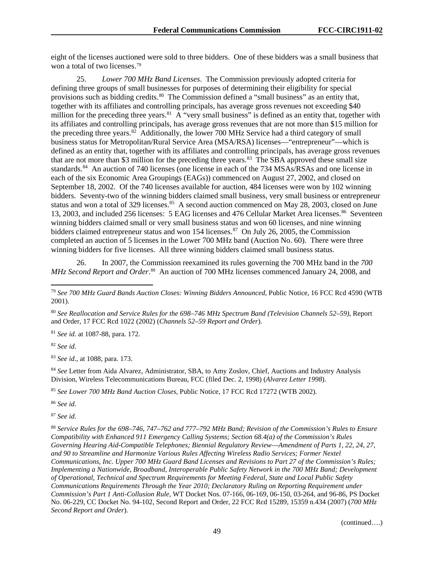eight of the licenses auctioned were sold to three bidders. One of these bidders was a small business that won a total of two licenses.<sup>[79](#page-49-0)</sup>

25. *Lower 700 MHz Band Licenses*. The Commission previously adopted criteria for defining three groups of small businesses for purposes of determining their eligibility for special provisions such as bidding credits.<sup>[80](#page-49-1)</sup> The Commission defined a "small business" as an entity that, together with its affiliates and controlling principals, has average gross revenues not exceeding \$40 million for the preceding three years.<sup>81</sup> A "very small business" is defined as an entity that, together with its affiliates and controlling principals, has average gross revenues that are not more than \$15 million for the preceding three years. $82$  Additionally, the lower 700 MHz Service had a third category of small business status for Metropolitan/Rural Service Area (MSA/RSA) licenses—"entrepreneur"—which is defined as an entity that, together with its affiliates and controlling principals, has average gross revenues that are not more than \$3 million for the preceding three years.<sup>83</sup> The SBA approved these small size standards.<sup>84</sup> An auction of 740 licenses (one license in each of the 734 MSAs/RSAs and one license in each of the six Economic Area Groupings (EAGs)) commenced on August 27, 2002, and closed on September 18, 2002. Of the 740 licenses available for auction, 484 licenses were won by 102 winning bidders. Seventy-two of the winning bidders claimed small business, very small business or entrepreneur status and won a total of 329 licenses.<sup>[85](#page-49-6)</sup> A second auction commenced on May 28, 2003, closed on June 13, 2003, and included 256 licenses: 5 EAG licenses and 476 Cellular Market Area licenses.<sup>86</sup> Seventeen winning bidders claimed small or very small business status and won 60 licenses, and nine winning bidders claimed entrepreneur status and won 154 licenses.<sup>87</sup> On July 26, 2005, the Commission completed an auction of 5 licenses in the Lower 700 MHz band (Auction No. 60). There were three winning bidders for five licenses. All three winning bidders claimed small business status.

26. In 2007, the Commission reexamined its rules governing the 700 MHz band in the *700*  MHz Second Report and Order.<sup>[88](#page-49-9)</sup> An auction of 700 MHz licenses commenced January 24, 2008, and

<span id="page-49-2"></span><sup>81</sup> *See id*. at 1087-88, para. 172.

<span id="page-49-3"></span><sup>82</sup> *See id*.

<span id="page-49-4"></span><sup>83</sup> *See id*., at 1088, para. 173.

<span id="page-49-5"></span><sup>84</sup> *See* Letter from Aida Alvarez, Administrator, SBA, to Amy Zoslov, Chief, Auctions and Industry Analysis Division, Wireless Telecommunications Bureau, FCC (filed Dec. 2, 1998) (*Alvarez Letter 1998*).

<span id="page-49-6"></span><sup>85</sup> *See Lower 700 MHz Band Auction Closes*, Public Notice, 17 FCC Rcd 17272 (WTB 2002).

<span id="page-49-7"></span><sup>86</sup> *See id*.

<span id="page-49-8"></span><sup>87</sup> *See id*.

<span id="page-49-9"></span><sup>88</sup> *Service Rules for the 698*–*746*, *747*–*762 and 777*–*792 MHz Band; Revision of the Commission's Rules to Ensure Compatibility with Enhanced 911 Emergency Calling Systems; Section 68.4(a) of the Commission's Rules Governing Hearing Aid-Compatible Telephones; Biennial Regulatory Review*—*Amendment of Parts 1*, *22*, *24*, *27*, *and 90 to Streamline and Harmonize Various Rules Affecting Wireless Radio Services; Former Nextel Communications*, *Inc. Upper 700 MHz Guard Band Licenses and Revisions to Part 27 of the Commission's Rules; Implementing a Nationwide*, *Broadband*, *Interoperable Public Safety Network in the 700 MHz Band; Development of Operational*, *Technical and Spectrum Requirements for Meeting Federal*, *State and Local Public Safety Communications Requirements Through the Year 2010; Declaratory Ruling on Reporting Requirement under Commission's Part 1 Anti-Collusion Rule*, WT Docket Nos. 07-166, 06-169, 06-150, 03-264, and 96-86, PS Docket No. 06-229, CC Docket No. 94-102, Second Report and Order, 22 FCC Rcd 15289, 15359 n.434 (2007) (*700 MHz Second Report and Order*).

<span id="page-49-0"></span> <sup>79</sup> *See 700 MHz Guard Bands Auction Closes: Winning Bidders Announced*, Public Notice, 16 FCC Rcd 4590 (WTB 2001).

<span id="page-49-1"></span><sup>80</sup> *See Reallocation and Service Rules for the 698*–*746 MHz Spectrum Band (Television Channels 52*–*59)*, Report and Order, 17 FCC Rcd 1022 (2002) (*Channels 52*–*59 Report and Order*).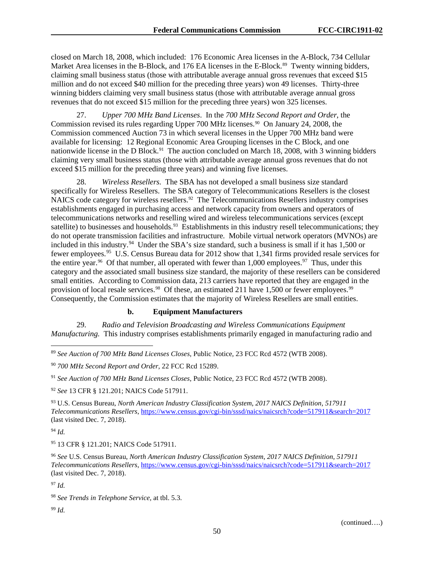closed on March 18, 2008, which included: 176 Economic Area licenses in the A-Block, 734 Cellular Market Area licenses in the B-Block, and 176 EA licenses in the E-Block.<sup>[89](#page-50-0)</sup> Twenty winning bidders, claiming small business status (those with attributable average annual gross revenues that exceed \$15 million and do not exceed \$40 million for the preceding three years) won 49 licenses. Thirty-three winning bidders claiming very small business status (those with attributable average annual gross revenues that do not exceed \$15 million for the preceding three years) won 325 licenses.

27. *Upper 700 MHz Band Licenses*. In the *700 MHz Second Report and Order*, the Commission revised its rules regarding Upper 700 MHz licenses.<sup>[90](#page-50-1)</sup> On January 24, 2008, the Commission commenced Auction 73 in which several licenses in the Upper 700 MHz band were available for licensing: 12 Regional Economic Area Grouping licenses in the C Block, and one nationwide license in the D Block.<sup>[91](#page-50-2)</sup> The auction concluded on March 18, 2008, with 3 winning bidders claiming very small business status (those with attributable average annual gross revenues that do not exceed \$15 million for the preceding three years) and winning five licenses.

28. *Wireless Resellers.* The SBA has not developed a small business size standard specifically for Wireless Resellers. The SBA category of Telecommunications Resellers is the closest NAICS code category for wireless resellers.<sup>92</sup> The Telecommunications Resellers industry comprises establishments engaged in purchasing access and network capacity from owners and operators of telecommunications networks and reselling wired and wireless telecommunications services (except satellite) to businesses and households.<sup>[93](#page-50-4)</sup> Establishments in this industry resell telecommunications; they do not operate transmission facilities and infrastructure. Mobile virtual network operators (MVNOs) are included in this industry.<sup>94</sup> Under the SBA's size standard, such a business is small if it has 1,500 or fewer employees.[95](#page-50-6) U.S. Census Bureau data for 2012 show that 1,341 firms provided resale services for the entire year.<sup>96</sup> Of that number, all operated with fewer than  $1,000$  employees.<sup>97</sup> Thus, under this category and the associated small business size standard, the majority of these resellers can be considered small entities. According to Commission data, 213 carriers have reported that they are engaged in the provision of local resale services.<sup>98</sup> Of these, an estimated 211 have 1,500 or fewer employees.<sup>99</sup> Consequently, the Commission estimates that the majority of Wireless Resellers are small entities.

## **b. Equipment Manufacturers**

29. *Radio and Television Broadcasting and Wireless Communications Equipment Manufacturing.* This industry comprises establishments primarily engaged in manufacturing radio and

<span id="page-50-5"></span><sup>94</sup> *Id.*

<span id="page-50-6"></span><sup>95</sup> 13 CFR § 121.201; NAICS Code 517911.

<span id="page-50-7"></span><sup>96</sup> *See* U.S. Census Bureau, *North American Industry Classification System*, *2017 NAICS Definition, 517911 Telecommunications Resellers*,<https://www.census.gov/cgi-bin/sssd/naics/naicsrch?code=517911&search=2017> (last visited Dec. 7, 2018).

<span id="page-50-8"></span><sup>97</sup> *Id.* 

<span id="page-50-10"></span><sup>99</sup> *Id.*

<span id="page-50-0"></span> <sup>89</sup> *See Auction of 700 MHz Band Licenses Closes*, Public Notice, 23 FCC Rcd 4572 (WTB 2008).

<span id="page-50-1"></span><sup>90</sup> *700 MHz Second Report and Order*, 22 FCC Rcd 15289.

<span id="page-50-2"></span><sup>91</sup> *See Auction of 700 MHz Band Licenses Closes*, Public Notice, 23 FCC Rcd 4572 (WTB 2008).

<span id="page-50-3"></span><sup>92</sup> *See* 13 CFR § 121.201; NAICS Code 517911.

<span id="page-50-4"></span><sup>93</sup> U.S. Census Bureau, *North American Industry Classification System*, *2017 NAICS Definition, 517911 Telecommunications Resellers*,<https://www.census.gov/cgi-bin/sssd/naics/naicsrch?code=517911&search=2017> (last visited Dec. 7, 2018).

<span id="page-50-9"></span><sup>98</sup> *See Trends in Telephone Service,* at tbl. 5.3.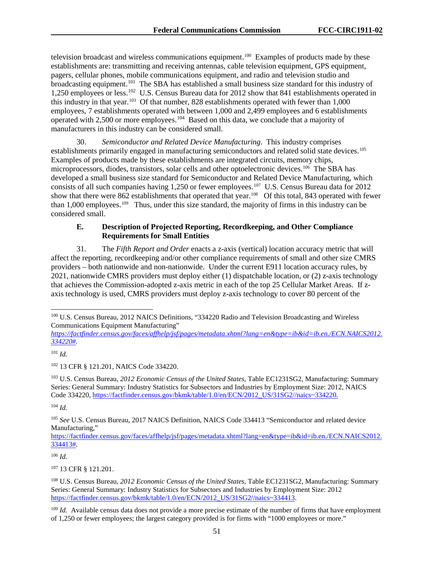television broadcast and wireless communications equipment.<sup>100</sup> Examples of products made by these establishments are: transmitting and receiving antennas, cable television equipment, GPS equipment, pagers, cellular phones, mobile communications equipment, and radio and television studio and broadcasting equipment.<sup>[101](#page-51-1)</sup> The SBA has established a small business size standard for this industry of 1,250 employees or less.[102](#page-51-2) U.S. Census Bureau data for 2012 show that 841 establishments operated in this industry in that year.[103](#page-51-3) Of that number, 828 establishments operated with fewer than 1,000 employees, 7 establishments operated with between 1,000 and 2,499 employees and 6 establishments operated with 2,500 or more employees.[104](#page-51-4) Based on this data, we conclude that a majority of manufacturers in this industry can be considered small.

30. *Semiconductor and Related Device Manufacturing*. This industry comprises establishments primarily engaged in manufacturing semiconductors and related solid state devices.<sup>[105](#page-51-5)</sup> Examples of products made by these establishments are integrated circuits, memory chips, microprocessors, diodes, transistors, solar cells and other optoelectronic devices[.106](#page-51-6) The SBA has developed a small business size standard for Semiconductor and Related Device Manufacturing, which consists of all such companies having 1,250 or fewer employees.<sup>107</sup> U.S. Census Bureau data for 2012 show that there were 862 establishments that operated that year.<sup>108</sup> Of this total, 843 operated with fewer than 1,000 employees[.109](#page-51-9) Thus, under this size standard, the majority of firms in this industry can be considered small.

## **E. Description of Projected Reporting, Recordkeeping, and Other Compliance Requirements for Small Entities**

31. The *Fifth Report and Order* enacts a z-axis (vertical) location accuracy metric that will affect the reporting, recordkeeping and/or other compliance requirements of small and other size CMRS providers – both nationwide and non-nationwide. Under the current E911 location accuracy rules, by 2021, nationwide CMRS providers must deploy either (1) dispatchable location, or (2) z-axis technology that achieves the Commission-adopted z-axis metric in each of the top 25 Cellular Market Areas. If zaxis technology is used, CMRS providers must deploy z-axis technology to cover 80 percent of the

<span id="page-51-3"></span><sup>103</sup> U.S. Census Bureau, *2012 Economic Census of the United States*, Table EC1231SG2, Manufacturing: Summary Series: General Summary: Industry Statistics for Subsectors and Industries by Employment Size: 2012, NAICS Code 334220[, https://factfinder.census.gov/bkmk/table/1.0/en/ECN/2012\\_US/31SG2//naics~334220.](https://factfinder.census.gov/bkmk/table/1.0/en/ECN/2012_US/31SG2/naics%7E334220)

<span id="page-51-5"></span><sup>105</sup> *See* U.S. Census Bureau, 2017 NAICS Definition, NAICS Code 334413 "Semiconductor and related device Manufacturing,"

[https://factfinder.census.gov/faces/affhelp/jsf/pages/metadata.xhtml?lang=en&type=ib&id=ib.en./ECN.NAICS2012.](https://factfinder.census.gov/faces/affhelp/jsf/pages/metadata.xhtml?lang=en&type=ib&id=ib.en./ECN.NAICS2012.334413) [334413#.](https://factfinder.census.gov/faces/affhelp/jsf/pages/metadata.xhtml?lang=en&type=ib&id=ib.en./ECN.NAICS2012.334413)

<span id="page-51-6"></span><sup>106</sup> *Id.*

<span id="page-51-7"></span><sup>107</sup> 13 CFR § 121.201.

<span id="page-51-0"></span> <sup>100</sup> U.S. Census Bureau, 2012 NAICS Definitions, "334220 Radio and Television Broadcasting and Wireless Communications Equipment Manufacturing"

*[https://factfinder.census.gov/faces/affhelp/jsf/pages/metadata.xhtml?lang=en&type=ib&id=ib.en./ECN.NAICS2012.](https://factfinder.census.gov/faces/affhelp/jsf/pages/metadata.xhtml?lang=en&type=ib&id=ib.en./ECN.NAICS2012.334220) [334220#.](https://factfinder.census.gov/faces/affhelp/jsf/pages/metadata.xhtml?lang=en&type=ib&id=ib.en./ECN.NAICS2012.334220)*

<span id="page-51-1"></span> $101$  *Id.* 

<span id="page-51-2"></span><sup>102</sup> 13 CFR § 121.201, NAICS Code 334220.

<span id="page-51-4"></span> $104$  *Id.* 

<span id="page-51-8"></span><sup>108</sup> U.S. Census Bureau, *2012 Economic Census of the United States*, Table EC1231SG2, Manufacturing: Summary Series: General Summary: Industry Statistics for Subsectors and Industries by Employment Size: 2012 [https://factfinder.census.gov/bkmk/table/1.0/en/ECN/2012\\_US/31SG2//naics~334413.](https://factfinder.census.gov/bkmk/table/1.0/en/ECN/2012_US/31SG2/naics%7E334413)

<span id="page-51-9"></span><sup>&</sup>lt;sup>109</sup> *Id.* Available census data does not provide a more precise estimate of the number of firms that have employment of 1,250 or fewer employees; the largest category provided is for firms with "1000 employees or more."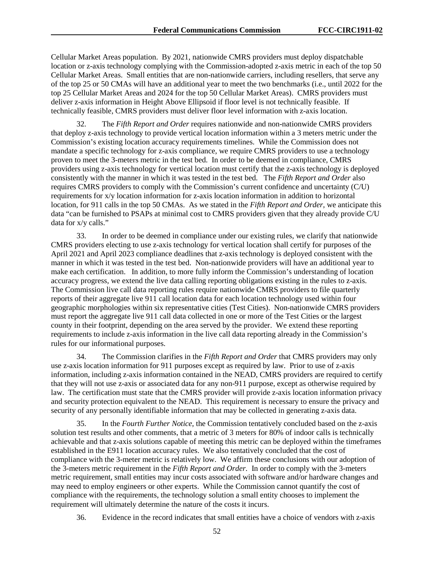Cellular Market Areas population. By 2021, nationwide CMRS providers must deploy dispatchable location or z-axis technology complying with the Commission-adopted z-axis metric in each of the top 50 Cellular Market Areas. Small entities that are non-nationwide carriers, including resellers, that serve any of the top 25 or 50 CMAs will have an additional year to meet the two benchmarks (i.e., until 2022 for the top 25 Cellular Market Areas and 2024 for the top 50 Cellular Market Areas). CMRS providers must deliver z-axis information in Height Above Ellipsoid if floor level is not technically feasible. If technically feasible, CMRS providers must deliver floor level information with z-axis location.

32. The *Fifth Report and Order* requires nationwide and non-nationwide CMRS providers that deploy z-axis technology to provide vertical location information within a 3 meters metric under the Commission's existing location accuracy requirements timelines. While the Commission does not mandate a specific technology for z-axis compliance, we require CMRS providers to use a technology proven to meet the 3-meters metric in the test bed. In order to be deemed in compliance, CMRS providers using z-axis technology for vertical location must certify that the z-axis technology is deployed consistently with the manner in which it was tested in the test bed. The *Fifth Report and Order* also requires CMRS providers to comply with the Commission's current confidence and uncertainty (C/U) requirements for x/y location information for z-axis location information in addition to horizontal location, for 911 calls in the top 50 CMAs. As we stated in the *Fifth Report and Order*, we anticipate this data "can be furnished to PSAPs at minimal cost to CMRS providers given that they already provide C/U data for x/y calls."

33. In order to be deemed in compliance under our existing rules, we clarify that nationwide CMRS providers electing to use z-axis technology for vertical location shall certify for purposes of the April 2021 and April 2023 compliance deadlines that z-axis technology is deployed consistent with the manner in which it was tested in the test bed. Non-nationwide providers will have an additional year to make each certification. In addition, to more fully inform the Commission's understanding of location accuracy progress, we extend the live data calling reporting obligations existing in the rules to z-axis. The Commission live call data reporting rules require nationwide CMRS providers to file quarterly reports of their aggregate live 911 call location data for each location technology used within four geographic morphologies within six representative cities (Test Cities). Non-nationwide CMRS providers must report the aggregate live 911 call data collected in one or more of the Test Cities or the largest county in their footprint, depending on the area served by the provider. We extend these reporting requirements to include z-axis information in the live call data reporting already in the Commission's rules for our informational purposes.

34. The Commission clarifies in the *Fifth Report and Order* that CMRS providers may only use z-axis location information for 911 purposes except as required by law. Prior to use of z-axis information, including z-axis information contained in the NEAD, CMRS providers are required to certify that they will not use z-axis or associated data for any non-911 purpose, except as otherwise required by law. The certification must state that the CMRS provider will provide z-axis location information privacy and security protection equivalent to the NEAD. This requirement is necessary to ensure the privacy and security of any personally identifiable information that may be collected in generating z-axis data.

35. In the *Fourth Further Notice*, the Commission tentatively concluded based on the z-axis solution test results and other comments, that a metric of 3 meters for 80% of indoor calls is technically achievable and that z-axis solutions capable of meeting this metric can be deployed within the timeframes established in the E911 location accuracy rules. We also tentatively concluded that the cost of compliance with the 3-meter metric is relatively low. We affirm these conclusions with our adoption of the 3-meters metric requirement in the *Fifth Report and Order.* In order to comply with the 3-meters metric requirement, small entities may incur costs associated with software and/or hardware changes and may need to employ engineers or other experts. While the Commission cannot quantify the cost of compliance with the requirements, the technology solution a small entity chooses to implement the requirement will ultimately determine the nature of the costs it incurs.

36. Evidence in the record indicates that small entities have a choice of vendors with z-axis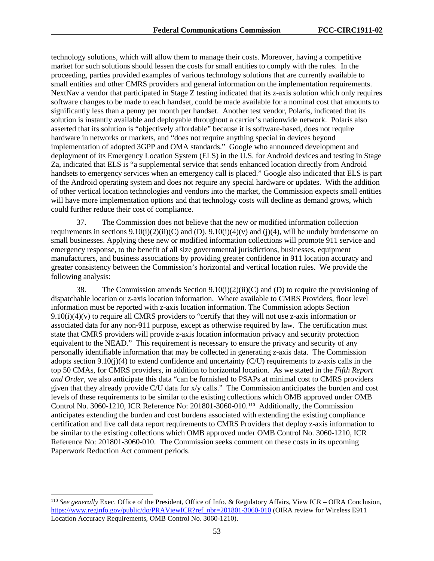technology solutions, which will allow them to manage their costs. Moreover, having a competitive market for such solutions should lessen the costs for small entities to comply with the rules. In the proceeding, parties provided examples of various technology solutions that are currently available to small entities and other CMRS providers and general information on the implementation requirements. NextNav a vendor that participated in Stage Z testing indicated that its z-axis solution which only requires software changes to be made to each handset, could be made available for a nominal cost that amounts to significantly less than a penny per month per handset. Another test vendor, Polaris, indicated that its solution is instantly available and deployable throughout a carrier's nationwide network. Polaris also asserted that its solution is "objectively affordable" because it is software-based, does not require hardware in networks or markets, and "does not require anything special in devices beyond implementation of adopted 3GPP and OMA standards." Google who announced development and deployment of its Emergency Location System (ELS) in the U.S. for Android devices and testing in Stage Za, indicated that ELS is "a supplemental service that sends enhanced location directly from Android handsets to emergency services when an emergency call is placed." Google also indicated that ELS is part of the Android operating system and does not require any special hardware or updates. With the addition of other vertical location technologies and vendors into the market, the Commission expects small entities will have more implementation options and that technology costs will decline as demand grows, which could further reduce their cost of compliance.

37. The Commission does not believe that the new or modified information collection requirements in sections  $9.10(i)(2)(ii)(C)$  and  $(D), 9.10(i)(4)(v)$  and  $(i)(4)$ , will be unduly burdensome on small businesses. Applying these new or modified information collections will promote 911 service and emergency response, to the benefit of all size governmental jurisdictions, businesses, equipment manufacturers, and business associations by providing greater confidence in 911 location accuracy and greater consistency between the Commission's horizontal and vertical location rules. We provide the following analysis:

38. The Commission amends Section  $9.10(i)(2)(ii)(C)$  and (D) to require the provisioning of dispatchable location or z-axis location information. Where available to CMRS Providers, floor level information must be reported with z-axis location information. The Commission adopts Section  $9.10(i)(4)(v)$  to require all CMRS providers to "certify that they will not use z-axis information or associated data for any non-911 purpose, except as otherwise required by law. The certification must state that CMRS providers will provide z-axis location information privacy and security protection equivalent to the NEAD." This requirement is necessary to ensure the privacy and security of any personally identifiable information that may be collected in generating z-axis data. The Commission adopts section  $9.10(i)(4)$  to extend confidence and uncertainty (C/U) requirements to z-axis calls in the top 50 CMAs, for CMRS providers, in addition to horizontal location. As we stated in the *Fifth Report and Order*, we also anticipate this data "can be furnished to PSAPs at minimal cost to CMRS providers given that they already provide C/U data for x/y calls." The Commission anticipates the burden and cost levels of these requirements to be similar to the existing collections which OMB approved under OMB Control No. 3060-1210, ICR Reference No: 201801-3060-010.[110](#page-53-0) Additionally, the Commission anticipates extending the burden and cost burdens associated with extending the existing compliance certification and live call data report requirements to CMRS Providers that deploy z-axis information to be similar to the existing collections which OMB approved under OMB Control No. 3060-1210, ICR Reference No: 201801-3060-010. The Commission seeks comment on these costs in its upcoming Paperwork Reduction Act comment periods.

<span id="page-53-0"></span> <sup>110</sup> *See generally* Exec. Office of the President, Office of Info. & Regulatory Affairs, View ICR – OIRA Conclusion, [https://www.reginfo.gov/public/do/PRAViewICR?ref\\_nbr=201801-3060-010](https://www.reginfo.gov/public/do/PRAViewICR?ref_nbr=201801-3060-010) (OIRA review for Wireless E911 Location Accuracy Requirements, OMB Control No. 3060-1210).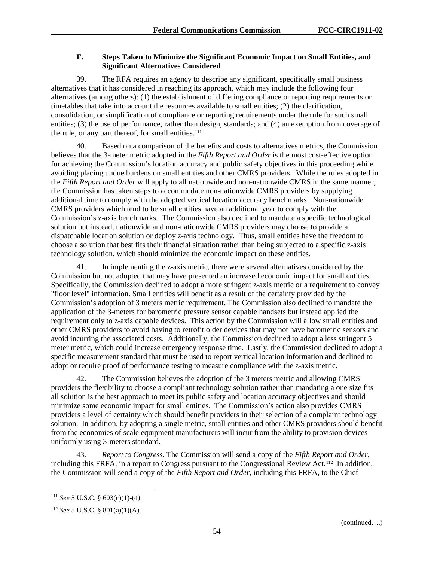# **F. Steps Taken to Minimize the Significant Economic Impact on Small Entities, and Significant Alternatives Considered**

39. The RFA requires an agency to describe any significant, specifically small business alternatives that it has considered in reaching its approach, which may include the following four alternatives (among others): (1) the establishment of differing compliance or reporting requirements or timetables that take into account the resources available to small entities; (2) the clarification, consolidation, or simplification of compliance or reporting requirements under the rule for such small entities; (3) the use of performance, rather than design, standards; and (4) an exemption from coverage of the rule, or any part thereof, for small entities. $111$ 

40. Based on a comparison of the benefits and costs to alternatives metrics, the Commission believes that the 3-meter metric adopted in the *Fifth Report and Order* is the most cost-effective option for achieving the Commission's location accuracy and public safety objectives in this proceeding while avoiding placing undue burdens on small entities and other CMRS providers. While the rules adopted in the *Fifth Report and Order* will apply to all nationwide and non-nationwide CMRS in the same manner, the Commission has taken steps to accommodate non-nationwide CMRS providers by supplying additional time to comply with the adopted vertical location accuracy benchmarks. Non-nationwide CMRS providers which tend to be small entities have an additional year to comply with the Commission's z-axis benchmarks. The Commission also declined to mandate a specific technological solution but instead, nationwide and non-nationwide CMRS providers may choose to provide a dispatchable location solution or deploy z-axis technology. Thus, small entities have the freedom to choose a solution that best fits their financial situation rather than being subjected to a specific z-axis technology solution, which should minimize the economic impact on these entities.

41. In implementing the z-axis metric, there were several alternatives considered by the Commission but not adopted that may have presented an increased economic impact for small entities. Specifically, the Commission declined to adopt a more stringent z-axis metric or a requirement to convey "floor level" information. Small entities will benefit as a result of the certainty provided by the Commission's adoption of 3 meters metric requirement. The Commission also declined to mandate the application of the 3-meters for barometric pressure sensor capable handsets but instead applied the requirement only to z-axis capable devices. This action by the Commission will allow small entities and other CMRS providers to avoid having to retrofit older devices that may not have barometric sensors and avoid incurring the associated costs. Additionally, the Commission declined to adopt a less stringent 5 meter metric, which could increase emergency response time. Lastly, the Commission declined to adopt a specific measurement standard that must be used to report vertical location information and declined to adopt or require proof of performance testing to measure compliance with the z-axis metric.

42. The Commission believes the adoption of the 3 meters metric and allowing CMRS providers the flexibility to choose a compliant technology solution rather than mandating a one size fits all solution is the best approach to meet its public safety and location accuracy objectives and should minimize some economic impact for small entities. The Commission's action also provides CMRS providers a level of certainty which should benefit providers in their selection of a complaint technology solution. In addition, by adopting a single metric, small entities and other CMRS providers should benefit from the economies of scale equipment manufacturers will incur from the ability to provision devices uniformly using 3-meters standard.

43. *Report to Congress*. The Commission will send a copy of the *Fifth Report and Order*, including this FRFA, in a report to Congress pursuant to the Congressional Review Act.<sup>112</sup> In addition, the Commission will send a copy of the *Fifth Report and Order*, including this FRFA, to the Chief

<span id="page-54-0"></span> <sup>111</sup> *See* 5 U.S.C. § 603(c)(1)-(4).

<span id="page-54-1"></span><sup>112</sup> *See* 5 U.S.C. § 801(a)(1)(A).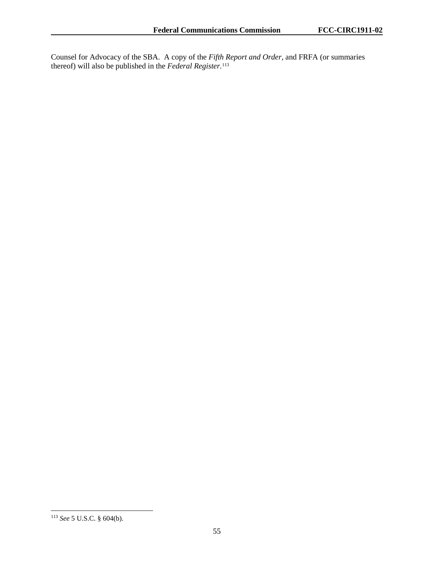Counsel for Advocacy of the SBA. A copy of the *Fifth Report and Order,* and FRFA (or summaries thereof) will also be published in the *Federal Register*. [113](#page-55-0)

<span id="page-55-0"></span> <sup>113</sup> *See* 5 U.S.C. § 604(b).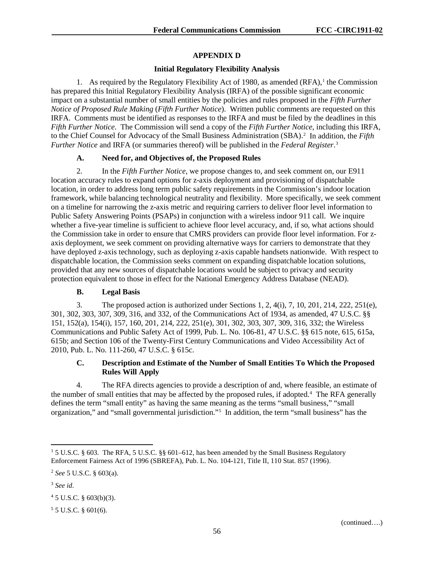## **APPENDIX D**

## **Initial Regulatory Flexibility Analysis**

[1](#page-56-0). As required by the Regulatory Flexibility Act of 1980, as amended  $(RFA)$ ,<sup>1</sup> the Commission has prepared this Initial Regulatory Flexibility Analysis (IRFA) of the possible significant economic impact on a substantial number of small entities by the policies and rules proposed in the *Fifth Further Notice of Proposed Rule Making* (*Fifth Further Notice*). Written public comments are requested on this IRFA. Comments must be identified as responses to the IRFA and must be filed by the deadlines in this *Fifth Further Notice*. The Commission will send a copy of the *Fifth Further Notice*, including this IRFA, to the Chief Counsel for Advocacy of the Small Business Administration (SBA).<sup>[2](#page-56-1)</sup> In addition, the Fifth *Further Notice* and IRFA (or summaries thereof) will be published in the *Federal Register*. [3](#page-56-2)

## **A. Need for, and Objectives of, the Proposed Rules**

2. In the *Fifth Further Notice*, we propose changes to, and seek comment on, our E911 location accuracy rules to expand options for z-axis deployment and provisioning of dispatchable location, in order to address long term public safety requirements in the Commission's indoor location framework, while balancing technological neutrality and flexibility. More specifically, we seek comment on a timeline for narrowing the z-axis metric and requiring carriers to deliver floor level information to Public Safety Answering Points (PSAPs) in conjunction with a wireless indoor 911 call. We inquire whether a five-year timeline is sufficient to achieve floor level accuracy, and, if so, what actions should the Commission take in order to ensure that CMRS providers can provide floor level information. For zaxis deployment, we seek comment on providing alternative ways for carriers to demonstrate that they have deployed z-axis technology, such as deploying z-axis capable handsets nationwide. With respect to dispatchable location, the Commission seeks comment on expanding dispatchable location solutions, provided that any new sources of dispatchable locations would be subject to privacy and security protection equivalent to those in effect for the National Emergency Address Database (NEAD).

## **B. Legal Basis**

3. The proposed action is authorized under Sections 1, 2,  $4(i)$ , 7, 10, 201, 214, 222, 251(e), 301, 302, 303, 307, 309, 316, and 332, of the Communications Act of 1934, as amended, 47 U.S.C. §§ 151, 152(a), 154(i), 157, 160, 201, 214, 222, 251(e), 301, 302, 303, 307, 309, 316, 332; the Wireless Communications and Public Safety Act of 1999, Pub. L. No. 106-81, 47 U.S.C. §§ 615 note, 615, 615a, 615b; and Section 106 of the Twenty-First Century Communications and Video Accessibility Act of 2010, Pub. L. No. 111-260, 47 U.S.C. § 615c.

# **C. Description and Estimate of the Number of Small Entities To Which the Proposed Rules Will Apply**

4. The RFA directs agencies to provide a description of and, where feasible, an estimate of the number of small entities that may be affected by the proposed rules, if adopted.<sup>[4](#page-56-3)</sup> The RFA generally defines the term "small entity" as having the same meaning as the terms "small business," "small organization," and "small governmental jurisdiction."[5](#page-56-4) In addition, the term "small business" has the

<span id="page-56-0"></span><sup>&</sup>lt;sup>1</sup> 5 U.S.C. § 603. The RFA, 5 U.S.C. §§ 601–612, has been amended by the Small Business Regulatory Enforcement Fairness Act of 1996 (SBREFA), Pub. L. No. 104-121, Title II, 110 Stat. 857 (1996).

<span id="page-56-1"></span><sup>2</sup> *See* 5 U.S.C. § 603(a).

<span id="page-56-2"></span><sup>3</sup> *See id*.

<span id="page-56-3"></span> $45$  U.S.C. § 603(b)(3).

<span id="page-56-4"></span> $55$  U.S.C. § 601(6).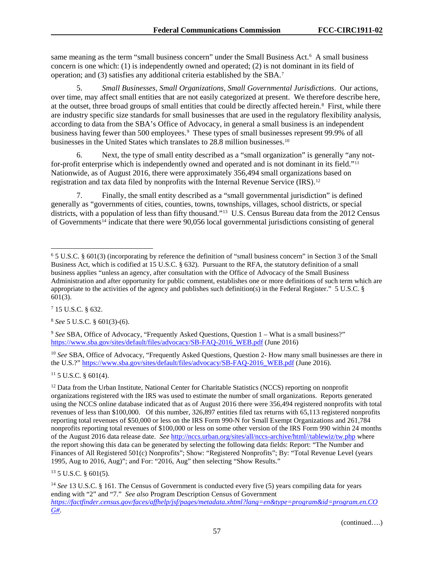same meaning as the term "small business concern" under the Small Business Act.<sup>6</sup> A small business concern is one which: (1) is independently owned and operated; (2) is not dominant in its field of operation; and (3) satisfies any additional criteria established by the SBA.[7](#page-57-1)

5. *Small Businesses, Small Organizations, Small Governmental Jurisdictions*. Our actions, over time, may affect small entities that are not easily categorized at present. We therefore describe here, at the outset, three broad groups of small entities that could be directly affected herein.<sup>[8](#page-57-2)</sup> First, while there are industry specific size standards for small businesses that are used in the regulatory flexibility analysis, according to data from the SBA's Office of Advocacy, in general a small business is an independent business having fewer than 500 employees.[9](#page-57-3) These types of small businesses represent 99.9% of all businesses in the United States which translates to 28.8 million businesses.<sup>[10](#page-57-4)</sup>

6. Next, the type of small entity described as a "small organization" is generally "any not-for-profit enterprise which is independently owned and operated and is not dominant in its field."<sup>[11](#page-57-5)</sup> Nationwide, as of August 2016, there were approximately 356,494 small organizations based on registration and tax data filed by nonprofits with the Internal Revenue Service (IRS).[12](#page-57-6)

7. Finally, the small entity described as a "small governmental jurisdiction" is defined generally as "governments of cities, counties, towns, townships, villages, school districts, or special districts, with a population of less than fifty thousand."<sup>[13](#page-57-7)</sup> U.S. Census Bureau data from the 2012 Census of Governments[14](#page-57-8) indicate that there were 90,056 local governmental jurisdictions consisting of general

<span id="page-57-1"></span><sup>7</sup> 15 U.S.C. § 632.

<span id="page-57-2"></span><sup>8</sup> *See* 5 U.S.C. § 601(3)-(6).

<span id="page-57-3"></span><sup>9</sup> *See* SBA, Office of Advocacy, "Frequently Asked Questions, Question 1 – What is a small business?" [https://www.sba.gov/sites/default/files/advocacy/SB-FAQ-2016\\_WEB.pdf](https://www.sba.gov/sites/default/files/advocacy/SB-FAQ-2016_WEB.pdf) (June 2016)

<span id="page-57-4"></span><sup>10</sup> *See* SBA, Office of Advocacy, "Frequently Asked Questions, Question 2- How many small businesses are there in the U.S.?" [https://www.sba.gov/sites/default/files/advocacy/SB-FAQ-2016\\_WEB.pdf](https://www.sba.gov/sites/default/files/advocacy/SB-FAQ-2016_WEB.pdf) (June 2016).

<span id="page-57-5"></span> $11\,5$  U.S.C. § 601(4).

<span id="page-57-6"></span><sup>12</sup> Data from the Urban Institute, National Center for Charitable Statistics (NCCS) reporting on nonprofit organizations registered with the IRS was used to estimate the number of small organizations. Reports generated using the NCCS online database indicated that as of August 2016 there were 356,494 registered nonprofits with total revenues of less than \$100,000. Of this number, 326,897 entities filed tax returns with 65,113 registered nonprofits reporting total revenues of \$50,000 or less on the IRS Form 990-N for Small Exempt Organizations and 261,784 nonprofits reporting total revenues of \$100,000 or less on some other version of the IRS Form 990 within 24 months of the August 2016 data release date. *See* [http://nccs.urban.org/sites/all/nccs-archive/html//tablewiz/tw.php](http://nccs.urban.org/sites/all/nccs-archive/html/tablewiz/tw.php) where the report showing this data can be generated by selecting the following data fields: Report: "The Number and Finances of All Registered 501(c) Nonprofits"; Show: "Registered Nonprofits"; By: "Total Revenue Level (years 1995, Aug to 2016, Aug)"; and For: "2016, Aug" then selecting "Show Results."

<span id="page-57-7"></span> $13$  5 U.S.C. § 601(5).

<span id="page-57-8"></span><sup>14</sup> *See* 13 U.S.C. § 161. The Census of Government is conducted every five (5) years compiling data for years ending with "2" and "7." *See also* Program Description Census of Government *[https://factfinder.census.gov/faces/affhelp/jsf/pages/metadata.xhtml?lang=en&type=program&id=program.en.CO](https://factfinder.census.gov/faces/affhelp/jsf/pages/metadata.xhtml?lang=en&type=program&id=program.en.COG) [G#](https://factfinder.census.gov/faces/affhelp/jsf/pages/metadata.xhtml?lang=en&type=program&id=program.en.COG)*.

<span id="page-57-0"></span> <sup>6</sup> 5 U.S.C. § 601(3) (incorporating by reference the definition of "small business concern" in Section 3 of the Small Business Act, which is codified at 15 U.S.C. § 632). Pursuant to the RFA, the statutory definition of a small business applies "unless an agency, after consultation with the Office of Advocacy of the Small Business Administration and after opportunity for public comment, establishes one or more definitions of such term which are appropriate to the activities of the agency and publishes such definition(s) in the Federal Register." 5 U.S.C. § 601(3).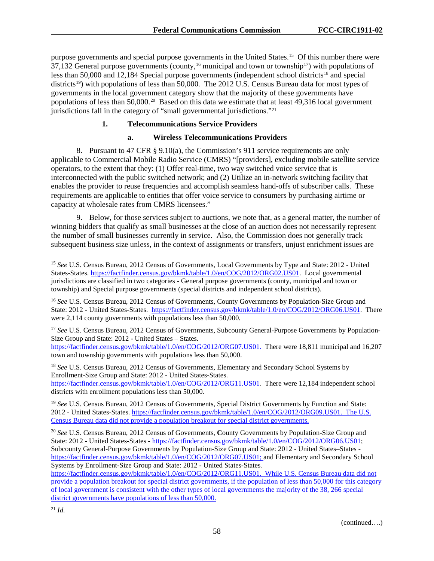purpose governments and special purpose governments in the United States.[15](#page-58-0) Of this number there were 37,132 General purpose governments (county,<sup>[16](#page-58-1)</sup> municipal and town or township<sup>[17](#page-58-2)</sup>) with populations of less than 50,000 and 12,[18](#page-58-3)4 Special purpose governments (independent school districts<sup>18</sup> and special districts<sup>19</sup>) with populations of less than 50,000. The 2012 U.S. Census Bureau data for most types of governments in the local government category show that the majority of these governments have populations of less than 50,000.[20](#page-58-5) Based on this data we estimate that at least 49,316 local government jurisdictions fall in the category of "small governmental jurisdictions."[21](#page-58-6)

## **1. Telecommunications Service Providers**

## **a. Wireless Telecommunications Providers**

8. Pursuant to 47 CFR § 9.10(a), the Commission's 911 service requirements are only applicable to Commercial Mobile Radio Service (CMRS) "[providers], excluding mobile satellite service operators, to the extent that they: (1) Offer real-time, two way switched voice service that is interconnected with the public switched network; and (2) Utilize an in-network switching facility that enables the provider to reuse frequencies and accomplish seamless hand-offs of subscriber calls. These requirements are applicable to entities that offer voice service to consumers by purchasing airtime or capacity at wholesale rates from CMRS licensees."

9. Below, for those services subject to auctions, we note that, as a general matter, the number of winning bidders that qualify as small businesses at the close of an auction does not necessarily represent the number of small businesses currently in service. Also, the Commission does not generally track subsequent business size unless, in the context of assignments or transfers, unjust enrichment issues are

<span id="page-58-1"></span><sup>16</sup> *See* U.S. Census Bureau, 2012 Census of Governments, County Governments by Population-Size Group and State: 2012 **-** United States-States. [https://factfinder.census.gov/bkmk/table/1.0/en/COG/2012/ORG06.US01.](https://factfinder.census.gov/bkmk/table/1.0/en/COG/2012/ORG06.US01) There were 2,114 county governments with populations less than 50,000.

<span id="page-58-2"></span><sup>17</sup> See U.S. Census Bureau, 2012 Census of Governments, Subcounty General-Purpose Governments by Population-Size Group and State: 2012 - United States – States.

[https://factfinder.census.gov/bkmk/table/1.0/en/COG/2012/ORG07.US01.](https://factfinder.census.gov/bkmk/table/1.0/en/COG/2012/ORG07.US01) There were 18,811 municipal and 16,207 town and township governments with populations less than 50,000.

<span id="page-58-3"></span><sup>18</sup> *See* U.S. Census Bureau, 2012 Census of Governments, Elementary and Secondary School Systems by Enrollment-Size Group and State: 2012 - United States-States. [https://factfinder.census.gov/bkmk/table/1.0/en/COG/2012/ORG11.US01.](https://factfinder.census.gov/bkmk/table/1.0/en/COG/2012/ORG11.US01) There were 12,184 independent school districts with enrollment populations less than 50,000.

<span id="page-58-4"></span><sup>19</sup> *See* U.S. Census Bureau, 2012 Census of Governments, Special District Governments by Function and State: 2012 - United States-States. [https://factfinder.census.gov/bkmk/table/1.0/en/COG/2012/ORG09.US01.](https://factfinder.census.gov/bkmk/table/1.0/en/COG/2012/ORG09.US01) The U.S. Census Bureau data did not provide a population breakout for special district governments.

<span id="page-58-5"></span><sup>20</sup> *See* U.S. Census Bureau, 2012 Census of Governments, **C**ounty Governments by Population-Size Group and State: 2012 - United States-States **-** [https://factfinder.census.gov/bkmk/table/1.0/en/COG/2012/ORG06.US01;](https://factfinder.census.gov/bkmk/table/1.0/en/COG/2012/ORG06.US01) Subcounty General-Purpose Governments by Population-Size Group and State: 2012 - United States–States [https://factfinder.census.gov/bkmk/table/1.0/en/COG/2012/ORG07.US01;](https://factfinder.census.gov/bkmk/table/1.0/en/COG/2012/ORG07.US01) and Elementary and Secondary School Systems by Enrollment-Size Group and State: 2012 - United States-States.

<span id="page-58-6"></span>[https://factfinder.census.gov/bkmk/table/1.0/en/COG/2012/ORG11.US01.](https://factfinder.census.gov/bkmk/table/1.0/en/COG/2012/ORG11.US01) While U.S. Census Bureau data did not provide a population breakout for special district governments, if the population of less than 50,000 for this category of local government is consistent with the other types of local governments the majority of the 38, 266 special district governments have populations of less than 50,000.

<span id="page-58-0"></span><sup>&</sup>lt;sup>15</sup> See U.S. Census Bureau, 2012 Census of Governments, Local Governments by Type and State: 2012 - United States-States. [https://factfinder.census.gov/bkmk/table/1.0/en/COG/2012/ORG02.US01.](https://factfinder.census.gov/bkmk/table/1.0/en/COG/2012/ORG02.US01) Local governmental jurisdictions are classified in two categories - General purpose governments (county, municipal and town or township) and Special purpose governments (special districts and independent school districts).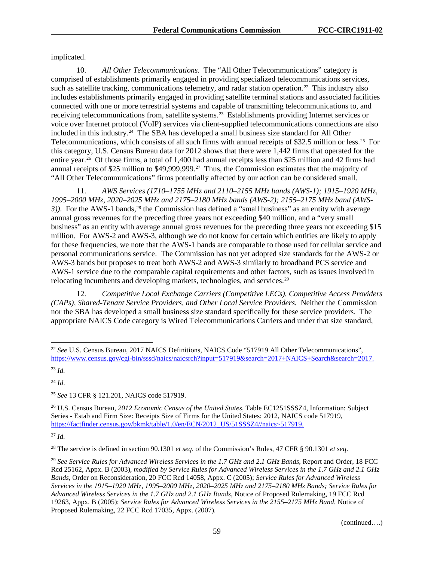implicated.

10. *All Other Telecommunications.* The "All Other Telecommunications" category is comprised of establishments primarily engaged in providing specialized telecommunications services, such as satellite tracking, communications telemetry, and radar station operation.<sup>[22](#page-59-0)</sup> This industry also includes establishments primarily engaged in providing satellite terminal stations and associated facilities connected with one or more terrestrial systems and capable of transmitting telecommunications to, and receiving telecommunications from, satellite systems.[23](#page-59-1) Establishments providing Internet services or voice over Internet protocol (VoIP) services via client-supplied telecommunications connections are also included in this industry.<sup>[24](#page-59-2)</sup> The SBA has developed a small business size standard for All Other Telecommunications, which consists of all such firms with annual receipts of \$32.5 million or less.[25](#page-59-3) For this category, U.S. Census Bureau data for 2012 shows that there were 1,442 firms that operated for the entire year.[26](#page-59-4) Of those firms, a total of 1,400 had annual receipts less than \$25 million and 42 firms had annual receipts of \$25 million to \$49,999,999.[27](#page-59-5) Thus, the Commission estimates that the majority of "All Other Telecommunications" firms potentially affected by our action can be considered small.

11. *AWS Services (1710–1755 MHz and 2110–2155 MHz bands (AWS-1); 1915–1920 MHz, 1995–2000 MHz, 2020–2025 MHz and 2175–2180 MHz bands (AWS-2); 2155–2175 MHz band (AWS-3))*.For the AWS-1 bands,[28](#page-59-6) the Commission has defined a "small business" as an entity with average annual gross revenues for the preceding three years not exceeding \$40 million, and a "very small business" as an entity with average annual gross revenues for the preceding three years not exceeding \$15 million. For AWS-2 and AWS-3, although we do not know for certain which entities are likely to apply for these frequencies, we note that the AWS-1 bands are comparable to those used for cellular service and personal communications service. The Commission has not yet adopted size standards for the AWS-2 or AWS-3 bands but proposes to treat both AWS-2 and AWS-3 similarly to broadband PCS service and AWS-1 service due to the comparable capital requirements and other factors, such as issues involved in relocating incumbents and developing markets, technologies, and services.<sup>[29](#page-59-7)</sup>

12. *Competitive Local Exchange Carriers (Competitive LECs). Competitive Access Providers (CAPs), Shared-Tenant Service Providers, and Other Local Service Providers.* Neither the Commission nor the SBA has developed a small business size standard specifically for these service providers. The appropriate NAICS Code category is Wired Telecommunications Carriers and under that size standard,

<span id="page-59-2"></span><sup>24</sup> *Id*.

<span id="page-59-5"></span><sup>27</sup> *Id.*

<span id="page-59-6"></span><sup>28</sup> The service is defined in section 90.1301 *et seq*. of the Commission's Rules, 47 CFR § 90.1301 *et seq*.

<span id="page-59-0"></span> <sup>22</sup> *See* U.S. Census Bureau, 2017 NAICS Definitions, NAICS Code "517919 All Other Telecommunications", [https://www.census.gov/cgi-bin/sssd/naics/naicsrch?input=517919&search=2017+NAICS+Search&search=2017.](https://www.census.gov/cgi-bin/sssd/naics/naicsrch?input=517919&search=2017+NAICS+Search&search=2017)

<span id="page-59-1"></span><sup>23</sup> *Id.*

<span id="page-59-3"></span><sup>25</sup> *See* 13 CFR § 121.201, NAICS code 517919.

<span id="page-59-4"></span><sup>26</sup> U.S. Census Bureau, *2012 Economic Census of the United States*, Table EC1251SSSZ4, Information: Subject Series - Estab and Firm Size: Receipts Size of Firms for the United States: 2012, NAICS code 517919, [https://factfinder.census.gov/bkmk/table/1.0/en/ECN/2012\\_US/51SSSZ4//naics~517919.](https://factfinder.census.gov/bkmk/table/1.0/en/ECN/2012_US/51SSSZ4/naics%7E517919)

<span id="page-59-7"></span><sup>29</sup> *See Service Rules for Advanced Wireless Services in the 1*.*7 GHz and 2*.*1 GHz Bands*, Report and Order, 18 FCC Rcd 25162, Appx. B (2003), *modified by Service Rules for Advanced Wireless Services in the 1*.*7 GHz and 2*.*1 GHz Bands*, Order on Reconsideration, 20 FCC Rcd 14058, Appx. C (2005); *Service Rules for Advanced Wireless Services in the 1915–1920 MHz*, *1995–2000 MHz*, *2020–2025 MHz and 2175–2180 MHz Bands; Service Rules for Advanced Wireless Services in the 1*.*7 GHz and 2*.*1 GHz Bands*, Notice of Proposed Rulemaking, 19 FCC Rcd 19263, Appx. B (2005); *Service Rules for Advanced Wireless Services in the 2155–2175 MHz Band*, Notice of Proposed Rulemaking, 22 FCC Rcd 17035, Appx. (2007).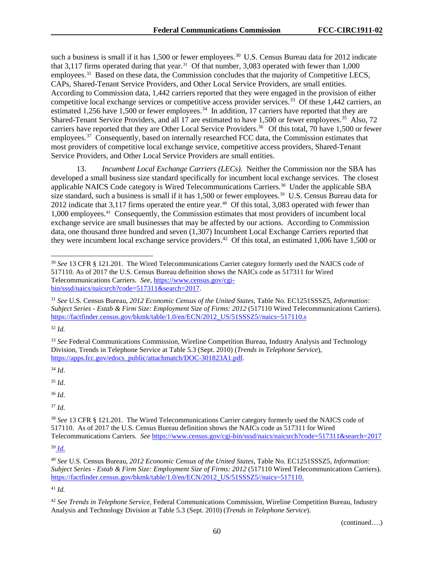such a business is small if it has 1,500 or fewer employees.<sup>[30](#page-60-0)</sup> U.S. Census Bureau data for 2012 indicate that 3,117 firms operated during that year.<sup>31</sup> Of that number, 3,083 operated with fewer than 1,000 employees.<sup>32</sup> Based on these data, the Commission concludes that the majority of Competitive LECS, CAPs, Shared-Tenant Service Providers, and Other Local Service Providers, are small entities. According to Commission data, 1,442 carriers reported that they were engaged in the provision of either competitive local exchange services or competitive access provider services.<sup>33</sup> Of these 1,442 carriers, an estimated 1,256 have 1,500 or fewer employees.<sup>[34](#page-60-4)</sup> In addition, 17 carriers have reported that they are Shared-Tenant Service Providers, and all 17 are estimated to have 1,500 or fewer employees.<sup>[35](#page-60-5)</sup> Also, 72 carriers have reported that they are Other Local Service Providers.<sup>[36](#page-60-6)</sup> Of this total, 70 have 1,500 or fewer employees.<sup>[37](#page-60-7)</sup> Consequently, based on internally researched FCC data, the Commission estimates that most providers of competitive local exchange service, competitive access providers, Shared-Tenant Service Providers, and Other Local Service Providers are small entities.

13. *Incumbent Local Exchange Carriers (LECs).* Neither the Commission nor the SBA has developed a small business size standard specifically for incumbent local exchange services. The closest applicable NAICS Code category is Wired Telecommunications Carriers.<sup>38</sup> Under the applicable SBA size standard, such a business is small if it has 1,500 or fewer employees.<sup>39</sup> U.S. Census Bureau data for 2012 indicate that 3,117 firms operated the entire year.[40](#page-60-10) Of this total, 3,083 operated with fewer than 1,000 employees.[41](#page-60-11) Consequently, the Commission estimates that most providers of incumbent local exchange service are small businesses that may be affected by our actions. According to Commission data, one thousand three hundred and seven (1,307) Incumbent Local Exchange Carriers reported that they were incumbent local exchange service providers.<sup>[42](#page-60-12)</sup> Of this total, an estimated 1,006 have 1,500 or

<span id="page-60-2"></span><sup>32</sup> *Id.*

<span id="page-60-3"></span><sup>33</sup> See Federal Communications Commission, Wireline Competition Bureau, Industry Analysis and Technology Division, Trends in Telephone Service at Table 5.3 (Sept. 2010) (*Trends in Telephone Service*), [https://apps.fcc.gov/edocs\\_public/attachmatch/DOC-301823A1.pdf.](https://apps.fcc.gov/edocs_public/attachmatch/DOC-301823A1.pdf)

<span id="page-60-4"></span><sup>34</sup> *Id*.

<span id="page-60-5"></span><sup>35</sup> *Id*.

<span id="page-60-6"></span><sup>36</sup> *Id*.

<span id="page-60-7"></span><sup>37</sup> *Id*.

<span id="page-60-8"></span><sup>38</sup> *See* 13 CFR § 121.201. The Wired Telecommunications Carrier category formerly used the NAICS code of 517110. As of 2017 the U.S. Census Bureau definition shows the NAICs code as 517311 for Wired Telecommunications Carriers. *See* <https://www.census.gov/cgi-bin/sssd/naics/naicsrch?code=517311&search=2017>

<span id="page-60-9"></span><sup>39</sup> *Id.*

<span id="page-60-10"></span><sup>40</sup> *See* U.S. Census Bureau, *2012 Economic Census of the United States,* Table No. EC1251SSSZ5, *Information: Subject Series - Estab & Firm Size: Employment Size of Firms: 2012* (517110 Wired Telecommunications Carriers). [https://factfinder.census.gov/bkmk/table/1.0/en/ECN/2012\\_US/51SSSZ5//naics~517110.](https://factfinder.census.gov/bkmk/table/1.0/en/ECN/2012_US/51SSSZ5/naics%7E517110)

<span id="page-60-11"></span><sup>41</sup> *Id.*

<span id="page-60-12"></span><sup>42</sup> *See Trends in Telephone Service*, Federal Communications Commission, Wireline Competition Bureau, Industry Analysis and Technology Division at Table 5.3 (Sept. 2010) (*Trends in Telephone Service*).

(continued….)

<span id="page-60-0"></span> <sup>30</sup> *See* 13 CFR § 121.201. The Wired Telecommunications Carrier category formerly used the NAICS code of 517110. As of 2017 the U.S. Census Bureau definition shows the NAICs code as 517311 for Wired Telecommunications Carriers. *See*, [https://www.census.gov/cgi](https://www.census.gov/cgi-bin/sssd/naics/naicsrch?code=517311&search=2017)[bin/sssd/naics/naicsrch?code=517311&search=2017.](https://www.census.gov/cgi-bin/sssd/naics/naicsrch?code=517311&search=2017)

<span id="page-60-1"></span><sup>31</sup> *See* U.S. Census Bureau, *2012 Economic Census of the United States,* Table No. EC1251SSSZ5, *Information: Subject Series - Estab & Firm Size: Employment Size of Firms: 2012* (517110 Wired Telecommunications Carriers). [https://factfinder.census.gov/bkmk/table/1.0/en/ECN/2012\\_US/51SSSZ5//naics~517110.](https://factfinder.census.gov/bkmk/table/1.0/en/ECN/2012_US/51SSSZ5/naics%7E517110)s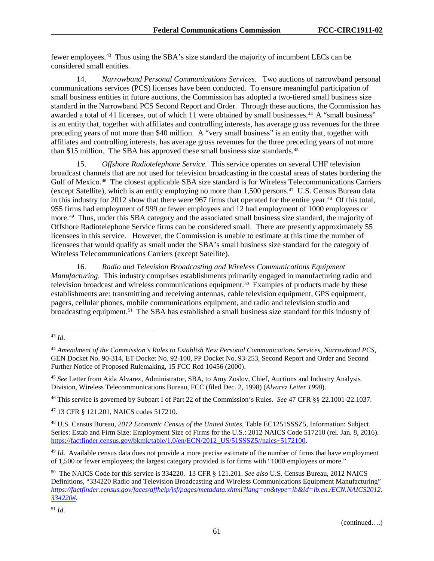fewer employees.[43](#page-61-0) Thus using the SBA's size standard the majority of incumbent LECs can be considered small entities.

14. *Narrowband Personal Communications Services.* Two auctions of narrowband personal communications services (PCS) licenses have been conducted. To ensure meaningful participation of small business entities in future auctions, the Commission has adopted a two-tiered small business size standard in the Narrowband PCS Second Report and Order. Through these auctions, the Commission has awarded a total of 41 licenses, out of which 11 were obtained by small businesses.<sup>[44](#page-61-1)</sup> A "small business" is an entity that, together with affiliates and controlling interests, has average gross revenues for the three preceding years of not more than \$40 million. A "very small business" is an entity that, together with affiliates and controlling interests, has average gross revenues for the three preceding years of not more than \$15 million. The SBA has approved these small business size standards.<sup>[45](#page-61-2)</sup>

15. *Offshore Radiotelephone Service.* This service operates on several UHF television broadcast channels that are not used for television broadcasting in the coastal areas of states bordering the Gulf of Mexico.<sup>[46](#page-61-3)</sup> The closest applicable SBA size standard is for Wireless Telecommunications Carriers (except Satellite), which is an entity employing no more than 1,500 persons.[47](#page-61-4) U.S. Census Bureau data in this industry for 2012 show that there were 967 firms that operated for the entire year.<sup>48</sup> Of this total, 955 firms had employment of 999 or fewer employees and 12 had employment of 1000 employees or more.[49](#page-61-6) Thus, under this SBA category and the associated small business size standard, the majority of Offshore Radiotelephone Service firms can be considered small. There are presently approximately 55 licensees in this service. However, the Commission is unable to estimate at this time the number of licensees that would qualify as small under the SBA's small business size standard for the category of Wireless Telecommunications Carriers (except Satellite).

16. *Radio and Television Broadcasting and Wireless Communications Equipment Manufacturing*. This industry comprises establishments primarily engaged in manufacturing radio and television broadcast and wireless communications equipment.<sup>[50](#page-61-7)</sup> Examples of products made by these establishments are: transmitting and receiving antennas, cable television equipment, GPS equipment, pagers, cellular phones, mobile communications equipment, and radio and television studio and broadcasting equipment.<sup>[51](#page-61-8)</sup> The SBA has established a small business size standard for this industry of

<span id="page-61-3"></span><sup>46</sup> This service is governed by Subpart I of Part 22 of the Commission's Rules. *See* 47 CFR §§ 22.1001-22.1037.

<span id="page-61-4"></span><sup>47</sup> 13 CFR § 121.201, NAICS codes 517210.

<span id="page-61-5"></span><sup>48</sup> U.S. Census Bureau, *2012 Economic Census of the United States*, Table EC1251SSSZ5, Information: Subject Series: Estab and Firm Size: Employment Size of Firms for the U.S.: 2012 NAICS Code 517210 (rel. Jan. 8, 2016). [https://factfinder.census.gov/bkmk/table/1.0/en/ECN/2012\\_US/51SSSZ5//naics~5172100.](https://factfinder.census.gov/bkmk/table/1.0/en/ECN/2012_US/51SSSZ5/naics%7E5172100)

<span id="page-61-6"></span><sup>49</sup> *Id.* Available census data does not provide a more precise estimate of the number of firms that have employment of 1,500 or fewer employees; the largest category provided is for firms with "1000 employees or more."

<span id="page-61-0"></span> <sup>43</sup> *Id*.

<span id="page-61-1"></span><sup>44</sup> *Amendment of the Commission's Rules to Establish New Personal Communications Services, Narrowband PCS*, GEN Docket No. 90-314, ET Docket No. 92-100, PP Docket No. 93-253, Second Report and Order and Second Further Notice of Proposed Rulemaking, 15 FCC Rcd 10456 (2000).

<span id="page-61-2"></span><sup>45</sup> *See* Letter from Aida Alvarez, Administrator, SBA, to Amy Zoslov, Chief, Auctions and Industry Analysis Division, Wireless Telecommunications Bureau, FCC (filed Dec. 2, 1998) (*Alvarez Letter 1998*).

<span id="page-61-7"></span><sup>50</sup> The NAICS Code for this service is 334220. 13 CFR § 121.201. *See also* U.S. Census Bureau, 2012 NAICS Definitions, "334220 Radio and Television Broadcasting and Wireless Communications Equipment Manufacturing" *[https://factfinder.census.gov/faces/affhelp/jsf/pages/metadata.xhtml?lang=en&type=ib&id=ib.en./ECN.NAICS2012.](https://factfinder.census.gov/faces/affhelp/jsf/pages/metadata.xhtml?lang=en&type=ib&id=ib.en./ECN.NAICS2012.334220) [334220#.](https://factfinder.census.gov/faces/affhelp/jsf/pages/metadata.xhtml?lang=en&type=ib&id=ib.en./ECN.NAICS2012.334220)* 

<span id="page-61-8"></span><sup>51</sup> *Id*.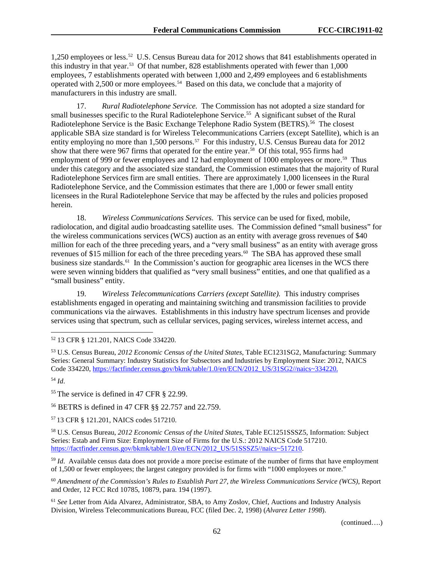1,250 employees or less.[52](#page-62-0) U.S. Census Bureau data for 2012 shows that 841 establishments operated in this industry in that year.<sup>53</sup> Of that number, 828 establishments operated with fewer than  $1,000$ employees, 7 establishments operated with between 1,000 and 2,499 employees and 6 establishments operated with 2,500 or more employees.[54](#page-62-2) Based on this data, we conclude that a majority of manufacturers in this industry are small.

17. *Rural Radiotelephone Service.* The Commission has not adopted a size standard for small businesses specific to the Rural Radiotelephone Service.<sup>[55](#page-62-3)</sup> A significant subset of the Rural Radiotelephone Service is the Basic Exchange Telephone Radio System (BETRS).<sup>[56](#page-62-4)</sup> The closest applicable SBA size standard is for Wireless Telecommunications Carriers (except Satellite), which is an entity employing no more than 1,500 persons.<sup>[57](#page-62-5)</sup> For this industry, U.S. Census Bureau data for 2012 show that there were 967 firms that operated for the entire year.<sup>[58](#page-62-6)</sup> Of this total, 955 firms had employment of 999 or fewer employees and 12 had employment of 1000 employees or more.<sup>59</sup> Thus under this category and the associated size standard, the Commission estimates that the majority of Rural Radiotelephone Services firm are small entities. There are approximately 1,000 licensees in the Rural Radiotelephone Service, and the Commission estimates that there are 1,000 or fewer small entity licensees in the Rural Radiotelephone Service that may be affected by the rules and policies proposed herein.

18. *Wireless Communications Services*. This service can be used for fixed, mobile, radiolocation, and digital audio broadcasting satellite uses. The Commission defined "small business" for the wireless communications services (WCS) auction as an entity with average gross revenues of \$40 million for each of the three preceding years, and a "very small business" as an entity with average gross revenues of \$15 million for each of the three preceding years.<sup>60</sup> The SBA has approved these small business size standards.<sup>[61](#page-62-9)</sup> In the Commission's auction for geographic area licenses in the WCS there were seven winning bidders that qualified as "very small business" entities, and one that qualified as a "small business" entity.

19. *Wireless Telecommunications Carriers (except Satellite).* This industry comprises establishments engaged in operating and maintaining switching and transmission facilities to provide communications via the airwaves. Establishments in this industry have spectrum licenses and provide services using that spectrum, such as cellular services, paging services, wireless internet access, and

<span id="page-62-2"></span><sup>54</sup> *Id*.

<span id="page-62-3"></span><sup>55</sup> The service is defined in 47 CFR § 22.99.

<span id="page-62-4"></span><sup>56</sup> BETRS is defined in 47 CFR §§ 22.757 and 22.759.

<span id="page-62-5"></span><sup>57</sup> 13 CFR § 121.201, NAICS codes 517210.

<span id="page-62-6"></span><sup>58</sup> U.S. Census Bureau, *2012 Economic Census of the United States*, Table EC1251SSSZ5, Information: Subject Series: Estab and Firm Size: Employment Size of Firms for the U.S.: 2012 NAICS Code 517210. [https://factfinder.census.gov/bkmk/table/1.0/en/ECN/2012\\_US/51SSSZ5//naics~517210.](https://factfinder.census.gov/bkmk/table/1.0/en/ECN/2012_US/51SSSZ5/naics%7E517210)

<span id="page-62-7"></span><sup>59</sup> *Id.* Available census data does not provide a more precise estimate of the number of firms that have employment of 1,500 or fewer employees; the largest category provided is for firms with "1000 employees or more."

<span id="page-62-8"></span><sup>60</sup> *Amendment of the Commission's Rules to Establish Part 27*, *the Wireless Communications Service (WCS)*, Report and Order, 12 FCC Rcd 10785, 10879, para. 194 (1997).

<span id="page-62-9"></span><sup>61</sup> *See* Letter from Aida Alvarez, Administrator, SBA, to Amy Zoslov, Chief, Auctions and Industry Analysis Division, Wireless Telecommunications Bureau, FCC (filed Dec. 2, 1998) (*Alvarez Letter 1998*).

(continued….)

<span id="page-62-0"></span> <sup>52</sup> 13 CFR § 121.201, NAICS Code 334220.

<span id="page-62-1"></span><sup>53</sup> U.S. Census Bureau, *2012 Economic Census of the United States*, Table EC1231SG2, Manufacturing: Summary Series: General Summary: Industry Statistics for Subsectors and Industries by Employment Size: 2012, NAICS Code 334220[, https://factfinder.census.gov/bkmk/table/1.0/en/ECN/2012\\_US/31SG2//naics~334220.](https://factfinder.census.gov/bkmk/table/1.0/en/ECN/2012_US/31SG2/naics%7E334220)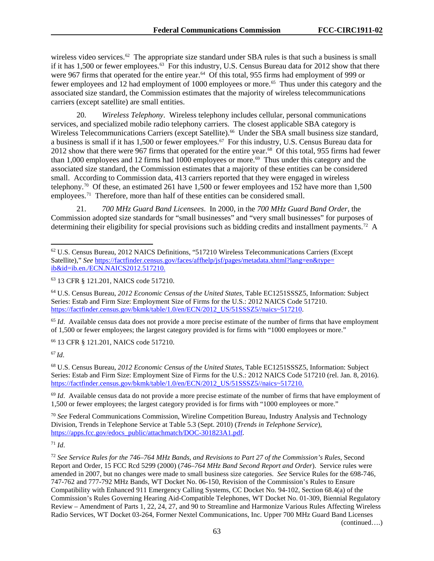wireless video services.<sup>[62](#page-63-0)</sup> The appropriate size standard under SBA rules is that such a business is small if it has 1,500 or fewer employees. [63](#page-63-1) For this industry, U.S. Census Bureau data for 2012 show that there were 967 firms that operated for the entire year.<sup>[64](#page-63-2)</sup> Of this total, 955 firms had employment of 999 or fewer employees and 12 had employment of 1000 employees or more.<sup>[65](#page-63-3)</sup> Thus under this category and the associated size standard, the Commission estimates that the majority of wireless telecommunications carriers (except satellite) are small entities.

20. *Wireless Telephony*. Wireless telephony includes cellular, personal communications services, and specialized mobile radio telephony carriers. The closest applicable SBA category is Wireless Telecommunications Carriers (except Satellite).<sup>66</sup> Under the SBA small business size standard, a business is small if it has 1,500 or fewer employees.<sup>[67](#page-63-5)</sup> For this industry, U.S. Census Bureau data for 2012 show that there were 967 firms that operated for the entire year.<sup>[68](#page-63-6)</sup> Of this total, 955 firms had fewer than 1,000 employees and 12 firms had 1000 employees or more.<sup>69</sup> Thus under this category and the associated size standard, the Commission estimates that a majority of these entities can be considered small. According to Commission data, 413 carriers reported that they were engaged in wireless telephony.[70](#page-63-8) Of these, an estimated 261 have 1,500 or fewer employees and 152 have more than 1,500 employees.<sup>71</sup> Therefore, more than half of these entities can be considered small.

21. *700 MHz Guard Band Licensees*. In 2000, in the *700 MHz Guard Band Order*, the Commission adopted size standards for "small businesses" and "very small businesses" for purposes of determining their eligibility for special provisions such as bidding credits and installment payments.<sup>[72](#page-63-10)</sup> A

<span id="page-63-2"></span><sup>64</sup> U.S. Census Bureau, *2012 Economic Census of the United States*, Table EC1251SSSZ5, Information: Subject Series: Estab and Firm Size: Employment Size of Firms for the U.S.: 2012 NAICS Code 517210. [https://factfinder.census.gov/bkmk/table/1.0/en/ECN/2012\\_US/51SSSZ5//naics~517210.](https://factfinder.census.gov/bkmk/table/1.0/en/ECN/2012_US/51SSSZ5/naics%7E517210)

<span id="page-63-3"></span><sup>65</sup> *Id.* Available census data does not provide a more precise estimate of the number of firms that have employment of 1,500 or fewer employees; the largest category provided is for firms with "1000 employees or more."

<span id="page-63-4"></span><sup>66</sup> 13 CFR § 121.201, NAICS code 517210.

<span id="page-63-5"></span> $^{67}$  *Id.* 

<span id="page-63-6"></span><sup>68</sup> U.S. Census Bureau, *2012 Economic Census of the United States*, Table EC1251SSSZ5, Information: Subject Series: Estab and Firm Size: Employment Size of Firms for the U.S.: 2012 NAICS Code 517210 (rel. Jan. 8, 2016). [https://factfinder.census.gov/bkmk/table/1.0/en/ECN/2012\\_US/51SSSZ5//naics~517210.](https://factfinder.census.gov/bkmk/table/1.0/en/ECN/2012_US/51SSSZ5/naics%7E517210)

<span id="page-63-7"></span><sup>69</sup> *Id*. Available census data do not provide a more precise estimate of the number of firms that have employment of 1,500 or fewer employees; the largest category provided is for firms with "1000 employees or more."

<span id="page-63-8"></span><sup>70</sup> *See* Federal Communications Commission, Wireline Competition Bureau, Industry Analysis and Technology Division, Trends in Telephone Service at Table 5.3 (Sept. 2010) (*Trends in Telephone Service*), [https://apps.fcc.gov/edocs\\_public/attachmatch/DOC-301823A1.pdf.](https://apps.fcc.gov/edocs_public/attachmatch/DOC-301823A1.pdf)

<span id="page-63-9"></span><sup>71</sup> *Id*.

<span id="page-63-10"></span><sup>72</sup> *See Service Rules for the 746–764 MHz Bands*, *and Revisions to Part 27 of the Commission's Rules*, Second Report and Order, 15 FCC Rcd 5299 (2000) (*746–764 MHz Band Second Report and Order*). Service rules were amended in 2007, but no changes were made to small business size categories. *See* Service Rules for the 698-746, 747-762 and 777-792 MHz Bands, WT Docket No. 06-150, Revision of the Commission's Rules to Ensure Compatibility with Enhanced 911 Emergency Calling Systems, CC Docket No. 94-102, Section 68.4(a) of the Commission's Rules Governing Hearing Aid-Compatible Telephones, WT Docket No. 01-309, Biennial Regulatory Review – Amendment of Parts 1, 22, 24, 27, and 90 to Streamline and Harmonize Various Rules Affecting Wireless Radio Services, WT Docket 03-264, Former Nextel Communications, Inc. Upper 700 MHz Guard Band Licenses

(continued….)

<span id="page-63-0"></span> <sup>62</sup> U.S. Census Bureau, 2012 NAICS Definitions, "517210 Wireless Telecommunications Carriers (Except Satellite)," *See* [https://factfinder.census.gov/faces/affhelp/jsf/pages/metadata.xhtml?lang=en&type=](https://factfinder.census.gov/faces/affhelp/jsf/pages/metadata.xhtml?lang=en&type=ib&id=ib.en./ECN.NAICS2012.517210) [ib&id=ib.en./ECN.NAICS2012.517210.](https://factfinder.census.gov/faces/affhelp/jsf/pages/metadata.xhtml?lang=en&type=ib&id=ib.en./ECN.NAICS2012.517210)

<span id="page-63-1"></span><sup>63</sup> 13 CFR § 121.201, NAICS code 517210.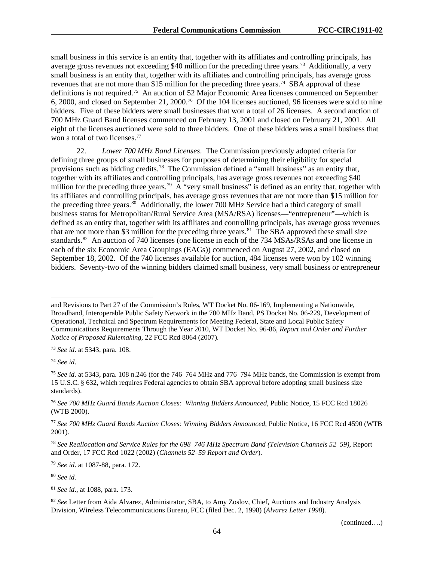small business in this service is an entity that, together with its affiliates and controlling principals, has average gross revenues not exceeding \$40 million for the preceding three years.[73](#page-64-0) Additionally, a very small business is an entity that, together with its affiliates and controlling principals, has average gross revenues that are not more than \$15 million for the preceding three years.<sup>[74](#page-64-1)</sup> SBA approval of these definitions is not required.[75](#page-64-2) An auction of 52 Major Economic Area licenses commenced on September 6, 2000, and closed on September 21, 2000.[76](#page-64-3) Of the 104 licenses auctioned, 96 licenses were sold to nine bidders. Five of these bidders were small businesses that won a total of 26 licenses. A second auction of 700 MHz Guard Band licenses commenced on February 13, 2001 and closed on February 21, 2001. All eight of the licenses auctioned were sold to three bidders. One of these bidders was a small business that won a total of two licenses.<sup>[77](#page-64-4)</sup>

22. *Lower 700 MHz Band Licenses*. The Commission previously adopted criteria for defining three groups of small businesses for purposes of determining their eligibility for special provisions such as bidding credits.<sup>[78](#page-64-5)</sup> The Commission defined a "small business" as an entity that, together with its affiliates and controlling principals, has average gross revenues not exceeding \$40 million for the preceding three years.<sup>79</sup> A "very small business" is defined as an entity that, together with its affiliates and controlling principals, has average gross revenues that are not more than \$15 million for the preceding three years.[80](#page-64-7) Additionally, the lower 700 MHz Service had a third category of small business status for Metropolitan/Rural Service Area (MSA/RSA) licenses—"entrepreneur"—which is defined as an entity that, together with its affiliates and controlling principals, has average gross revenues that are not more than \$3 million for the preceding three years.<sup>81</sup> The SBA approved these small size standards.<sup>82</sup> An auction of 740 licenses (one license in each of the 734 MSAs/RSAs and one license in each of the six Economic Area Groupings (EAGs)) commenced on August 27, 2002, and closed on September 18, 2002. Of the 740 licenses available for auction, 484 licenses were won by 102 winning bidders. Seventy-two of the winning bidders claimed small business, very small business or entrepreneur

<span id="page-64-0"></span><sup>73</sup> *See id*. at 5343, para. 108.

<span id="page-64-1"></span><sup>74</sup> *See id*.

 $\overline{a}$ 

<span id="page-64-6"></span><sup>79</sup> *See id*. at 1087-88, para. 172.

<span id="page-64-7"></span><sup>80</sup> *See id*.

<span id="page-64-8"></span><sup>81</sup> *See id*., at 1088, para. 173.

and Revisions to Part 27 of the Commission's Rules, WT Docket No. 06-169, Implementing a Nationwide, Broadband, Interoperable Public Safety Network in the 700 MHz Band, PS Docket No. 06-229, Development of Operational, Technical and Spectrum Requirements for Meeting Federal, State and Local Public Safety Communications Requirements Through the Year 2010, WT Docket No. 96-86, *Report and Order and Further Notice of Proposed Rulemaking*, 22 FCC Rcd 8064 (2007).

<span id="page-64-2"></span><sup>75</sup> *See id*. at 5343, para. 108 n.246 (for the 746–764 MHz and 776–794 MHz bands, the Commission is exempt from 15 U.S.C. § 632, which requires Federal agencies to obtain SBA approval before adopting small business size standards).

<span id="page-64-3"></span><sup>76</sup> *See 700 MHz Guard Bands Auction Closes: Winning Bidders Announced*, Public Notice, 15 FCC Rcd 18026 (WTB 2000).

<span id="page-64-4"></span><sup>77</sup> *See 700 MHz Guard Bands Auction Closes: Winning Bidders Announced*, Public Notice, 16 FCC Rcd 4590 (WTB 2001).

<span id="page-64-5"></span><sup>78</sup> *See Reallocation and Service Rules for the 698*–*746 MHz Spectrum Band (Television Channels 52*–*59)*, Report and Order, 17 FCC Rcd 1022 (2002) (*Channels 52*–*59 Report and Order*).

<span id="page-64-9"></span><sup>&</sup>lt;sup>82</sup> See Letter from Aida Alvarez, Administrator, SBA, to Amy Zoslov, Chief, Auctions and Industry Analysis Division, Wireless Telecommunications Bureau, FCC (filed Dec. 2, 1998) (*Alvarez Letter 1998*).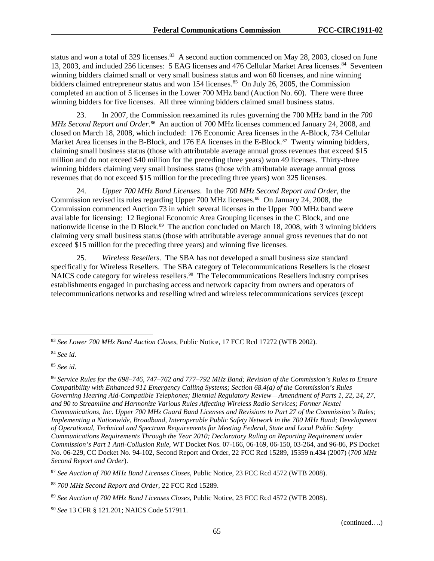status and won a total of 329 licenses.<sup>[83](#page-65-0)</sup> A second auction commenced on May 28, 2003, closed on June 13, 2003, and included 256 licenses: 5 EAG licenses and 476 Cellular Market Area licenses.[84](#page-65-1) Seventeen winning bidders claimed small or very small business status and won 60 licenses, and nine winning bidders claimed entrepreneur status and won  $154$  licenses.<sup>85</sup> On July 26, 2005, the Commission completed an auction of 5 licenses in the Lower 700 MHz band (Auction No. 60). There were three winning bidders for five licenses. All three winning bidders claimed small business status.

23. In 2007, the Commission reexamined its rules governing the 700 MHz band in the *700*  MHz Second Report and Order.<sup>[86](#page-65-3)</sup> An auction of 700 MHz licenses commenced January 24, 2008, and closed on March 18, 2008, which included: 176 Economic Area licenses in the A-Block, 734 Cellular Market Area licenses in the B-Block, and 176 EA licenses in the E-Block.<sup>[87](#page-65-4)</sup> Twenty winning bidders, claiming small business status (those with attributable average annual gross revenues that exceed \$15 million and do not exceed \$40 million for the preceding three years) won 49 licenses. Thirty-three winning bidders claiming very small business status (those with attributable average annual gross revenues that do not exceed \$15 million for the preceding three years) won 325 licenses.

24. *Upper 700 MHz Band Licenses*. In the *700 MHz Second Report and Order*, the Commission revised its rules regarding Upper 700 MHz licenses.<sup>[88](#page-65-5)</sup> On January 24, 2008, the Commission commenced Auction 73 in which several licenses in the Upper 700 MHz band were available for licensing: 12 Regional Economic Area Grouping licenses in the C Block, and one nationwide license in the D Block.<sup>[89](#page-65-6)</sup> The auction concluded on March 18, 2008, with 3 winning bidders claiming very small business status (those with attributable average annual gross revenues that do not exceed \$15 million for the preceding three years) and winning five licenses.

25. *Wireless Resellers.* The SBA has not developed a small business size standard specifically for Wireless Resellers. The SBA category of Telecommunications Resellers is the closest NAICS code category for wireless resellers.<sup>90</sup> The Telecommunications Resellers industry comprises establishments engaged in purchasing access and network capacity from owners and operators of telecommunications networks and reselling wired and wireless telecommunications services (except

<span id="page-65-2"></span><sup>85</sup> *See id*.

<span id="page-65-0"></span> <sup>83</sup> *See Lower 700 MHz Band Auction Closes*, Public Notice, 17 FCC Rcd 17272 (WTB 2002).

<span id="page-65-1"></span><sup>84</sup> *See id*.

<span id="page-65-3"></span><sup>86</sup> *Service Rules for the 698*–*746*, *747*–*762 and 777*–*792 MHz Band; Revision of the Commission's Rules to Ensure Compatibility with Enhanced 911 Emergency Calling Systems; Section 68.4(a) of the Commission's Rules Governing Hearing Aid-Compatible Telephones; Biennial Regulatory Review*—*Amendment of Parts 1*, *22*, *24*, *27*, *and 90 to Streamline and Harmonize Various Rules Affecting Wireless Radio Services; Former Nextel Communications*, *Inc. Upper 700 MHz Guard Band Licenses and Revisions to Part 27 of the Commission's Rules; Implementing a Nationwide*, *Broadband*, *Interoperable Public Safety Network in the 700 MHz Band; Development of Operational*, *Technical and Spectrum Requirements for Meeting Federal*, *State and Local Public Safety Communications Requirements Through the Year 2010; Declaratory Ruling on Reporting Requirement under Commission's Part 1 Anti-Collusion Rule*, WT Docket Nos. 07-166, 06-169, 06-150, 03-264, and 96-86, PS Docket No. 06-229, CC Docket No. 94-102, Second Report and Order, 22 FCC Rcd 15289, 15359 n.434 (2007) (*700 MHz Second Report and Order*).

<span id="page-65-4"></span><sup>87</sup> *See Auction of 700 MHz Band Licenses Closes*, Public Notice, 23 FCC Rcd 4572 (WTB 2008).

<span id="page-65-5"></span><sup>88</sup> *700 MHz Second Report and Order*, 22 FCC Rcd 15289.

<span id="page-65-6"></span><sup>89</sup> *See Auction of 700 MHz Band Licenses Closes*, Public Notice, 23 FCC Rcd 4572 (WTB 2008).

<span id="page-65-7"></span><sup>90</sup> *See* 13 CFR § 121.201; NAICS Code 517911.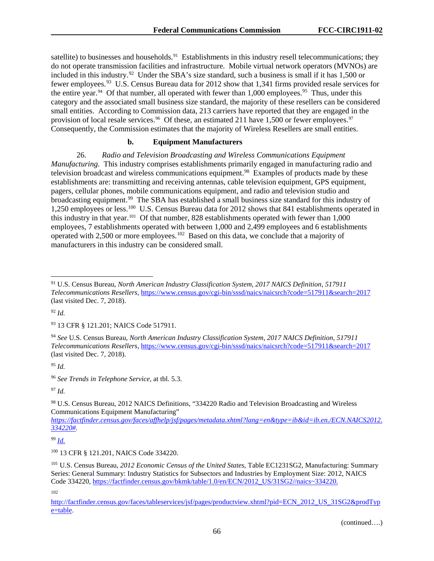satellite) to businesses and households.<sup>[91](#page-66-0)</sup> Establishments in this industry resell telecommunications; they do not operate transmission facilities and infrastructure. Mobile virtual network operators (MVNOs) are included in this industry.<sup>92</sup> Under the SBA's size standard, such a business is small if it has 1,500 or fewer employees.[93](#page-66-2) U.S. Census Bureau data for 2012 show that 1,341 firms provided resale services for the entire year.<sup>94</sup> Of that number, all operated with fewer than  $1,000$  employees.<sup>95</sup> Thus, under this category and the associated small business size standard, the majority of these resellers can be considered small entities. According to Commission data, 213 carriers have reported that they are engaged in the provision of local resale services.<sup>96</sup> Of these, an estimated 211 have 1,500 or fewer employees.<sup>97</sup> Consequently, the Commission estimates that the majority of Wireless Resellers are small entities.

## **b. Equipment Manufacturers**

26. *Radio and Television Broadcasting and Wireless Communications Equipment Manufacturing.* This industry comprises establishments primarily engaged in manufacturing radio and television broadcast and wireless communications equipment.[98](#page-66-7) Examples of products made by these establishments are: transmitting and receiving antennas, cable television equipment, GPS equipment, pagers, cellular phones, mobile communications equipment, and radio and television studio and broadcasting equipment.<sup>99</sup> The SBA has established a small business size standard for this industry of 1,250 employees or less.[100](#page-66-9) U.S. Census Bureau data for 2012 shows that 841 establishments operated in this industry in that year.[101](#page-66-10) Of that number, 828 establishments operated with fewer than 1,000 employees, 7 establishments operated with between 1,000 and 2,499 employees and 6 establishments operated with 2,500 or more employees.<sup>102</sup> Based on this data, we conclude that a majority of manufacturers in this industry can be considered small.

<span id="page-66-1"></span><sup>92</sup> *Id.*

<span id="page-66-2"></span><sup>93</sup> 13 CFR § 121.201; NAICS Code 517911.

<span id="page-66-3"></span><sup>94</sup> *See* U.S. Census Bureau, *North American Industry Classification System*, *2017 NAICS Definition, 517911 Telecommunications Resellers*,<https://www.census.gov/cgi-bin/sssd/naics/naicsrch?code=517911&search=2017> (last visited Dec. 7, 2018).

<span id="page-66-4"></span><sup>95</sup> *Id.* 

<span id="page-66-5"></span><sup>96</sup> *See Trends in Telephone Service,* at tbl. 5.3.

<span id="page-66-6"></span><sup>97</sup> *Id.*

<span id="page-66-7"></span><sup>98</sup> U.S. Census Bureau, 2012 NAICS Definitions, "334220 Radio and Television Broadcasting and Wireless Communications Equipment Manufacturing"

*[https://factfinder.census.gov/faces/affhelp/jsf/pages/metadata.xhtml?lang=en&type=ib&id=ib.en./ECN.NAICS2012.](https://factfinder.census.gov/faces/affhelp/jsf/pages/metadata.xhtml?lang=en&type=ib&id=ib.en./ECN.NAICS2012.334220) [334220#.](https://factfinder.census.gov/faces/affhelp/jsf/pages/metadata.xhtml?lang=en&type=ib&id=ib.en./ECN.NAICS2012.334220)*

<span id="page-66-8"></span><sup>99</sup> *Id.*

<span id="page-66-9"></span><sup>100</sup> 13 CFR § 121.201, NAICS Code 334220.

<span id="page-66-10"></span><sup>101</sup> U.S. Census Bureau, *2012 Economic Census of the United States*, Table EC1231SG2, Manufacturing: Summary Series: General Summary: Industry Statistics for Subsectors and Industries by Employment Size: 2012, NAICS Code 334220[, https://factfinder.census.gov/bkmk/table/1.0/en/ECN/2012\\_US/31SG2//naics~334220.](https://factfinder.census.gov/bkmk/table/1.0/en/ECN/2012_US/31SG2/naics%7E334220)

102

<span id="page-66-0"></span> <sup>91</sup> U.S. Census Bureau, *North American Industry Classification System*, *2017 NAICS Definition, 517911 Telecommunications Resellers*,<https://www.census.gov/cgi-bin/sssd/naics/naicsrch?code=517911&search=2017> (last visited Dec. 7, 2018).

<span id="page-66-11"></span>[http://factfinder.census.gov/faces/tableservices/jsf/pages/productview.xhtml?pid=ECN\\_2012\\_US\\_31SG2&prodTyp](http://factfinder.census.gov/faces/tableservices/jsf/pages/productview.xhtml?pid=ECN_2012_US_31SG2&prodType=table) [e=table.](http://factfinder.census.gov/faces/tableservices/jsf/pages/productview.xhtml?pid=ECN_2012_US_31SG2&prodType=table)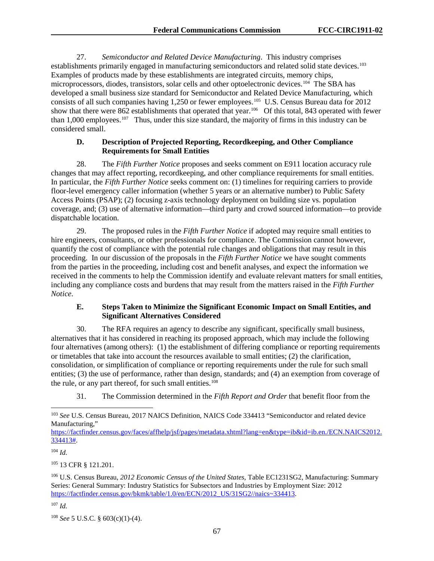27. *Semiconductor and Related Device Manufacturing*. This industry comprises establishments primarily engaged in manufacturing semiconductors and related solid state devices.<sup>[103](#page-67-0)</sup> Examples of products made by these establishments are integrated circuits, memory chips, microprocessors, diodes, transistors, solar cells and other optoelectronic devices[.104](#page-67-1) The SBA has developed a small business size standard for Semiconductor and Related Device Manufacturing, which consists of all such companies having 1,250 or fewer employees.<sup>105</sup> U.S. Census Bureau data for 2012 show that there were  $862$  establishments that operated that year.<sup>106</sup> Of this total, 843 operated with fewer than 1,000 employees.<sup>107</sup> Thus, under this size standard, the majority of firms in this industry can be considered small.

## **D. Description of Projected Reporting, Recordkeeping, and Other Compliance Requirements for Small Entities**

28. The *Fifth Further Notice* proposes and seeks comment on E911 location accuracy rule changes that may affect reporting, recordkeeping, and other compliance requirements for small entities. In particular, the *Fifth Further Notice* seeks comment on: (1) timelines for requiring carriers to provide floor-level emergency caller information (whether 5 years or an alternative number) to Public Safety Access Points (PSAP); (2) focusing z-axis technology deployment on building size vs. population coverage, and; (3) use of alternative information—third party and crowd sourced information—to provide dispatchable location.

29. The proposed rules in the *Fifth Further Notice* if adopted may require small entities to hire engineers, consultants, or other professionals for compliance. The Commission cannot however, quantify the cost of compliance with the potential rule changes and obligations that may result in this proceeding. In our discussion of the proposals in the *Fifth Further Notice* we have sought comments from the parties in the proceeding, including cost and benefit analyses, and expect the information we received in the comments to help the Commission identify and evaluate relevant matters for small entities, including any compliance costs and burdens that may result from the matters raised in the *Fifth Further Notice*.

## **E. Steps Taken to Minimize the Significant Economic Impact on Small Entities, and Significant Alternatives Considered**

30. The RFA requires an agency to describe any significant, specifically small business, alternatives that it has considered in reaching its proposed approach, which may include the following four alternatives (among others): (1) the establishment of differing compliance or reporting requirements or timetables that take into account the resources available to small entities; (2) the clarification, consolidation, or simplification of compliance or reporting requirements under the rule for such small entities; (3) the use of performance, rather than design, standards; and (4) an exemption from coverage of the rule, or any part thereof, for such small entities.<sup>[108](#page-67-5)</sup>

31. The Commission determined in the *Fifth Report and Order* that benefit floor from the

[https://factfinder.census.gov/faces/affhelp/jsf/pages/metadata.xhtml?lang=en&type=ib&id=ib.en./ECN.NAICS2012.](https://factfinder.census.gov/faces/affhelp/jsf/pages/metadata.xhtml?lang=en&type=ib&id=ib.en./ECN.NAICS2012.334413) [334413#.](https://factfinder.census.gov/faces/affhelp/jsf/pages/metadata.xhtml?lang=en&type=ib&id=ib.en./ECN.NAICS2012.334413)

<span id="page-67-1"></span><sup>104</sup> *Id.*

<span id="page-67-2"></span><sup>105</sup> 13 CFR § 121.201.

<span id="page-67-3"></span><sup>106</sup> U.S. Census Bureau, *2012 Economic Census of the United States*, Table EC1231SG2, Manufacturing: Summary Series: General Summary: Industry Statistics for Subsectors and Industries by Employment Size: 2012 [https://factfinder.census.gov/bkmk/table/1.0/en/ECN/2012\\_US/31SG2//naics~334413.](https://factfinder.census.gov/bkmk/table/1.0/en/ECN/2012_US/31SG2/naics%7E334413)

<span id="page-67-4"></span> $107$  *Id.* 

<span id="page-67-5"></span><sup>108</sup> *See* 5 U.S.C. § 603(c)(1)-(4).

<span id="page-67-0"></span><sup>&</sup>lt;sup>103</sup> See U.S. Census Bureau, 2017 NAICS Definition, NAICS Code 334413 "Semiconductor and related device Manufacturing,"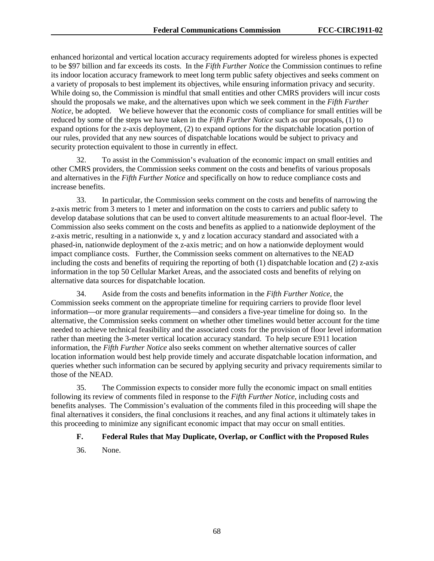enhanced horizontal and vertical location accuracy requirements adopted for wireless phones is expected to be \$97 billion and far exceeds its costs. In the *Fifth Further Notice* the Commission continues to refine its indoor location accuracy framework to meet long term public safety objectives and seeks comment on a variety of proposals to best implement its objectives, while ensuring information privacy and security. While doing so, the Commission is mindful that small entities and other CMRS providers will incur costs should the proposals we make, and the alternatives upon which we seek comment in the *Fifth Further Notice*, be adopted. We believe however that the economic costs of compliance for small entities will be reduced by some of the steps we have taken in the *Fifth Further Notice* such as our proposals, (1) to expand options for the z-axis deployment, (2) to expand options for the dispatchable location portion of our rules, provided that any new sources of dispatchable locations would be subject to privacy and security protection equivalent to those in currently in effect.

32. To assist in the Commission's evaluation of the economic impact on small entities and other CMRS providers, the Commission seeks comment on the costs and benefits of various proposals and alternatives in the *Fifth Further Notice* and specifically on how to reduce compliance costs and increase benefits.

33. In particular, the Commission seeks comment on the costs and benefits of narrowing the z-axis metric from 3 meters to 1 meter and information on the costs to carriers and public safety to develop database solutions that can be used to convert altitude measurements to an actual floor-level. The Commission also seeks comment on the costs and benefits as applied to a nationwide deployment of the z-axis metric, resulting in a nationwide x, y and z location accuracy standard and associated with a phased-in, nationwide deployment of the z-axis metric; and on how a nationwide deployment would impact compliance costs. Further, the Commission seeks comment on alternatives to the NEAD including the costs and benefits of requiring the reporting of both (1) dispatchable location and (2) z-axis information in the top 50 Cellular Market Areas, and the associated costs and benefits of relying on alternative data sources for dispatchable location.

34. Aside from the costs and benefits information in the *Fifth Further Notice*, the Commission seeks comment on the appropriate timeline for requiring carriers to provide floor level information—or more granular requirements—and considers a five-year timeline for doing so. In the alternative, the Commission seeks comment on whether other timelines would better account for the time needed to achieve technical feasibility and the associated costs for the provision of floor level information rather than meeting the 3-meter vertical location accuracy standard. To help secure E911 location information, the *Fifth Further Notice* also seeks comment on whether alternative sources of caller location information would best help provide timely and accurate dispatchable location information, and queries whether such information can be secured by applying security and privacy requirements similar to those of the NEAD.

35. The Commission expects to consider more fully the economic impact on small entities following its review of comments filed in response to the *Fifth Further Notice*, including costs and benefits analyses. The Commission's evaluation of the comments filed in this proceeding will shape the final alternatives it considers, the final conclusions it reaches, and any final actions it ultimately takes in this proceeding to minimize any significant economic impact that may occur on small entities.

## **F. Federal Rules that May Duplicate, Overlap, or Conflict with the Proposed Rules**

36. None.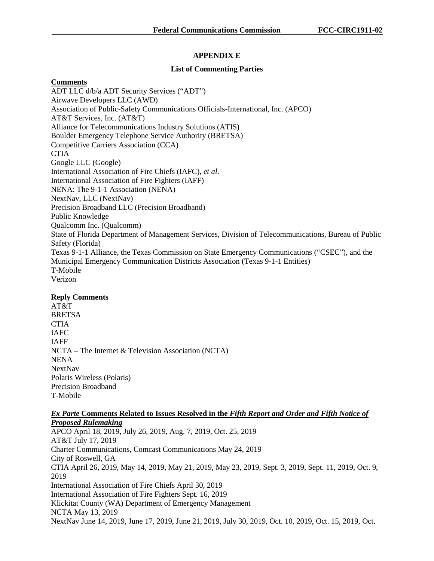# **APPENDIX E**

#### **List of Commenting Parties**

**Comments**

ADT LLC d/b/a ADT Security Services ("ADT") Airwave Developers LLC (AWD) Association of Public-Safety Communications Officials-International, Inc. (APCO) AT&T Services, Inc. (AT&T) Alliance for Telecommunications Industry Solutions (ATIS) Boulder Emergency Telephone Service Authority (BRETSA) Competitive Carriers Association (CCA) CTIA Google LLC (Google) International Association of Fire Chiefs (IAFC), *et al*. International Association of Fire Fighters (IAFF) NENA: The 9-1-1 Association (NENA) NextNav, LLC (NextNav) Precision Broadband LLC (Precision Broadband) Public Knowledge Qualcomm Inc. (Qualcomm) State of Florida Department of Management Services, Division of Telecommunications, Bureau of Public Safety (Florida) Texas 9-1-1 Alliance, the Texas Commission on State Emergency Communications ("CSEC"), and the Municipal Emergency Communication Districts Association (Texas 9-1-1 Entities) T-Mobile Verizon

#### **Reply Comments**

AT&T BRETSA CTIA IAFC IAFF NCTA – The Internet & Television Association (NCTA) NENA NextNav Polaris Wireless (Polaris) Precision Broadband T-Mobile

#### *Ex Parte* **Comments Related to Issues Resolved in the** *Fifth Report and Order and Fifth Notice of Proposed Rulemaking*

APCO April 18, 2019, July 26, 2019, Aug. 7, 2019, Oct. 25, 2019 AT&T July 17, 2019 Charter Communications, Comcast Communications May 24, 2019 City of Roswell, GA CTIA April 26, 2019, May 14, 2019, May 21, 2019, May 23, 2019, Sept. 3, 2019, Sept. 11, 2019, Oct. 9, 2019 International Association of Fire Chiefs April 30, 2019 International Association of Fire Fighters Sept. 16, 2019 Klickitat County (WA) Department of Emergency Management NCTA May 13, 2019 NextNav June 14, 2019, June 17, 2019, June 21, 2019, July 30, 2019, Oct. 10, 2019, Oct. 15, 2019, Oct.